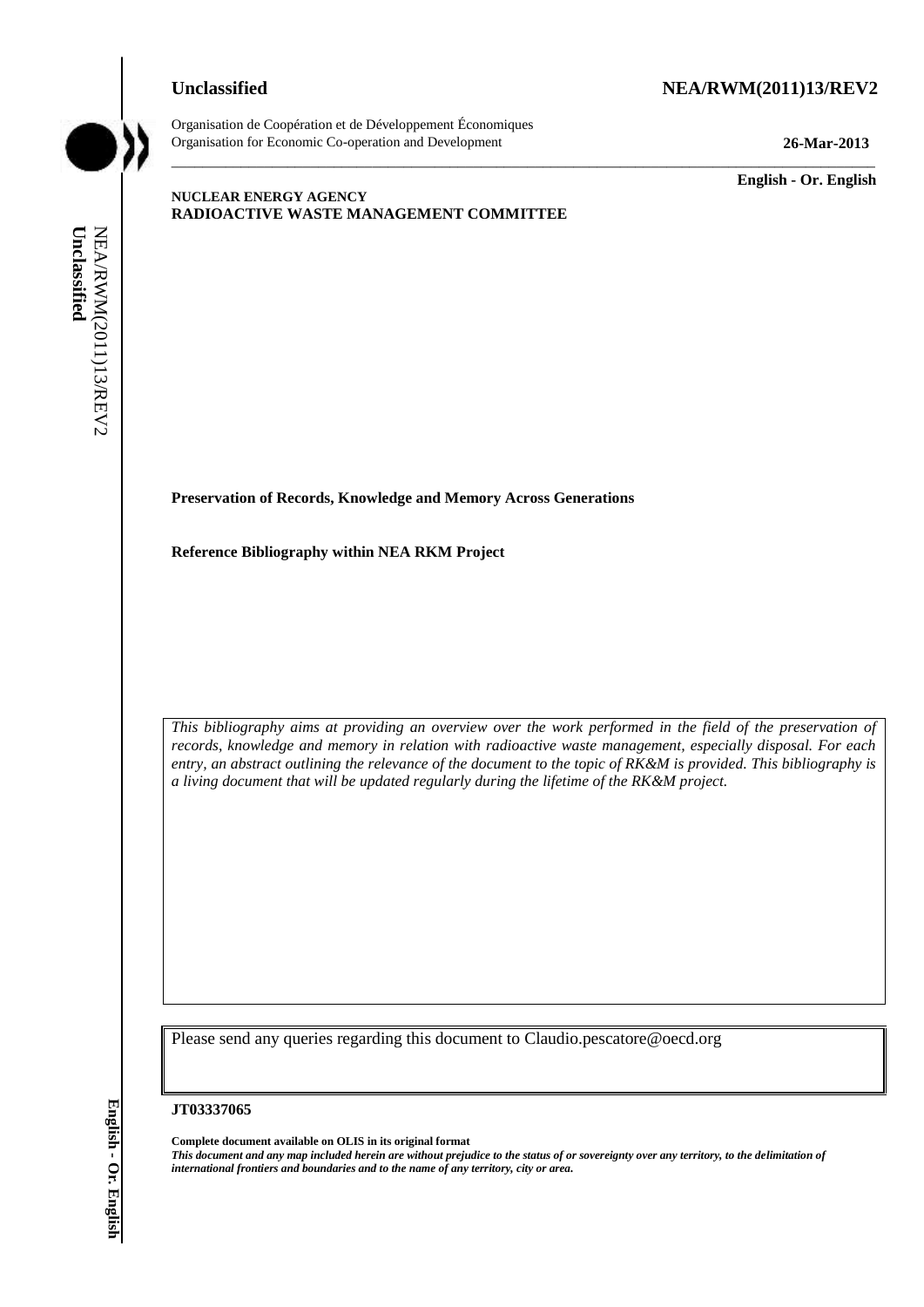# **Unclassified NEA/RWM(2011)13/REV2**



Organisation de Coopération et de Développement Économiques Organisation for Economic Co-operation and Development **26-Mar-2013**

\_\_\_\_\_\_\_\_\_\_\_\_\_ **English - Or. English**

### **NUCLEAR ENERGY AGENCY RADIOACTIVE WASTE MANAGEMENT COMMITTEE**

**Preservation of Records, Knowledge and Memory Across Generations**

**Reference Bibliography within NEA RKM Project** 

*This bibliography aims at providing an overview over the work performed in the field of the preservation of records, knowledge and memory in relation with radioactive waste management, especially disposal. For each entry, an abstract outlining the relevance of the document to the topic of RK&M is provided. This bibliography is a living document that will be updated regularly during the lifetime of the RK&M project.* **international frontiers and boundaries and boundaries and boundaries and boundaries and the name of any territory of any territory of any territory of any territory of any territory of any territory of any territory of an** 

\_\_\_\_\_\_\_\_\_\_\_\_\_\_\_\_\_\_\_\_\_\_\_\_\_\_\_\_\_\_\_\_\_\_\_\_\_\_\_\_\_\_\_\_\_\_\_\_\_\_\_\_\_\_\_\_\_\_\_\_\_\_\_\_\_\_\_\_\_\_\_\_\_\_\_\_\_\_\_\_\_\_\_\_\_\_\_\_\_\_\_

Please send any queries regarding this document to Claudio.pescatore@oecd.org

#### **JT03337065**

**Complete document available on OLIS in its original format** *This document and any map included herein are without prejudice to the status of or sovereignty over any territory, to the delimitation of*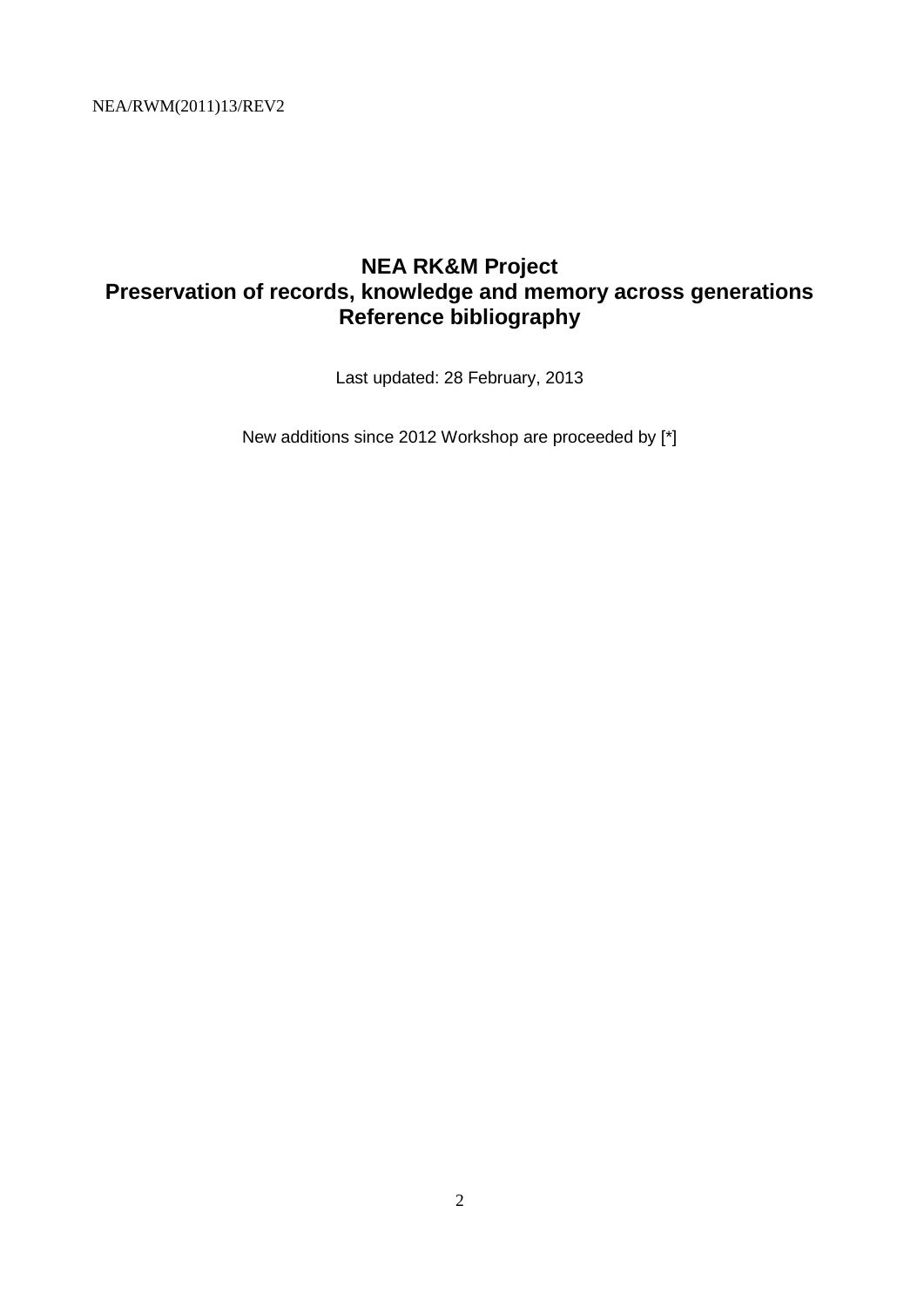# **NEA RK&M Project Preservation of records, knowledge and memory across generations Reference bibliography**

Last updated: 28 February, 2013

New additions since 2012 Workshop are proceeded by [\*]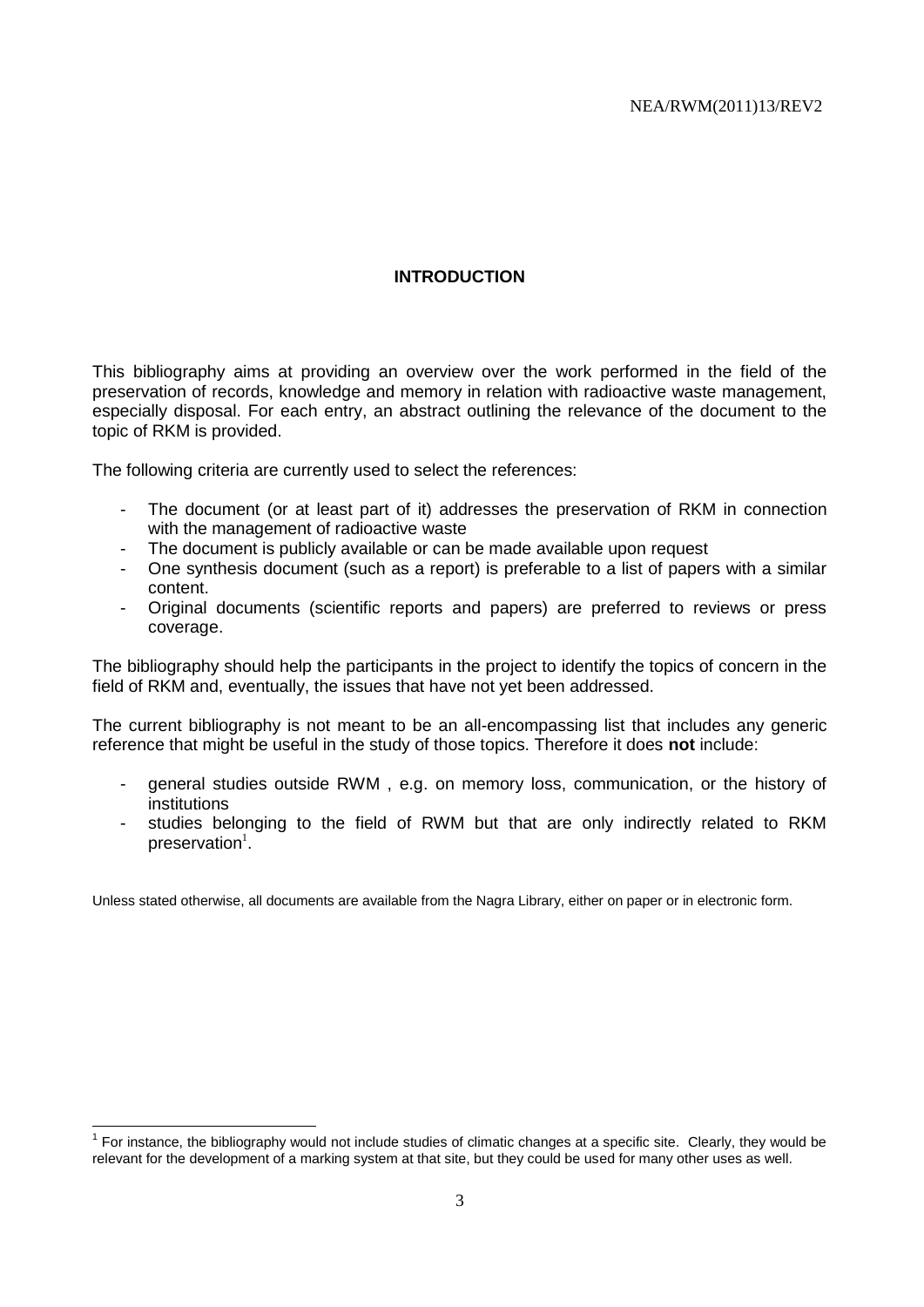# **INTRODUCTION**

This bibliography aims at providing an overview over the work performed in the field of the preservation of records, knowledge and memory in relation with radioactive waste management, especially disposal. For each entry, an abstract outlining the relevance of the document to the topic of RKM is provided.

The following criteria are currently used to select the references:

- The document (or at least part of it) addresses the preservation of RKM in connection with the management of radioactive waste
- The document is publicly available or can be made available upon request
- One synthesis document (such as a report) is preferable to a list of papers with a similar content.
- Original documents (scientific reports and papers) are preferred to reviews or press coverage.

The bibliography should help the participants in the project to identify the topics of concern in the field of RKM and, eventually, the issues that have not yet been addressed.

The current bibliography is not meant to be an all-encompassing list that includes any generic reference that might be useful in the study of those topics. Therefore it does **not** include:

- general studies outside RWM , e.g. on memory loss, communication, or the history of institutions
- studies belonging to the field of RWM but that are only indirectly related to RKM preservation $^{1}$ .

Unless stated otherwise, all documents are available from the Nagra Library, either on paper or in electronic form.

 $1$  For instance, the bibliography would not include studies of climatic changes at a specific site. Clearly, they would be relevant for the development of a marking system at that site, but they could be used for many other uses as well.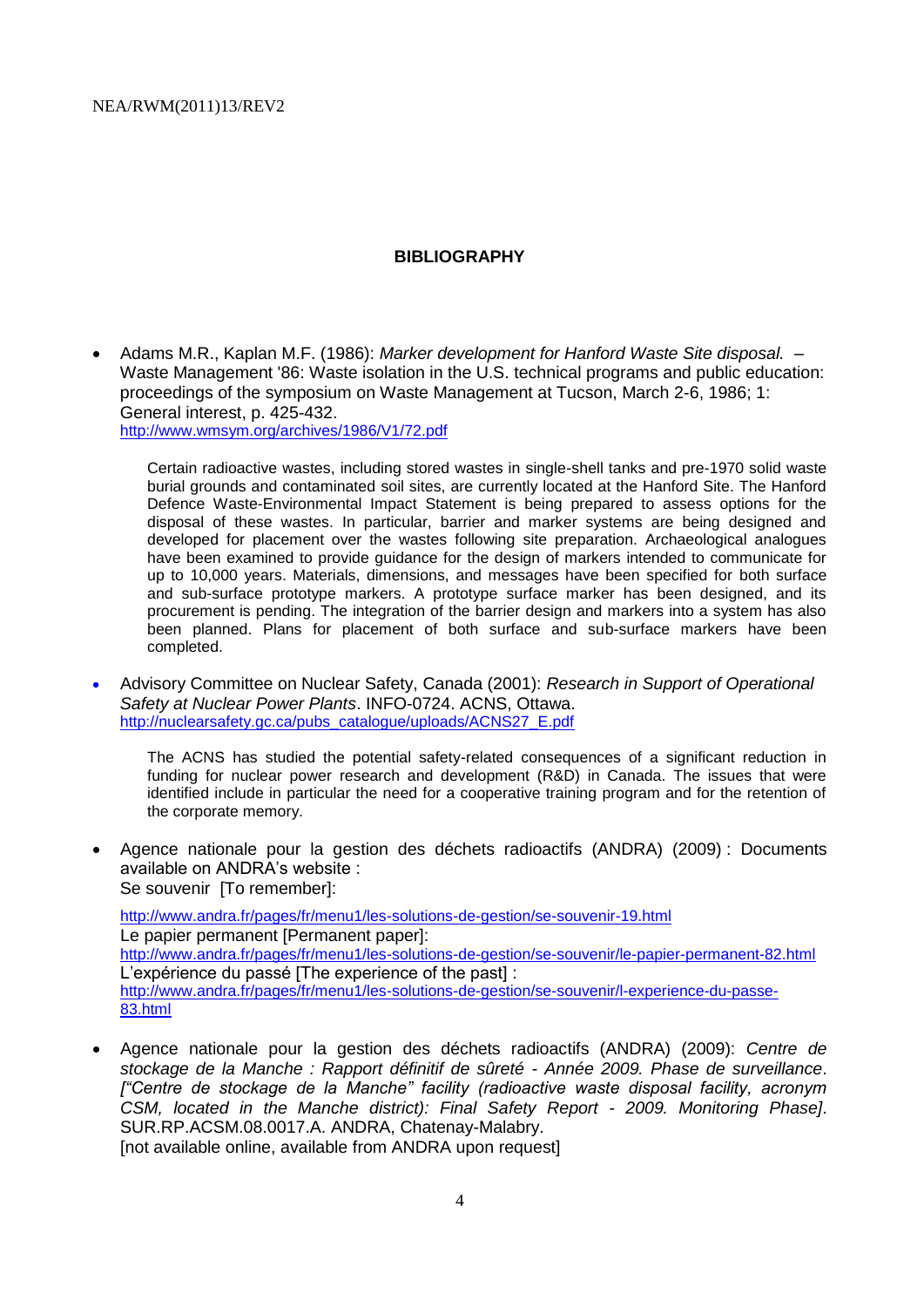### **BIBLIOGRAPHY**

 Adams M.R., Kaplan M.F. (1986): *Marker development for Hanford Waste Site disposal.* – Waste Management '86: Waste isolation in the U.S. technical programs and public education: proceedings of the symposium on Waste Management at Tucson, March 2-6, 1986; 1: General interest, p. 425-432. <http://www.wmsym.org/archives/1986/V1/72.pdf>

Certain radioactive wastes, including stored wastes in single-shell tanks and pre-1970 solid waste burial grounds and contaminated soil sites, are currently located at the Hanford Site. The Hanford Defence Waste-Environmental Impact Statement is being prepared to assess options for the disposal of these wastes. In particular, barrier and marker systems are being designed and developed for placement over the wastes following site preparation. Archaeological analogues have been examined to provide guidance for the design of markers intended to communicate for up to 10,000 years. Materials, dimensions, and messages have been specified for both surface and sub-surface prototype markers. A prototype surface marker has been designed, and its procurement is pending. The integration of the barrier design and markers into a system has also been planned. Plans for placement of both surface and sub-surface markers have been completed.

 Advisory Committee on Nuclear Safety, Canada (2001): *Research in Support of Operational Safety at Nuclear Power Plants*. INFO-0724. ACNS, Ottawa. [http://nuclearsafety.gc.ca/pubs\\_catalogue/uploads/ACNS27\\_E.pdf](http://nuclearsafety.gc.ca/pubs_catalogue/uploads/ACNS27_E.pdf)

The ACNS has studied the potential safety-related consequences of a significant reduction in funding for nuclear power research and development (R&D) in Canada. The issues that were identified include in particular the need for a cooperative training program and for the retention of the corporate memory.

 Agence nationale pour la gestion des déchets radioactifs (ANDRA) (2009) : Documents available on ANDRA's website : Se souvenir [To remember]:

<http://www.andra.fr/pages/fr/menu1/les-solutions-de-gestion/se-souvenir-19.html> Le papier permanent [Permanent paper]: <http://www.andra.fr/pages/fr/menu1/les-solutions-de-gestion/se-souvenir/le-papier-permanent-82.html> L'expérience du passé [The experience of the past] : [http://www.andra.fr/pages/fr/menu1/les-solutions-de-gestion/se-souvenir/l-experience-du-passe-](http://www.andra.fr/pages/fr/menu1/les-solutions-de-gestion/se-souvenir/l-experience-du-passe-83.html)[83.html](http://www.andra.fr/pages/fr/menu1/les-solutions-de-gestion/se-souvenir/l-experience-du-passe-83.html)

 Agence nationale pour la gestion des déchets radioactifs (ANDRA) (2009): *Centre de stockage de la Manche : Rapport définitif de sûreté - Année 2009. Phase de surveillance*. *["Centre de stockage de la Manche" facility (radioactive waste disposal facility, acronym CSM, located in the Manche district): Final Safety Report - 2009. Monitoring Phase]*. SUR.RP.ACSM.08.0017.A. ANDRA, Chatenay-Malabry. [not available online, available from ANDRA upon request]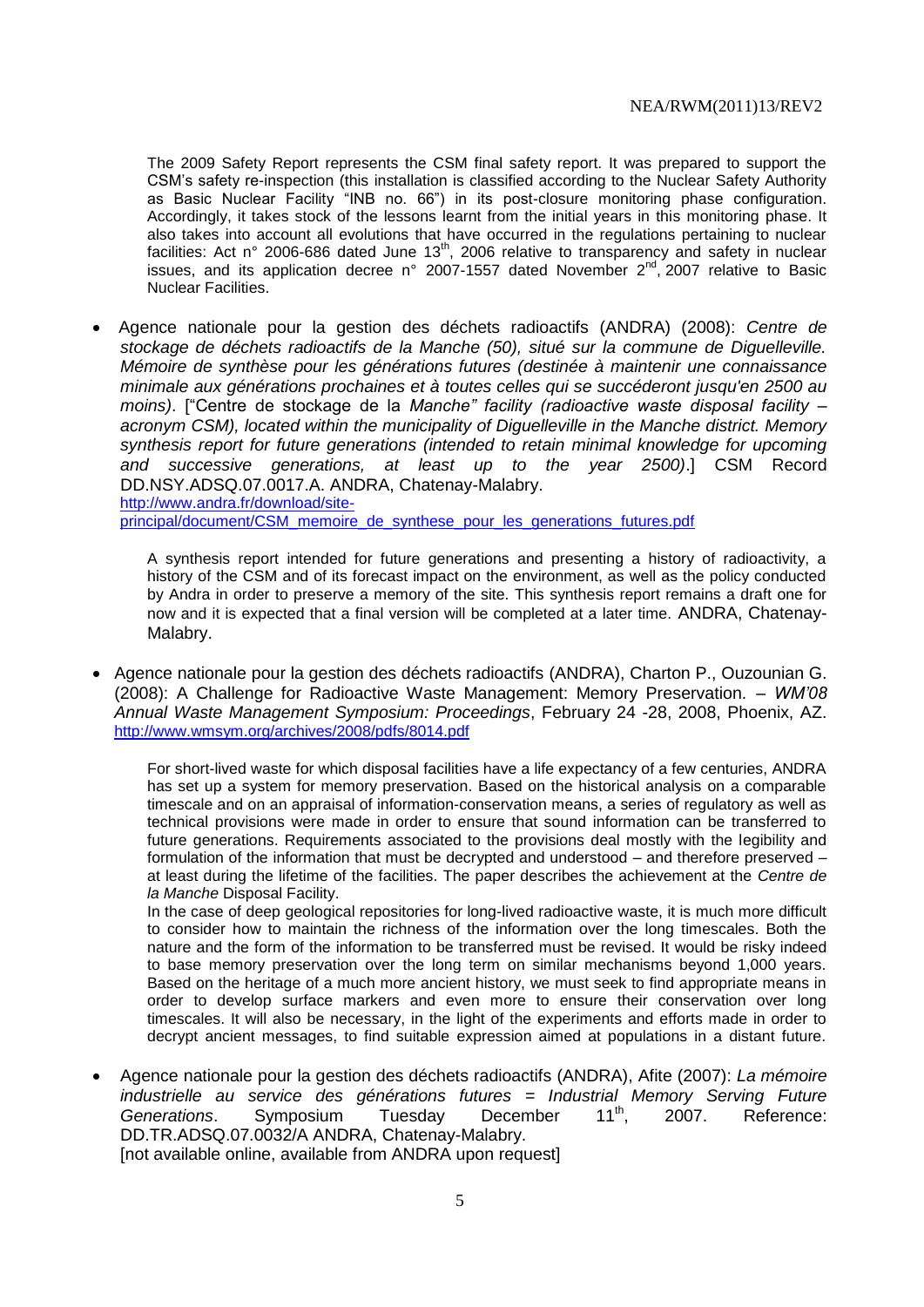The 2009 Safety Report represents the CSM final safety report. It was prepared to support the CSM's safety re-inspection (this installation is classified according to the Nuclear Safety Authority as Basic Nuclear Facility "INB no. 66") in its post-closure monitoring phase configuration. Accordingly, it takes stock of the lessons learnt from the initial years in this monitoring phase. It also takes into account all evolutions that have occurred in the regulations pertaining to nuclear discribed the deceding and conditions that have eccurred in the regulations portaining to hacieal facilities: Act n° 2006-686 dated June 13<sup>th</sup>, 2006 relative to transparency and safety in nuclear issues, and its application decree n° 2007-1557 dated November  $2^{nd}$ , 2007 relative to Basic Nuclear Facilities.

 Agence nationale pour la gestion des déchets radioactifs (ANDRA) (2008): *Centre de stockage de déchets radioactifs de la Manche (50), situé sur la commune de Diguelleville. Mémoire de synthèse pour les générations futures (destinée à maintenir une connaissance minimale aux générations prochaines et à toutes celles qui se succéderont jusqu'en 2500 au moins)*. ["Centre de stockage de la *Manche" facility (radioactive waste disposal facility – acronym CSM), located within the municipality of Diguelleville in the Manche district. Memory synthesis report for future generations (intended to retain minimal knowledge for upcoming and successive generations, at least up to the year 2500)*.] CSM Record DD.NSY.ADSQ.07.0017.A. ANDRA, Chatenay-Malabry. [http://www.andra.fr/download/site](http://www.andra.fr/download/site-principal/document/CSM_memoire_de_synthese_pour_les_generations_futures.pdf)[principal/document/CSM\\_memoire\\_de\\_synthese\\_pour\\_les\\_generations\\_futures.pdf](http://www.andra.fr/download/site-principal/document/CSM_memoire_de_synthese_pour_les_generations_futures.pdf)

A synthesis report intended for future generations and presenting a history of radioactivity, a history of the CSM and of its forecast impact on the environment, as well as the policy conducted by Andra in order to preserve a memory of the site. This synthesis report remains a draft one for now and it is expected that a final version will be completed at a later time. ANDRA, Chatenay-Malabry.

 Agence nationale pour la gestion des déchets radioactifs (ANDRA), Charton P., Ouzounian G. (2008): A Challenge for Radioactive Waste Management: Memory Preservation. – *WM'08 Annual Waste Management Symposium: Proceedings*, February 24 -28, 2008, Phoenix, AZ. <http://www.wmsym.org/archives/2008/pdfs/8014.pdf>

For short-lived waste for which disposal facilities have a life expectancy of a few centuries, ANDRA has set up a system for memory preservation. Based on the historical analysis on a comparable timescale and on an appraisal of information-conservation means, a series of regulatory as well as technical provisions were made in order to ensure that sound information can be transferred to future generations. Requirements associated to the provisions deal mostly with the legibility and formulation of the information that must be decrypted and understood – and therefore preserved – at least during the lifetime of the facilities. The paper describes the achievement at the *Centre de la Manche* Disposal Facility.

In the case of deep geological repositories for long-lived radioactive waste, it is much more difficult to consider how to maintain the richness of the information over the long timescales. Both the nature and the form of the information to be transferred must be revised. It would be risky indeed to base memory preservation over the long term on similar mechanisms beyond 1,000 years. Based on the heritage of a much more ancient history, we must seek to find appropriate means in order to develop surface markers and even more to ensure their conservation over long timescales. It will also be necessary, in the light of the experiments and efforts made in order to decrypt ancient messages, to find suitable expression aimed at populations in a distant future.

 Agence nationale pour la gestion des déchets radioactifs (ANDRA), Afite (2007): *La mémoire industrielle au service des générations futures = Industrial Memory Serving Future*  Generations. Symposium Tuesday December 11<sup>th</sup>, 2007. Reference: DD.TR.ADSQ.07.0032/A ANDRA, Chatenay-Malabry. [not available online, available from ANDRA upon request]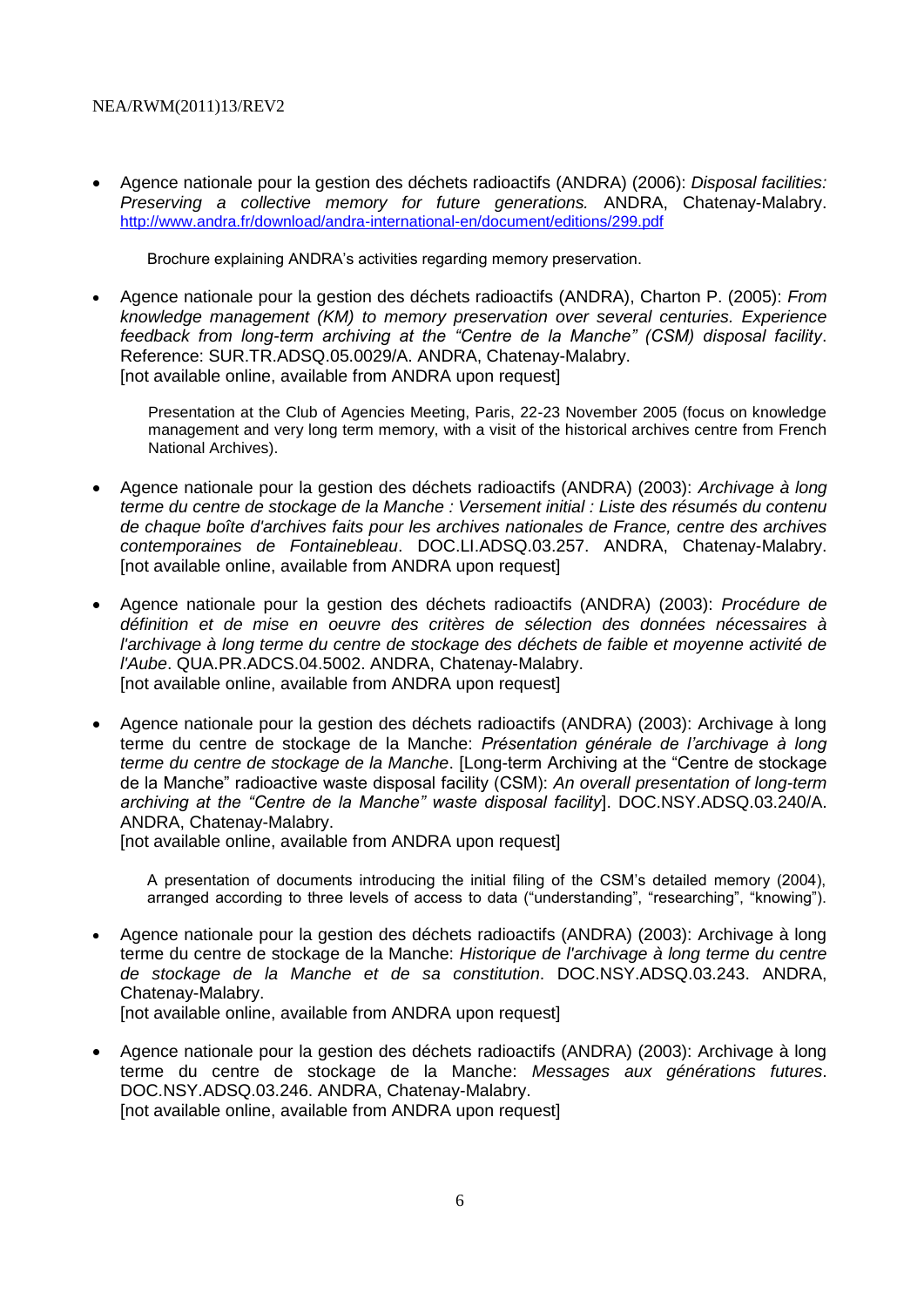Agence nationale pour la gestion des déchets radioactifs (ANDRA) (2006): *Disposal facilities: Preserving a collective memory for future generations.* ANDRA, Chatenay-Malabry. <http://www.andra.fr/download/andra-international-en/document/editions/299.pdf>

Brochure explaining ANDRA's activities regarding memory preservation.

 Agence nationale pour la gestion des déchets radioactifs (ANDRA), Charton P. (2005): *From knowledge management (KM) to memory preservation over several centuries. Experience feedback from long-term archiving at the "Centre de la Manche" (CSM) disposal facility*. Reference: SUR.TR.ADSQ.05.0029/A. ANDRA, Chatenay-Malabry. [not available online, available from ANDRA upon request]

Presentation at the Club of Agencies Meeting, Paris, 22-23 November 2005 (focus on knowledge management and very long term memory, with a visit of the historical archives centre from French National Archives).

- Agence nationale pour la gestion des déchets radioactifs (ANDRA) (2003): *Archivage à long terme du centre de stockage de la Manche : Versement initial : Liste des résumés du contenu de chaque boîte d'archives faits pour les archives nationales de France, centre des archives contemporaines de Fontainebleau*. DOC.LI.ADSQ.03.257. ANDRA, Chatenay-Malabry. [not available online, available from ANDRA upon request]
- Agence nationale pour la gestion des déchets radioactifs (ANDRA) (2003): *Procédure de définition et de mise en oeuvre des critères de sélection des données nécessaires à l'archivage à long terme du centre de stockage des déchets de faible et moyenne activité de l'Aube*. QUA.PR.ADCS.04.5002. ANDRA, Chatenay-Malabry. [not available online, available from ANDRA upon request]
- Agence nationale pour la gestion des déchets radioactifs (ANDRA) (2003): Archivage à long terme du centre de stockage de la Manche: *Présentation générale de l'archivage à long terme du centre de stockage de la Manche*. [Long-term Archiving at the "Centre de stockage de la Manche" radioactive waste disposal facility (CSM): *An overall presentation of long-term archiving at the "Centre de la Manche" waste disposal facility*]. DOC.NSY.ADSQ.03.240/A. ANDRA, Chatenay-Malabry.

[not available online, available from ANDRA upon request]

A presentation of documents introducing the initial filing of the CSM's detailed memory (2004), arranged according to three levels of access to data ("understanding", "researching", "knowing").

- Agence nationale pour la gestion des déchets radioactifs (ANDRA) (2003): Archivage à long terme du centre de stockage de la Manche: *Historique de l'archivage à long terme du centre de stockage de la Manche et de sa constitution*. DOC.NSY.ADSQ.03.243. ANDRA, Chatenay-Malabry. [not available online, available from ANDRA upon request]
- Agence nationale pour la gestion des déchets radioactifs (ANDRA) (2003): Archivage à long terme du centre de stockage de la Manche: *Messages aux générations futures*. DOC.NSY.ADSQ.03.246. ANDRA, Chatenay-Malabry. [not available online, available from ANDRA upon request]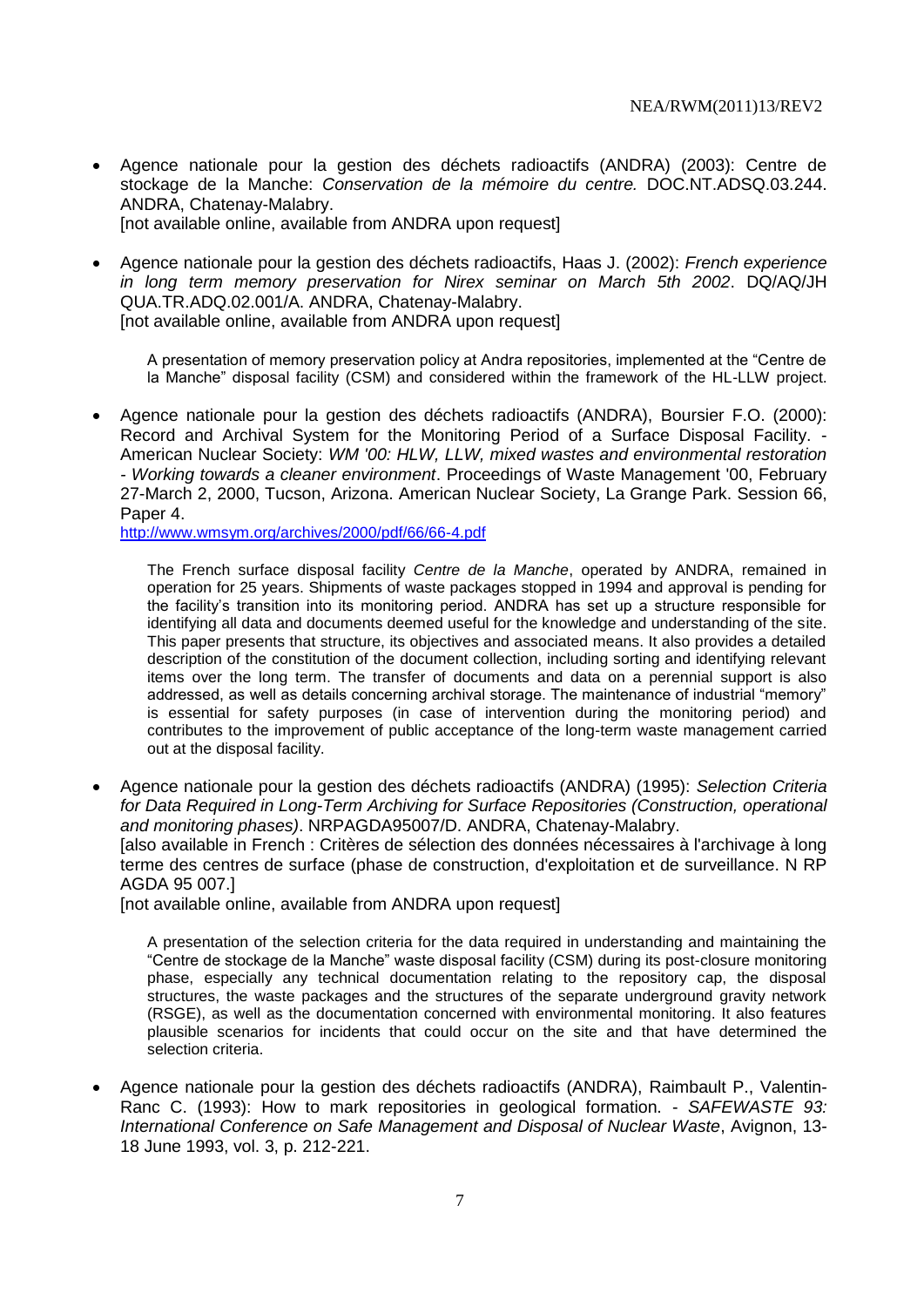- Agence nationale pour la gestion des déchets radioactifs (ANDRA) (2003): Centre de stockage de la Manche: *Conservation de la mémoire du centre.* DOC.NT.ADSQ.03.244. ANDRA, Chatenay-Malabry. [not available online, available from ANDRA upon request]
- Agence nationale pour la gestion des déchets radioactifs, Haas J. (2002): *French experience in long term memory preservation for Nirex seminar on March 5th 2002*. DQ/AQ/JH QUA.TR.ADQ.02.001/A. ANDRA, Chatenay-Malabry.

[not available online, available from ANDRA upon request]

A presentation of memory preservation policy at Andra repositories, implemented at the "Centre de la Manche" disposal facility (CSM) and considered within the framework of the HL-LLW project.

 Agence nationale pour la gestion des déchets radioactifs (ANDRA), Boursier F.O. (2000): Record and Archival System for the Monitoring Period of a Surface Disposal Facility. - American Nuclear Society: *WM '00: HLW, LLW, mixed wastes and environmental restoration - Working towards a cleaner environment*. Proceedings of Waste Management '00, February 27-March 2, 2000, Tucson, Arizona. American Nuclear Society, La Grange Park. Session 66, Paper 4.

<http://www.wmsym.org/archives/2000/pdf/66/66-4.pdf>

The French surface disposal facility *Centre de la Manche*, operated by ANDRA, remained in operation for 25 years. Shipments of waste packages stopped in 1994 and approval is pending for the facility's transition into its monitoring period. ANDRA has set up a structure responsible for identifying all data and documents deemed useful for the knowledge and understanding of the site. This paper presents that structure, its objectives and associated means. It also provides a detailed description of the constitution of the document collection, including sorting and identifying relevant items over the long term. The transfer of documents and data on a perennial support is also addressed, as well as details concerning archival storage. The maintenance of industrial "memory" is essential for safety purposes (in case of intervention during the monitoring period) and contributes to the improvement of public acceptance of the long-term waste management carried out at the disposal facility.

 Agence nationale pour la gestion des déchets radioactifs (ANDRA) (1995): *Selection Criteria for Data Required in Long-Term Archiving for Surface Repositories (Construction, operational and monitoring phases)*. NRPAGDA95007/D. ANDRA, Chatenay-Malabry. [also available in French : Critères de sélection des données nécessaires à l'archivage à long terme des centres de surface (phase de construction, d'exploitation et de surveillance. N RP AGDA 95 007.]

[not available online, available from ANDRA upon request]

A presentation of the selection criteria for the data required in understanding and maintaining the "Centre de stockage de la Manche" waste disposal facility (CSM) during its post-closure monitoring phase, especially any technical documentation relating to the repository cap, the disposal structures, the waste packages and the structures of the separate underground gravity network (RSGE), as well as the documentation concerned with environmental monitoring. It also features plausible scenarios for incidents that could occur on the site and that have determined the selection criteria.

 Agence nationale pour la gestion des déchets radioactifs (ANDRA), Raimbault P., Valentin-Ranc C. (1993): How to mark repositories in geological formation. - *SAFEWASTE 93: International Conference on Safe Management and Disposal of Nuclear Waste*, Avignon, 13- 18 June 1993, vol. 3, p. 212-221.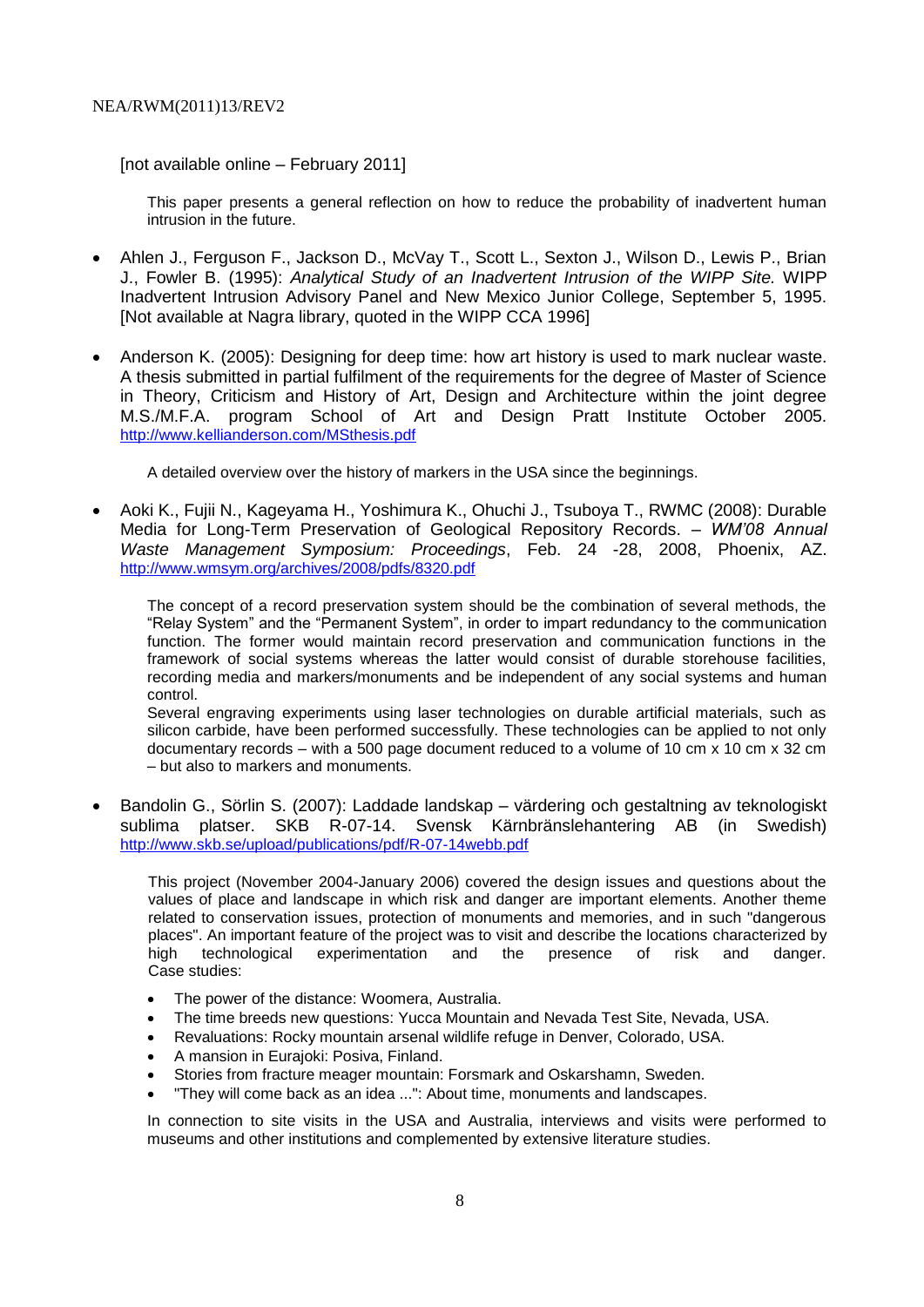[not available online – February 2011]

This paper presents a general reflection on how to reduce the probability of inadvertent human intrusion in the future.

- Ahlen J., Ferguson F., Jackson D., McVay T., Scott L., Sexton J., Wilson D., Lewis P., Brian J., Fowler B. (1995): *Analytical Study of an Inadvertent Intrusion of the WIPP Site.* WIPP Inadvertent Intrusion Advisory Panel and New Mexico Junior College, September 5, 1995. [Not available at Nagra library, quoted in the WIPP CCA 1996]
- Anderson K. (2005): Designing for deep time: how art history is used to mark nuclear waste. A thesis submitted in partial fulfilment of the requirements for the degree of Master of Science in Theory, Criticism and History of Art, Design and Architecture within the joint degree M.S./M.F.A. program School of Art and Design Pratt Institute October 2005. <http://www.kellianderson.com/MSthesis.pdf>

A detailed overview over the history of markers in the USA since the beginnings.

 Aoki K., Fujii N., Kageyama H., Yoshimura K., Ohuchi J., Tsuboya T., RWMC (2008): Durable Media for Long-Term Preservation of Geological Repository Records. – *WM'08 Annual Waste Management Symposium: Proceedings*, Feb. 24 -28, 2008, Phoenix, AZ. <http://www.wmsym.org/archives/2008/pdfs/8320.pdf>

The concept of a record preservation system should be the combination of several methods, the "Relay System" and the "Permanent System", in order to impart redundancy to the communication function. The former would maintain record preservation and communication functions in the framework of social systems whereas the latter would consist of durable storehouse facilities, recording media and markers/monuments and be independent of any social systems and human control.

Several engraving experiments using laser technologies on durable artificial materials, such as silicon carbide, have been performed successfully. These technologies can be applied to not only documentary records – with a 500 page document reduced to a volume of 10 cm x 10 cm x 32 cm – but also to markers and monuments.

 Bandolin G., Sörlin S. (2007): Laddade landskap – värdering och gestaltning av teknologiskt sublima platser. SKB R-07-14. Svensk Kärnbränslehantering AB (in Swedish) <http://www.skb.se/upload/publications/pdf/R-07-14webb.pdf>

This project (November 2004-January 2006) covered the design issues and questions about the values of place and landscape in which risk and danger are important elements. Another theme related to conservation issues, protection of monuments and memories, and in such "dangerous places". An important feature of the project was to visit and describe the locations characterized by high technological experimentation and the presence of risk and danger. Case studies:

- The power of the distance: Woomera, Australia.
- The time breeds new questions: Yucca Mountain and Nevada Test Site, Nevada, USA.
- Revaluations: Rocky mountain arsenal wildlife refuge in Denver, Colorado, USA.
- A mansion in Eurajoki: Posiva, Finland.
- Stories from fracture meager mountain: Forsmark and Oskarshamn, Sweden.
- "They will come back as an idea ...": About time, monuments and landscapes.

In connection to site visits in the USA and Australia, interviews and visits were performed to museums and other institutions and complemented by extensive literature studies.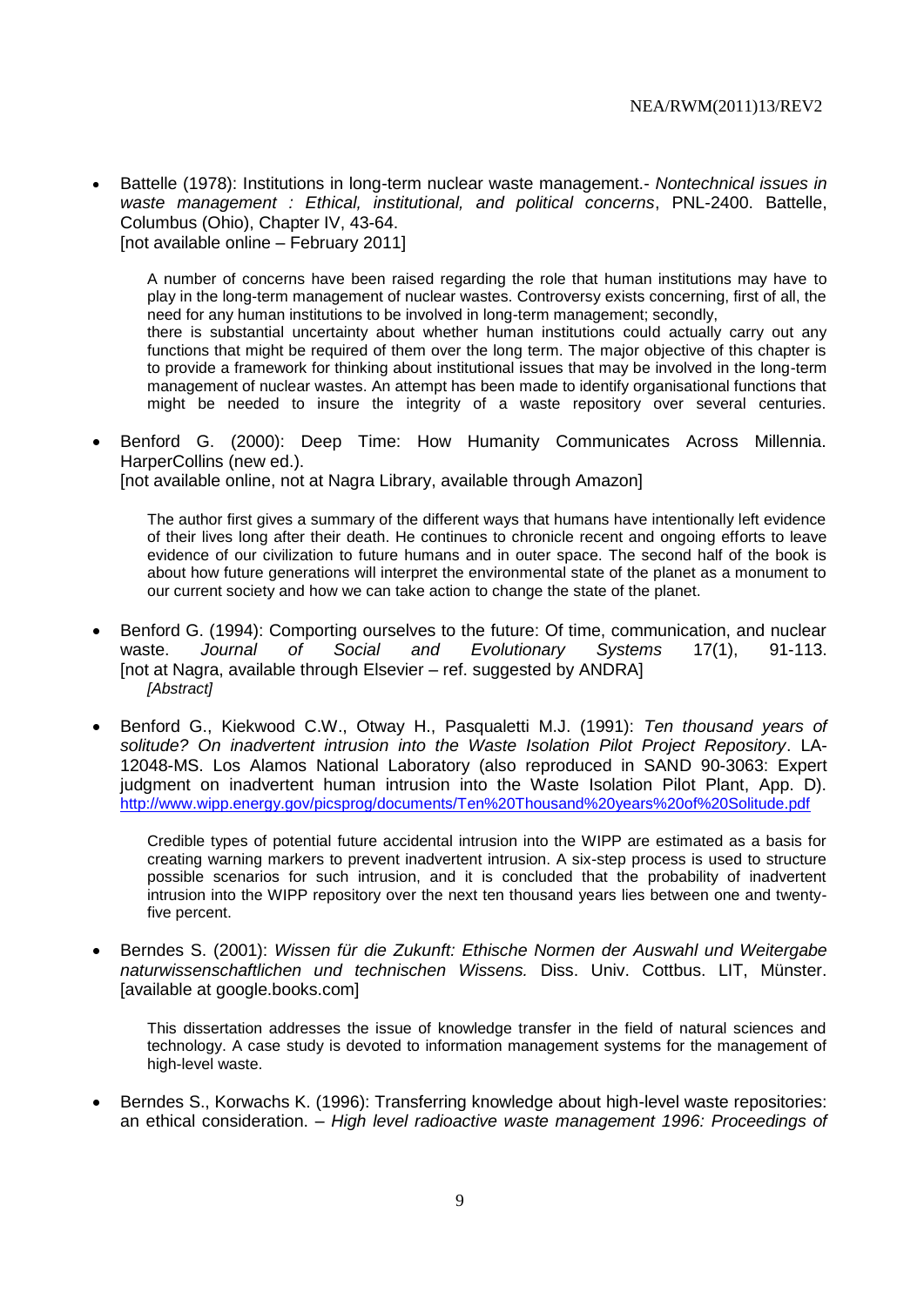Battelle (1978): Institutions in long-term nuclear waste management.- *Nontechnical issues in waste management : Ethical, institutional, and political concerns*, PNL-2400. Battelle, Columbus (Ohio), Chapter IV, 43-64. [not available online – February 2011]

A number of concerns have been raised regarding the role that human institutions may have to play in the long-term management of nuclear wastes. Controversy exists concerning, first of all, the need for any human institutions to be involved in long-term management; secondly, there is substantial uncertainty about whether human institutions could actually carry out any functions that might be required of them over the long term. The major objective of this chapter is to provide a framework for thinking about institutional issues that may be involved in the long-term management of nuclear wastes. An attempt has been made to identify organisational functions that might be needed to insure the integrity of a waste repository over several centuries.

 Benford G. (2000): Deep Time: How Humanity Communicates Across Millennia. HarperCollins (new ed.). [not available online, not at Nagra Library, available through Amazon]

The author first gives a summary of the different ways that humans have intentionally left evidence of their lives long after their death. He continues to chronicle recent and ongoing efforts to leave evidence of our civilization to future humans and in outer space. The second half of the book is about how future generations will interpret the environmental state of the planet as a monument to our current society and how we can take action to change the state of the planet.

- Benford G. (1994): Comporting ourselves to the future: Of time, communication, and nuclear waste. *Journal of Social and Evolutionary Systems* 17(1), 91-113. [not at Nagra, available through Elsevier – ref. suggested by ANDRA] *[Abstract]*
- Benford G., Kiekwood C.W., Otway H., Pasqualetti M.J. (1991): *Ten thousand years of solitude? On inadvertent intrusion into the Waste Isolation Pilot Project Repository*. LA-12048-MS. Los Alamos National Laboratory (also reproduced in SAND 90-3063: Expert judgment on inadvertent human intrusion into the Waste Isolation Pilot Plant, App. D). <http://www.wipp.energy.gov/picsprog/documents/Ten%20Thousand%20years%20of%20Solitude.pdf>

Credible types of potential future accidental intrusion into the WIPP are estimated as a basis for creating warning markers to prevent inadvertent intrusion. A six-step process is used to structure possible scenarios for such intrusion, and it is concluded that the probability of inadvertent intrusion into the WIPP repository over the next ten thousand years lies between one and twentyfive percent.

 Berndes S. (2001): *Wissen für die Zukunft: Ethische Normen der Auswahl und Weitergabe naturwissenschaftlichen und technischen Wissens.* Diss. Univ. Cottbus. LIT, Münster. [available at google.books.com]

This dissertation addresses the issue of knowledge transfer in the field of natural sciences and technology. A case study is devoted to information management systems for the management of high-level waste.

 Berndes S., Korwachs K. (1996): Transferring knowledge about high-level waste repositories: an ethical consideration. – *High level radioactive waste management 1996: Proceedings of*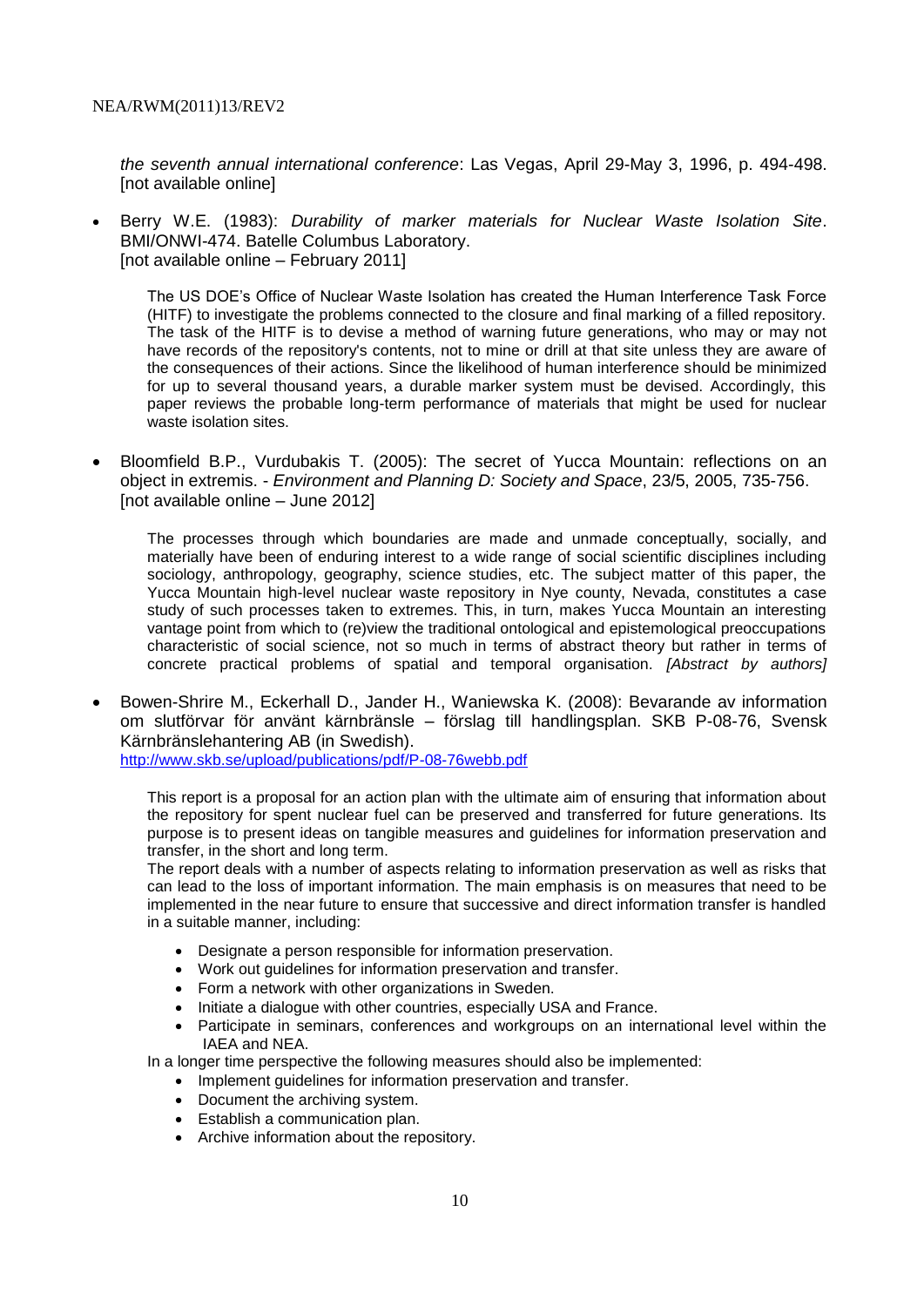*the seventh annual international conference*: Las Vegas, April 29-May 3, 1996, p. 494-498. [not available online]

 Berry W.E. (1983): *Durability of marker materials for Nuclear Waste Isolation Site*. BMI/ONWI-474. Batelle Columbus Laboratory. [not available online – February 2011]

The US DOE's Office of Nuclear Waste Isolation has created the Human Interference Task Force (HITF) to investigate the problems connected to the closure and final marking of a filled repository. The task of the HITF is to devise a method of warning future generations, who may or may not have records of the repository's contents, not to mine or drill at that site unless they are aware of the consequences of their actions. Since the likelihood of human interference should be minimized for up to several thousand years, a durable marker system must be devised. Accordingly, this paper reviews the probable long-term performance of materials that might be used for nuclear waste isolation sites.

 Bloomfield B.P., Vurdubakis T. (2005): The secret of Yucca Mountain: reflections on an object in extremis. - *Environment and Planning D: Society and Space*, 23/5, 2005, 735-756. [not available online – June 2012]

The processes through which boundaries are made and unmade conceptually, socially, and materially have been of enduring interest to a wide range of social scientific disciplines including sociology, anthropology, geography, science studies, etc. The subject matter of this paper, the Yucca Mountain high-level nuclear waste repository in Nye county, Nevada, constitutes a case study of such processes taken to extremes. This, in turn, makes Yucca Mountain an interesting vantage point from which to (re)view the traditional ontological and epistemological preoccupations characteristic of social science, not so much in terms of abstract theory but rather in terms of concrete practical problems of spatial and temporal organisation. *[Abstract by authors]*

 Bowen-Shrire M., Eckerhall D., Jander H., Waniewska K. (2008): Bevarande av information om slutförvar för använt kärnbränsle – förslag till handlingsplan. SKB P-08-76, Svensk Kärnbränslehantering AB (in Swedish).

<http://www.skb.se/upload/publications/pdf/P-08-76webb.pdf>

This report is a proposal for an action plan with the ultimate aim of ensuring that information about the repository for spent nuclear fuel can be preserved and transferred for future generations. Its purpose is to present ideas on tangible measures and guidelines for information preservation and transfer, in the short and long term.

The report deals with a number of aspects relating to information preservation as well as risks that can lead to the loss of important information. The main emphasis is on measures that need to be implemented in the near future to ensure that successive and direct information transfer is handled in a suitable manner, including:

- Designate a person responsible for information preservation.
- Work out guidelines for information preservation and transfer.
- Form a network with other organizations in Sweden.
- Initiate a dialogue with other countries, especially USA and France.
- Participate in seminars, conferences and workgroups on an international level within the IAEA and NEA.

In a longer time perspective the following measures should also be implemented:

- Implement quidelines for information preservation and transfer.
- Document the archiving system.
- Establish a communication plan.
- Archive information about the repository.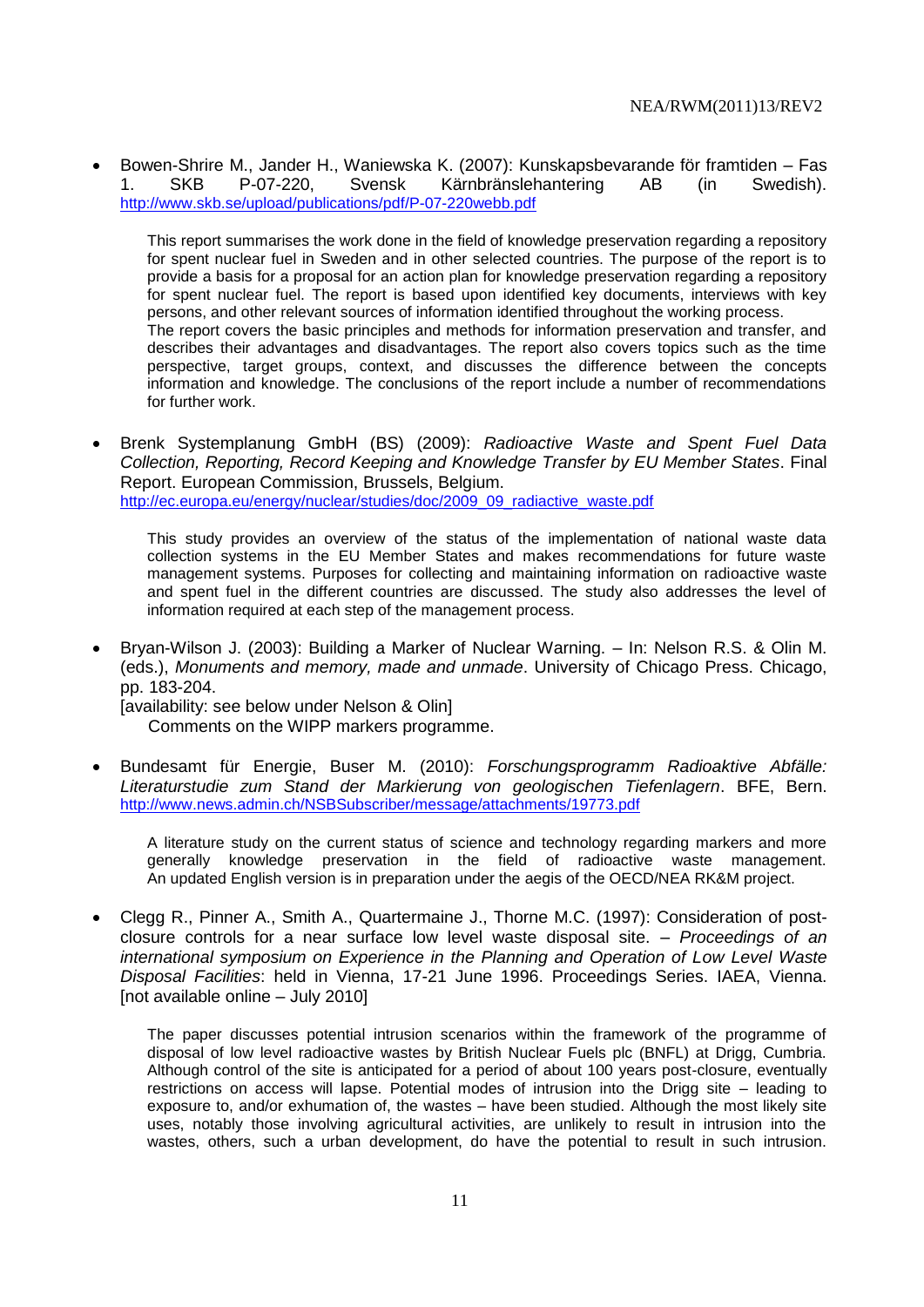Bowen-Shrire M., Jander H., Waniewska K. (2007): Kunskapsbevarande för framtiden – Fas 1. SKB P-07-220, Svensk Kärnbränslehantering AB (in Swedish). <http://www.skb.se/upload/publications/pdf/P-07-220webb.pdf>

This report summarises the work done in the field of knowledge preservation regarding a repository for spent nuclear fuel in Sweden and in other selected countries. The purpose of the report is to provide a basis for a proposal for an action plan for knowledge preservation regarding a repository for spent nuclear fuel. The report is based upon identified key documents, interviews with key persons, and other relevant sources of information identified throughout the working process. The report covers the basic principles and methods for information preservation and transfer, and describes their advantages and disadvantages. The report also covers topics such as the time perspective, target groups, context, and discusses the difference between the concepts information and knowledge. The conclusions of the report include a number of recommendations for further work.

 Brenk Systemplanung GmbH (BS) (2009): *Radioactive Waste and Spent Fuel Data Collection, Reporting, Record Keeping and Knowledge Transfer by EU Member States*. Final Report. European Commission, Brussels, Belgium. [http://ec.europa.eu/energy/nuclear/studies/doc/2009\\_09\\_radiactive\\_waste.pdf](http://ec.europa.eu/energy/nuclear/studies/doc/2009_09_radiactive_waste.pdf)

This study provides an overview of the status of the implementation of national waste data collection systems in the EU Member States and makes recommendations for future waste management systems. Purposes for collecting and maintaining information on radioactive waste and spent fuel in the different countries are discussed. The study also addresses the level of information required at each step of the management process.

 Bryan-Wilson J. (2003): Building a Marker of Nuclear Warning. – In: Nelson R.S. & Olin M. (eds.), *Monuments and memory, made and unmade*. University of Chicago Press. Chicago, pp. 183-204.

[availability: see below under Nelson & Olin] Comments on the WIPP markers programme.

 Bundesamt für Energie, Buser M. (2010): *Forschungsprogramm Radioaktive Abfälle: Literaturstudie zum Stand der Markierung von geologischen Tiefenlagern*. BFE, Bern. <http://www.news.admin.ch/NSBSubscriber/message/attachments/19773.pdf>

A literature study on the current status of science and technology regarding markers and more generally knowledge preservation in the field of radioactive waste management. An updated English version is in preparation under the aegis of the OECD/NEA RK&M project.

 Clegg R., Pinner A., Smith A., Quartermaine J., Thorne M.C. (1997): Consideration of postclosure controls for a near surface low level waste disposal site. – *Proceedings of an international symposium on Experience in the Planning and Operation of Low Level Waste Disposal Facilities*: held in Vienna, 17-21 June 1996. Proceedings Series. IAEA, Vienna. [not available online – July 2010]

The paper discusses potential intrusion scenarios within the framework of the programme of disposal of low level radioactive wastes by British Nuclear Fuels plc (BNFL) at Drigg, Cumbria. Although control of the site is anticipated for a period of about 100 years post-closure, eventually restrictions on access will lapse. Potential modes of intrusion into the Drigg site – leading to exposure to, and/or exhumation of, the wastes – have been studied. Although the most likely site uses, notably those involving agricultural activities, are unlikely to result in intrusion into the wastes, others, such a urban development, do have the potential to result in such intrusion.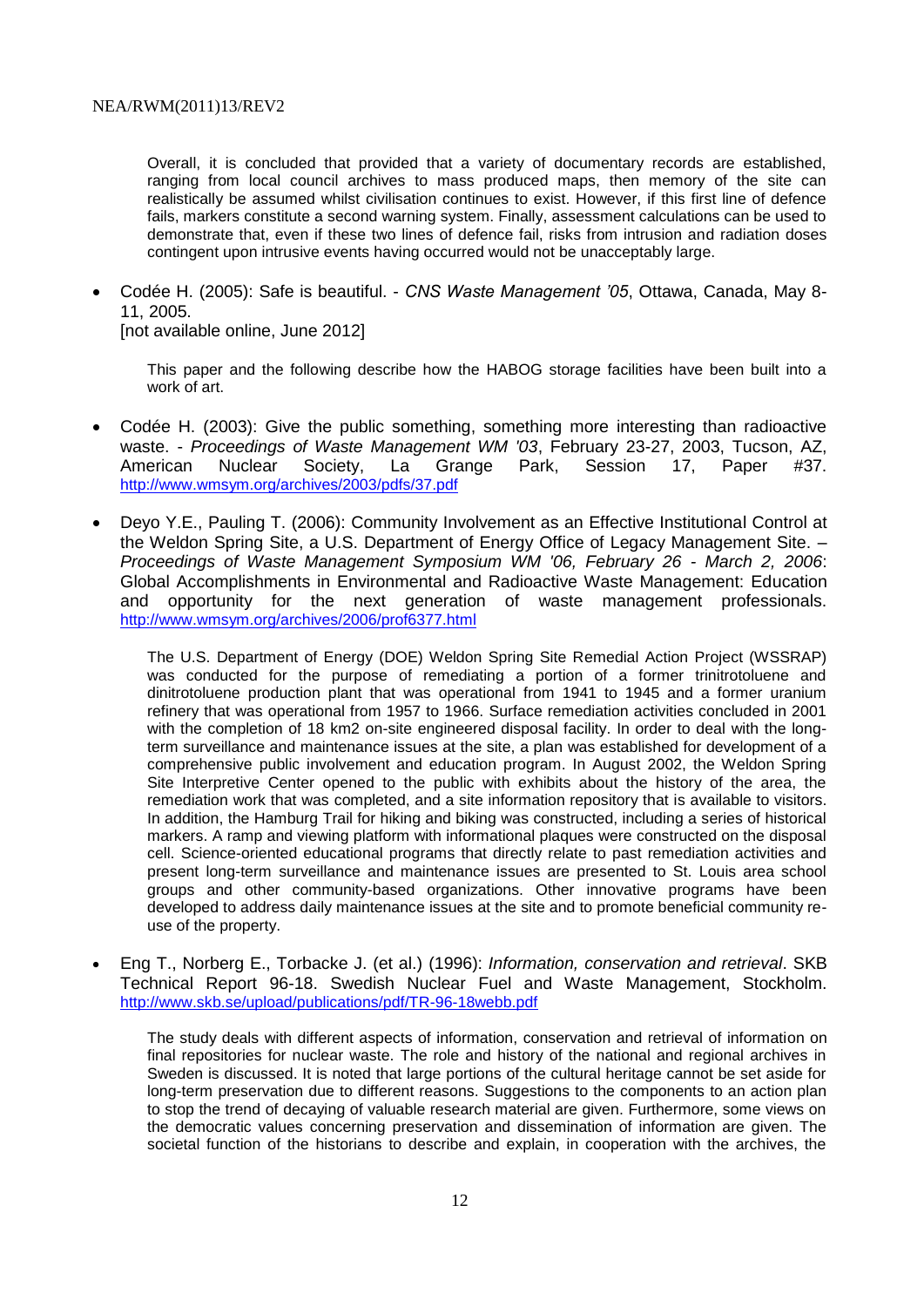Overall, it is concluded that provided that a variety of documentary records are established, ranging from local council archives to mass produced maps, then memory of the site can realistically be assumed whilst civilisation continues to exist. However, if this first line of defence fails, markers constitute a second warning system. Finally, assessment calculations can be used to demonstrate that, even if these two lines of defence fail, risks from intrusion and radiation doses contingent upon intrusive events having occurred would not be unacceptably large.

 Codée H. (2005): Safe is beautiful. - *CNS Waste Management '05*, Ottawa, Canada, May 8- 11, 2005.

[not available online, June 2012]

This paper and the following describe how the HABOG storage facilities have been built into a work of art.

- Codée H. (2003): Give the public something, something more interesting than radioactive waste. - *Proceedings of Waste Management WM '03*, February 23-27, 2003, Tucson, AZ, American Nuclear Society, La Grange Park, Session 17, Paper #37. <http://www.wmsym.org/archives/2003/pdfs/37.pdf>
- Deyo Y.E., Pauling T. (2006): Community Involvement as an Effective Institutional Control at the Weldon Spring Site, a U.S. Department of Energy Office of Legacy Management Site. – *Proceedings of Waste Management Symposium WM '06, February 26 - March 2, 2006*: Global Accomplishments in Environmental and Radioactive Waste Management: Education and opportunity for the next generation of waste management professionals. <http://www.wmsym.org/archives/2006/prof6377.html>

The U.S. Department of Energy (DOE) Weldon Spring Site Remedial Action Project (WSSRAP) was conducted for the purpose of remediating a portion of a former trinitrotoluene and dinitrotoluene production plant that was operational from 1941 to 1945 and a former uranium refinery that was operational from 1957 to 1966. Surface remediation activities concluded in 2001 with the completion of 18 km2 on-site engineered disposal facility. In order to deal with the longterm surveillance and maintenance issues at the site, a plan was established for development of a comprehensive public involvement and education program. In August 2002, the Weldon Spring Site Interpretive Center opened to the public with exhibits about the history of the area, the remediation work that was completed, and a site information repository that is available to visitors. In addition, the Hamburg Trail for hiking and biking was constructed, including a series of historical markers. A ramp and viewing platform with informational plaques were constructed on the disposal cell. Science-oriented educational programs that directly relate to past remediation activities and present long-term surveillance and maintenance issues are presented to St. Louis area school groups and other community-based organizations. Other innovative programs have been developed to address daily maintenance issues at the site and to promote beneficial community reuse of the property.

 Eng T., Norberg E., Torbacke J. (et al.) (1996): *Information, conservation and retrieval*. SKB Technical Report 96-18. Swedish Nuclear Fuel and Waste Management, Stockholm. <http://www.skb.se/upload/publications/pdf/TR-96-18webb.pdf>

The study deals with different aspects of information, conservation and retrieval of information on final repositories for nuclear waste. The role and history of the national and regional archives in Sweden is discussed. It is noted that large portions of the cultural heritage cannot be set aside for long-term preservation due to different reasons. Suggestions to the components to an action plan to stop the trend of decaying of valuable research material are given. Furthermore, some views on the democratic values concerning preservation and dissemination of information are given. The societal function of the historians to describe and explain, in cooperation with the archives, the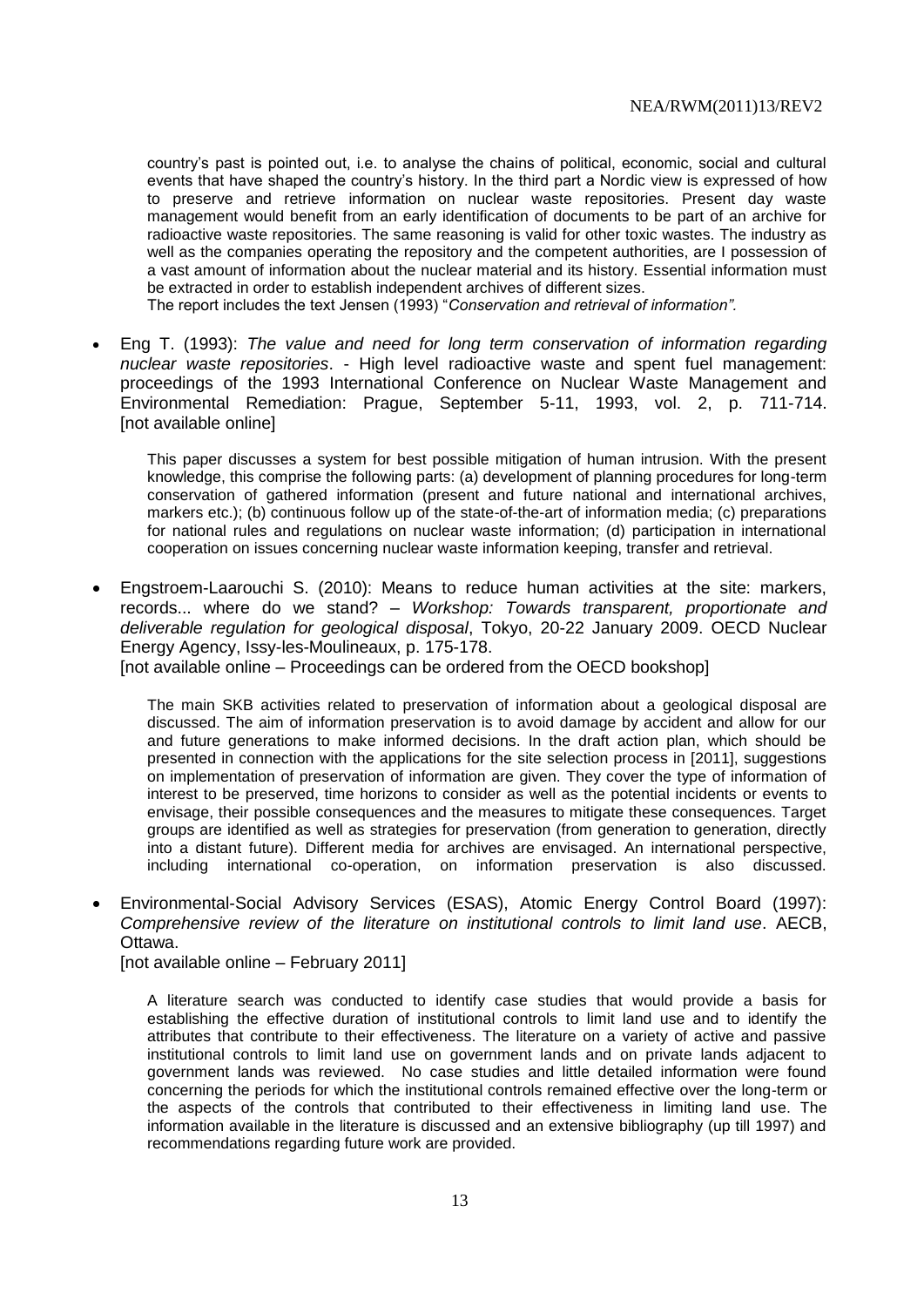country's past is pointed out, i.e. to analyse the chains of political, economic, social and cultural events that have shaped the country's history. In the third part a Nordic view is expressed of how to preserve and retrieve information on nuclear waste repositories. Present day waste management would benefit from an early identification of documents to be part of an archive for radioactive waste repositories. The same reasoning is valid for other toxic wastes. The industry as well as the companies operating the repository and the competent authorities, are I possession of a vast amount of information about the nuclear material and its history. Essential information must be extracted in order to establish independent archives of different sizes.

The report includes the text Jensen (1993) "*Conservation and retrieval of information".*

 Eng T. (1993): *The value and need for long term conservation of information regarding nuclear waste repositories*. - High level radioactive waste and spent fuel management: proceedings of the 1993 International Conference on Nuclear Waste Management and Environmental Remediation: Prague, September 5-11, 1993, vol. 2, p. 711-714. [not available online]

This paper discusses a system for best possible mitigation of human intrusion. With the present knowledge, this comprise the following parts: (a) development of planning procedures for long-term conservation of gathered information (present and future national and international archives, markers etc.); (b) continuous follow up of the state-of-the-art of information media; (c) preparations for national rules and regulations on nuclear waste information; (d) participation in international cooperation on issues concerning nuclear waste information keeping, transfer and retrieval.

 Engstroem-Laarouchi S. (2010): Means to reduce human activities at the site: markers, records... where do we stand? – *Workshop: Towards transparent, proportionate and deliverable regulation for geological disposal*, Tokyo, 20-22 January 2009. OECD Nuclear Energy Agency, Issy-les-Moulineaux, p. 175-178.

[not available online – Proceedings can be ordered from the OECD bookshop]

The main SKB activities related to preservation of information about a geological disposal are discussed. The aim of information preservation is to avoid damage by accident and allow for our and future generations to make informed decisions. In the draft action plan, which should be presented in connection with the applications for the site selection process in [2011], suggestions on implementation of preservation of information are given. They cover the type of information of interest to be preserved, time horizons to consider as well as the potential incidents or events to envisage, their possible consequences and the measures to mitigate these consequences. Target groups are identified as well as strategies for preservation (from generation to generation, directly into a distant future). Different media for archives are envisaged. An international perspective, including international co-operation, on information preservation is also discussed.

 Environmental-Social Advisory Services (ESAS), Atomic Energy Control Board (1997): *Comprehensive review of the literature on institutional controls to limit land use*. AECB, Ottawa.

[not available online – February 2011]

A literature search was conducted to identify case studies that would provide a basis for establishing the effective duration of institutional controls to limit land use and to identify the attributes that contribute to their effectiveness. The literature on a variety of active and passive institutional controls to limit land use on government lands and on private lands adjacent to government lands was reviewed. No case studies and little detailed information were found concerning the periods for which the institutional controls remained effective over the long-term or the aspects of the controls that contributed to their effectiveness in limiting land use. The information available in the literature is discussed and an extensive bibliography (up till 1997) and recommendations regarding future work are provided.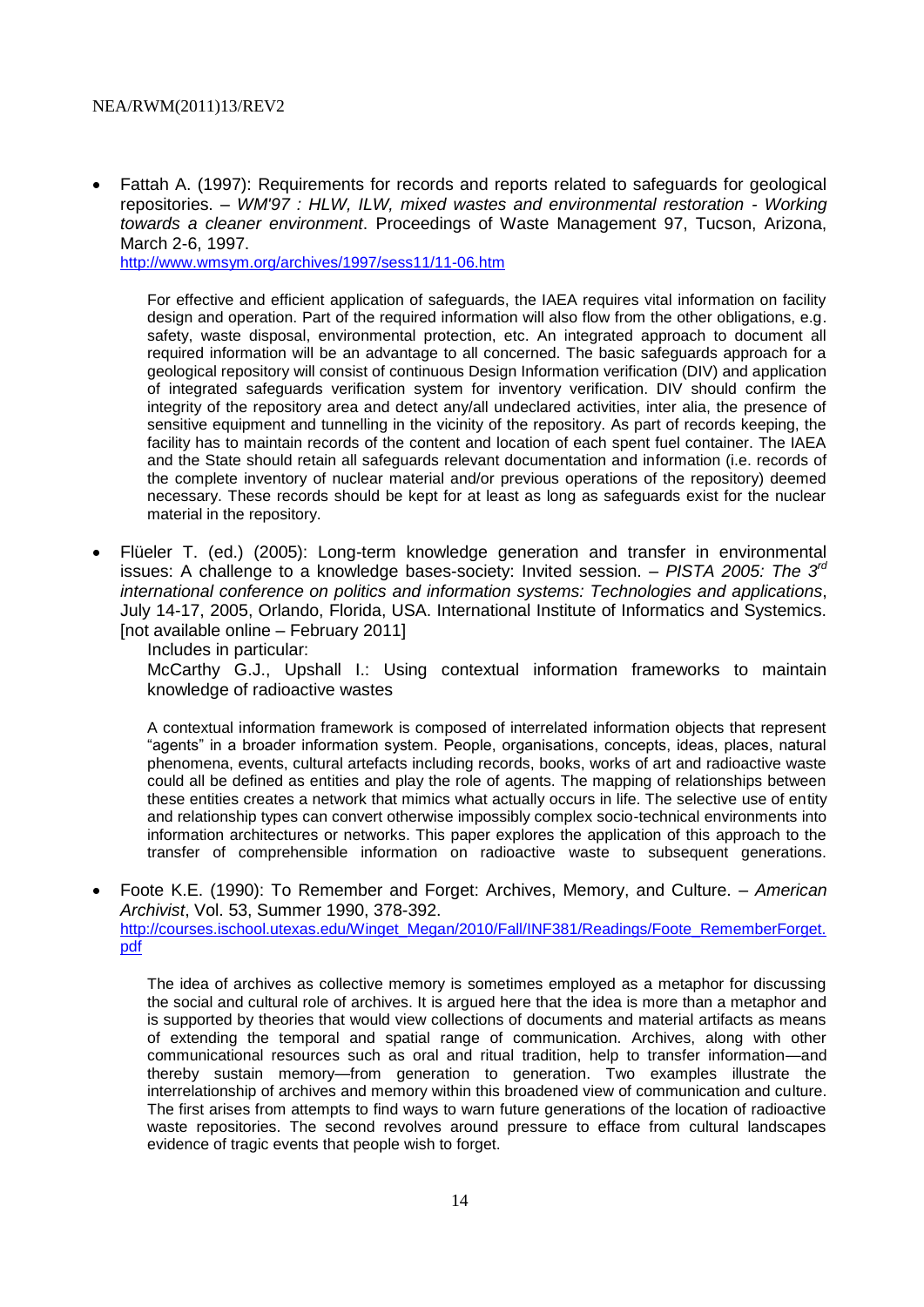Fattah A. (1997): Requirements for records and reports related to safeguards for geological repositories. – *WM'97 : HLW, ILW, mixed wastes and environmental restoration - Working towards a cleaner environment*. Proceedings of Waste Management 97, Tucson, Arizona, March 2-6, 1997.

<http://www.wmsym.org/archives/1997/sess11/11-06.htm>

For effective and efficient application of safeguards, the IAEA requires vital information on facility design and operation. Part of the required information will also flow from the other obligations, e.g. safety, waste disposal, environmental protection, etc. An integrated approach to document all required information will be an advantage to all concerned. The basic safeguards approach for a geological repository will consist of continuous Design Information verification (DIV) and application of integrated safeguards verification system for inventory verification. DIV should confirm the integrity of the repository area and detect any/all undeclared activities, inter alia, the presence of sensitive equipment and tunnelling in the vicinity of the repository. As part of records keeping, the facility has to maintain records of the content and location of each spent fuel container. The IAEA and the State should retain all safeguards relevant documentation and information (i.e. records of the complete inventory of nuclear material and/or previous operations of the repository) deemed necessary. These records should be kept for at least as long as safeguards exist for the nuclear material in the repository.

 Flüeler T. (ed.) (2005): Long-term knowledge generation and transfer in environmental issues: A challenge to a knowledge bases-society: Invited session. – *PISTA 2005: The 3rd international conference on politics and information systems: Technologies and applications*, July 14-17, 2005, Orlando, Florida, USA. International Institute of Informatics and Systemics. [not available online – February 2011]

Includes in particular:

McCarthy G.J., Upshall I.: Using contextual information frameworks to maintain knowledge of radioactive wastes

A contextual information framework is composed of interrelated information objects that represent "agents" in a broader information system. People, organisations, concepts, ideas, places, natural phenomena, events, cultural artefacts including records, books, works of art and radioactive waste could all be defined as entities and play the role of agents. The mapping of relationships between these entities creates a network that mimics what actually occurs in life. The selective use of entity and relationship types can convert otherwise impossibly complex socio-technical environments into information architectures or networks. This paper explores the application of this approach to the transfer of comprehensible information on radioactive waste to subsequent generations.

 Foote K.E. (1990): To Remember and Forget: Archives, Memory, and Culture. – *American Archivist*, Vol. 53, Summer 1990, 378-392.

[http://courses.ischool.utexas.edu/Winget\\_Megan/2010/Fall/INF381/Readings/Foote\\_RememberForget.](http://courses.ischool.utexas.edu/Winget_Megan/2010/Fall/INF381/Readings/Foote_RememberForget.pdf) [pdf](http://courses.ischool.utexas.edu/Winget_Megan/2010/Fall/INF381/Readings/Foote_RememberForget.pdf)

The idea of archives as collective memory is sometimes employed as a metaphor for discussing the social and cultural role of archives. It is argued here that the idea is more than a metaphor and is supported by theories that would view collections of documents and material artifacts as means of extending the temporal and spatial range of communication. Archives, along with other communicational resources such as oral and ritual tradition, help to transfer information—and thereby sustain memory—from generation to generation. Two examples illustrate the interrelationship of archives and memory within this broadened view of communication and culture. The first arises from attempts to find ways to warn future generations of the location of radioactive waste repositories. The second revolves around pressure to efface from cultural landscapes evidence of tragic events that people wish to forget.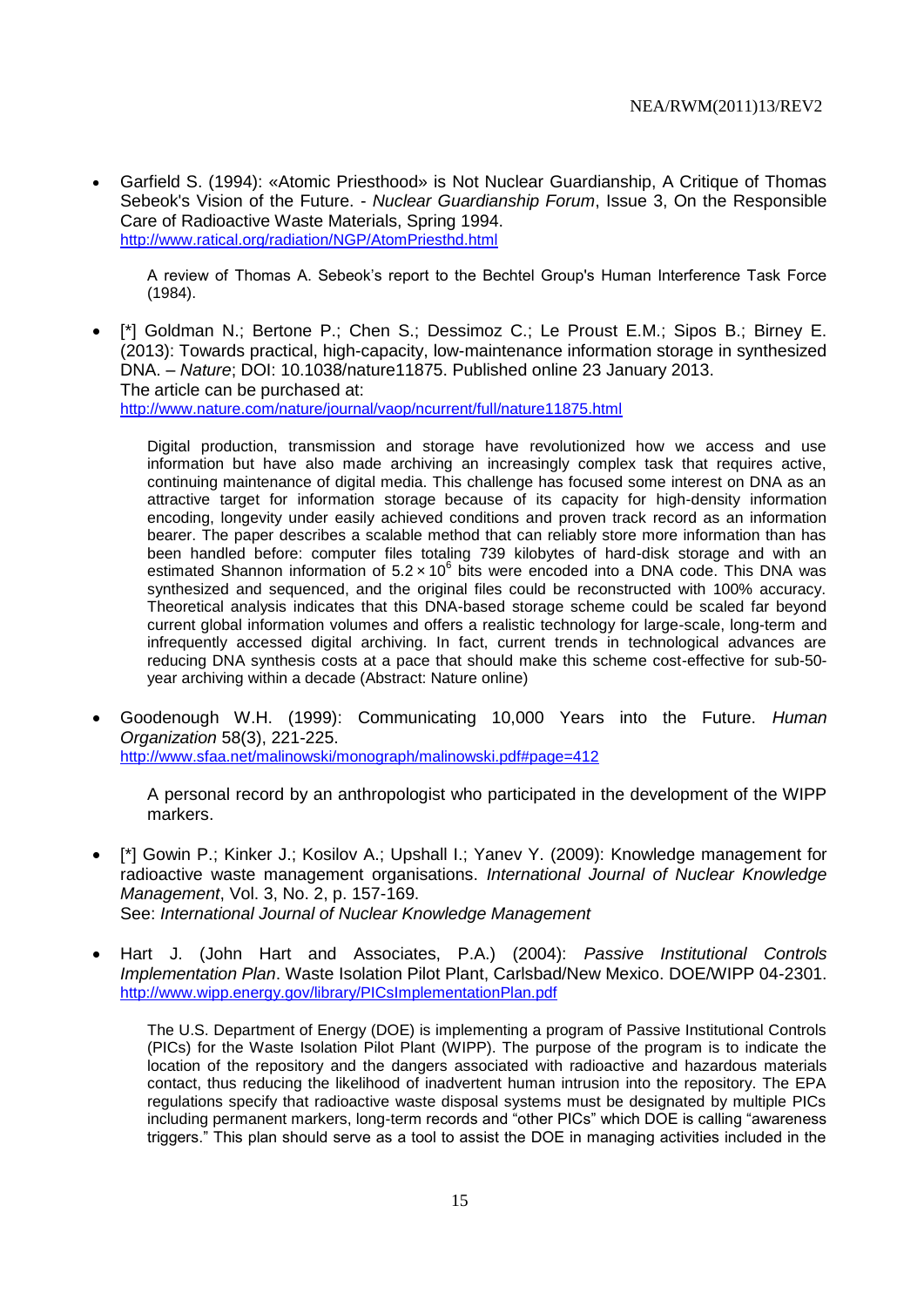Garfield S. (1994): «Atomic Priesthood» is Not Nuclear Guardianship, A Critique of Thomas Sebeok's Vision of the Future. - *Nuclear Guardianship Forum*, Issue 3, On the Responsible Care of Radioactive Waste Materials, Spring 1994. <http://www.ratical.org/radiation/NGP/AtomPriesthd.html>

A review of Thomas A. Sebeok's report to the Bechtel Group's Human Interference Task Force (1984).

 [\*] Goldman N.; Bertone P.; Chen S.; Dessimoz C.; Le Proust E.M.; Sipos B.; Birney E. (2013): Towards practical, high-capacity, low-maintenance information storage in synthesized DNA. – *Nature*; DOI: 10.1038/nature11875. Published online 23 January 2013. The article can be purchased at: <http://www.nature.com/nature/journal/vaop/ncurrent/full/nature11875.html>

Digital production, transmission and storage have revolutionized how we access and use information but have also made archiving an increasingly complex task that requires active, continuing maintenance of digital media. This challenge has focused some interest on DNA as an attractive target for information storage because of its capacity for high-density information encoding, longevity under easily achieved conditions and proven track record as an information bearer. The paper describes a scalable method that can reliably store more information than has been handled before: computer files totaling 739 kilobytes of hard-disk storage and with an estimated Shannon information of  $5.2 \times 10^6$  bits were encoded into a DNA code. This DNA was synthesized and sequenced, and the original files could be reconstructed with 100% accuracy. Theoretical analysis indicates that this DNA-based storage scheme could be scaled far beyond current global information volumes and offers a realistic technology for large-scale, long-term and infrequently accessed digital archiving. In fact, current trends in technological advances are reducing DNA synthesis costs at a pace that should make this scheme cost-effective for sub-50 year archiving within a decade (Abstract: Nature online)

 Goodenough W.H. (1999): Communicating 10,000 Years into the Future. *Human Organization* 58(3), 221-225. <http://www.sfaa.net/malinowski/monograph/malinowski.pdf#page=412>

A personal record by an anthropologist who participated in the development of the WIPP markers.

- [\*] Gowin P.; Kinker J.; Kosilov A.; Upshall I.; Yanev Y. (2009): Knowledge management for radioactive waste management organisations. *International Journal of Nuclear Knowledge Management*, Vol. 3, No. 2, p. 157-169. See: *International Journal of Nuclear Knowledge Management*
- Hart J. (John Hart and Associates, P.A.) (2004): *Passive Institutional Controls Implementation Plan*. Waste Isolation Pilot Plant, Carlsbad/New Mexico. DOE/WIPP 04-2301. <http://www.wipp.energy.gov/library/PICsImplementationPlan.pdf>

The U.S. Department of Energy (DOE) is implementing a program of Passive Institutional Controls (PICs) for the Waste Isolation Pilot Plant (WIPP). The purpose of the program is to indicate the location of the repository and the dangers associated with radioactive and hazardous materials contact, thus reducing the likelihood of inadvertent human intrusion into the repository. The EPA regulations specify that radioactive waste disposal systems must be designated by multiple PICs including permanent markers, long-term records and "other PICs" which DOE is calling "awareness triggers." This plan should serve as a tool to assist the DOE in managing activities included in the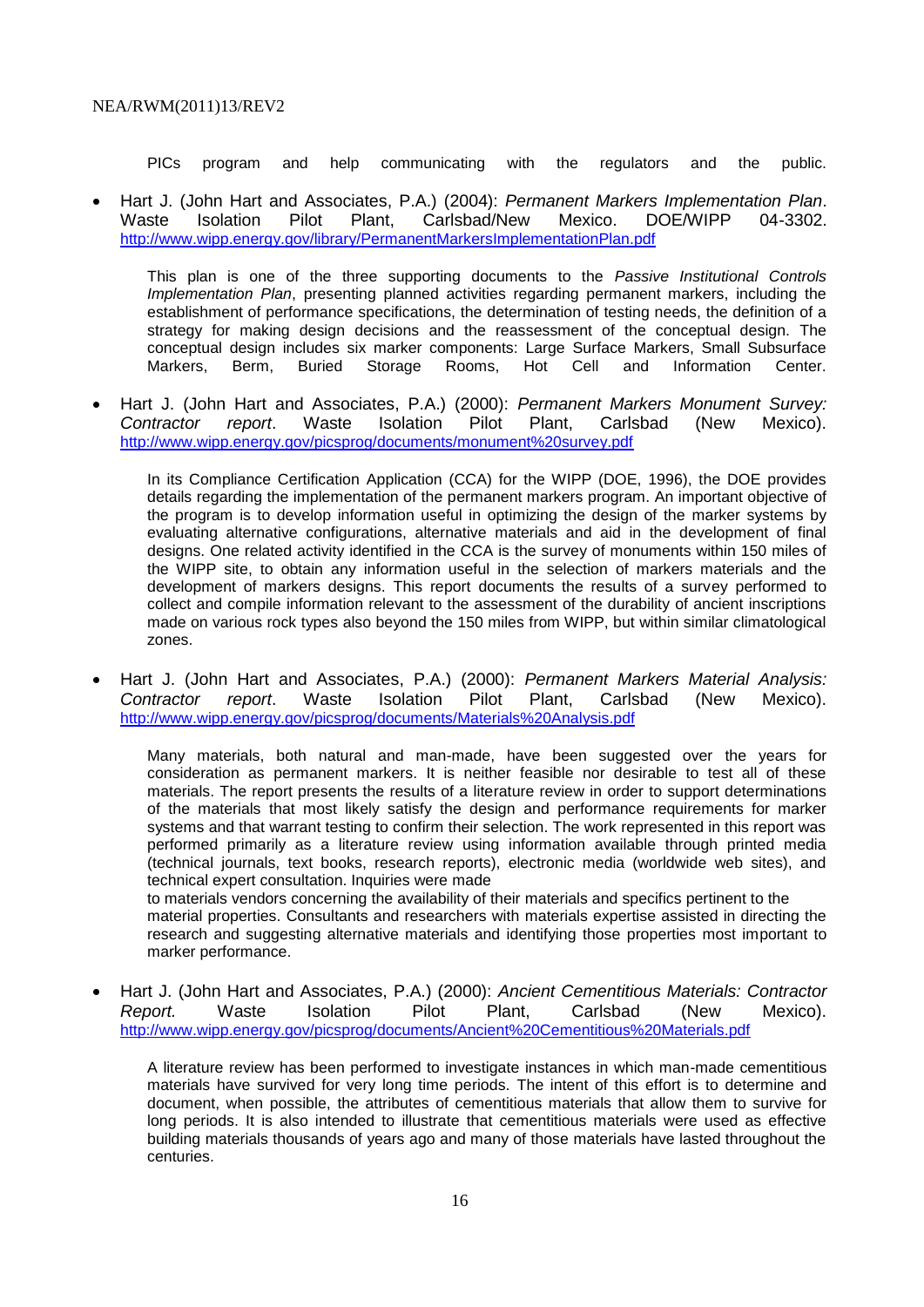PICs program and help communicating with the regulators and the public.

 Hart J. (John Hart and Associates, P.A.) (2004): *Permanent Markers Implementation Plan*. Waste Isolation Pilot Plant, Carlsbad/New Mexico. DOE/WIPP 04-3302. <http://www.wipp.energy.gov/library/PermanentMarkersImplementationPlan.pdf>

This plan is one of the three supporting documents to the *Passive Institutional Controls Implementation Plan*, presenting planned activities regarding permanent markers, including the establishment of performance specifications, the determination of testing needs, the definition of a strategy for making design decisions and the reassessment of the conceptual design. The conceptual design includes six marker components: Large Surface Markers, Small Subsurface Markers, Berm, Buried Storage Rooms, Hot Cell and Information Center.

 Hart J. (John Hart and Associates, P.A.) (2000): *Permanent Markers Monument Survey: Contractor report*. Waste Isolation Pilot Plant, Carlsbad (New Mexico). <http://www.wipp.energy.gov/picsprog/documents/monument%20survey.pdf>

In its Compliance Certification Application (CCA) for the WIPP (DOE, 1996), the DOE provides details regarding the implementation of the permanent markers program. An important objective of the program is to develop information useful in optimizing the design of the marker systems by evaluating alternative configurations, alternative materials and aid in the development of final designs. One related activity identified in the CCA is the survey of monuments within 150 miles of the WIPP site, to obtain any information useful in the selection of markers materials and the development of markers designs. This report documents the results of a survey performed to collect and compile information relevant to the assessment of the durability of ancient inscriptions made on various rock types also beyond the 150 miles from WIPP, but within similar climatological zones.

 Hart J. (John Hart and Associates, P.A.) (2000): *Permanent Markers Material Analysis: Contractor report*. Waste Isolation Pilot Plant, Carlsbad (New Mexico). <http://www.wipp.energy.gov/picsprog/documents/Materials%20Analysis.pdf>

Many materials, both natural and man-made, have been suggested over the years for consideration as permanent markers. It is neither feasible nor desirable to test all of these materials. The report presents the results of a literature review in order to support determinations of the materials that most likely satisfy the design and performance requirements for marker systems and that warrant testing to confirm their selection. The work represented in this report was performed primarily as a literature review using information available through printed media (technical journals, text books, research reports), electronic media (worldwide web sites), and technical expert consultation. Inquiries were made

to materials vendors concerning the availability of their materials and specifics pertinent to the material properties. Consultants and researchers with materials expertise assisted in directing the research and suggesting alternative materials and identifying those properties most important to marker performance.

 Hart J. (John Hart and Associates, P.A.) (2000): *Ancient Cementitious Materials: Contractor Report.* Waste Isolation Pilot Plant, Carlsbad (New Mexico). <http://www.wipp.energy.gov/picsprog/documents/Ancient%20Cementitious%20Materials.pdf>

A literature review has been performed to investigate instances in which man-made cementitious materials have survived for very long time periods. The intent of this effort is to determine and document, when possible, the attributes of cementitious materials that allow them to survive for long periods. It is also intended to illustrate that cementitious materials were used as effective building materials thousands of years ago and many of those materials have lasted throughout the centuries.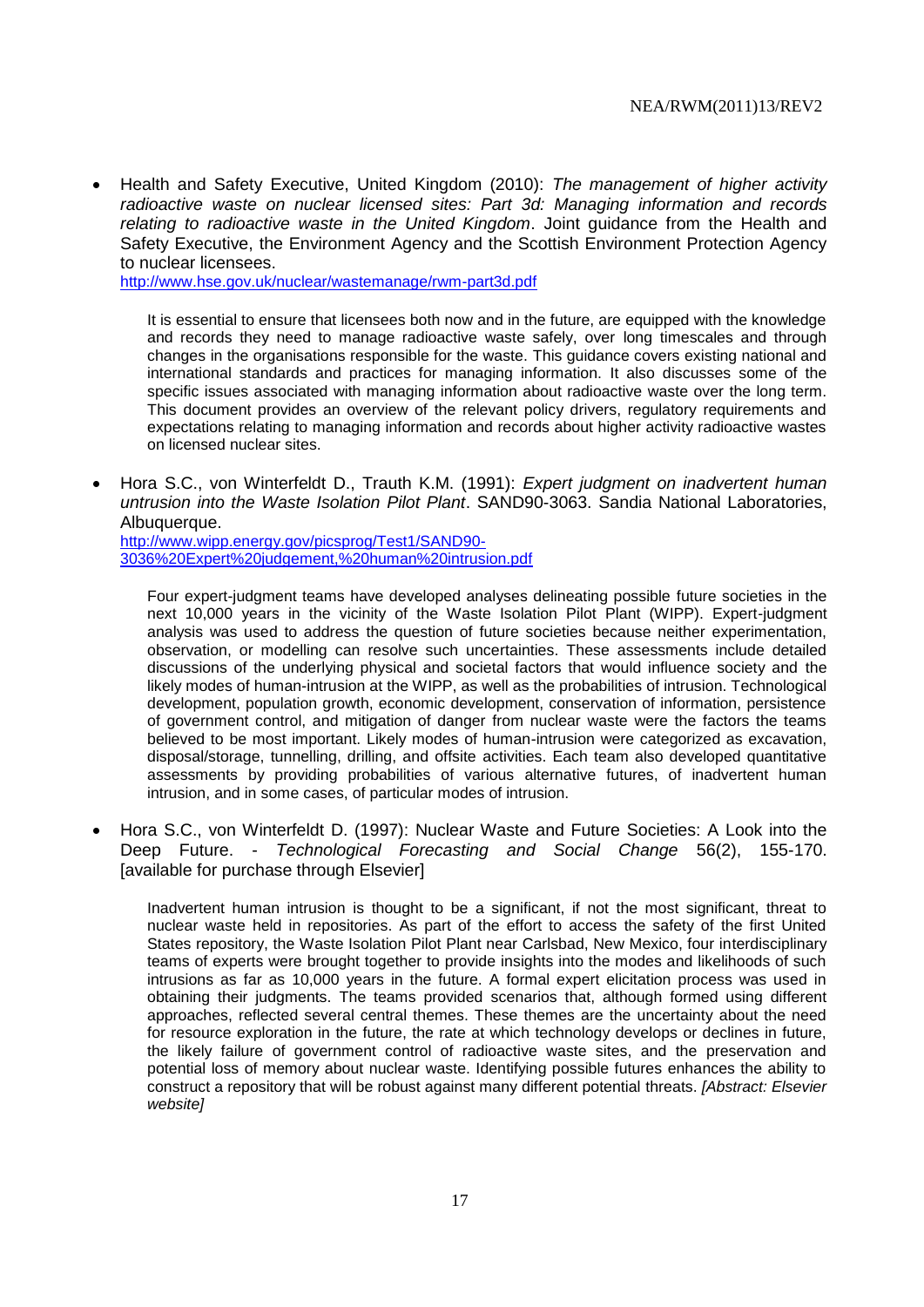Health and Safety Executive, United Kingdom (2010): *The management of higher activity radioactive waste on nuclear licensed sites: Part 3d: Managing information and records relating to radioactive waste in the United Kingdom*. Joint guidance from the Health and Safety Executive, the Environment Agency and the Scottish Environment Protection Agency to nuclear licensees.

<http://www.hse.gov.uk/nuclear/wastemanage/rwm-part3d.pdf>

It is essential to ensure that licensees both now and in the future, are equipped with the knowledge and records they need to manage radioactive waste safely, over long timescales and through changes in the organisations responsible for the waste. This guidance covers existing national and international standards and practices for managing information. It also discusses some of the specific issues associated with managing information about radioactive waste over the long term. This document provides an overview of the relevant policy drivers, regulatory requirements and expectations relating to managing information and records about higher activity radioactive wastes on licensed nuclear sites.

 Hora S.C., von Winterfeldt D., Trauth K.M. (1991): *Expert judgment on inadvertent human untrusion into the Waste Isolation Pilot Plant*. SAND90-3063. Sandia National Laboratories, Albuquerque.

[http://www.wipp.energy.gov/picsprog/Test1/SAND90-](http://www.wipp.energy.gov/picsprog/Test1/SAND90-3036%20Expert%20judgement,%20human%20intrusion.pdf) [3036%20Expert%20judgement,%20human%20intrusion.pdf](http://www.wipp.energy.gov/picsprog/Test1/SAND90-3036%20Expert%20judgement,%20human%20intrusion.pdf)

Four expert-judgment teams have developed analyses delineating possible future societies in the next 10,000 years in the vicinity of the Waste Isolation Pilot Plant (WIPP). Expert-judgment analysis was used to address the question of future societies because neither experimentation, observation, or modelling can resolve such uncertainties. These assessments include detailed discussions of the underlying physical and societal factors that would influence society and the likely modes of human-intrusion at the WIPP, as well as the probabilities of intrusion. Technological development, population growth, economic development, conservation of information, persistence of government control, and mitigation of danger from nuclear waste were the factors the teams believed to be most important. Likely modes of human-intrusion were categorized as excavation, disposal/storage, tunnelling, drilling, and offsite activities. Each team also developed quantitative assessments by providing probabilities of various alternative futures, of inadvertent human intrusion, and in some cases, of particular modes of intrusion.

 Hora S.C., von Winterfeldt D. (1997): Nuclear Waste and Future Societies: A Look into the Deep Future. - *Technological Forecasting and Social Change* 56(2), 155-170. [available for purchase through Elsevier]

Inadvertent human intrusion is thought to be a significant, if not the most significant, threat to nuclear waste held in repositories. As part of the effort to access the safety of the first United States repository, the Waste Isolation Pilot Plant near Carlsbad, New Mexico, four interdisciplinary teams of experts were brought together to provide insights into the modes and likelihoods of such intrusions as far as 10,000 years in the future. A formal expert elicitation process was used in obtaining their judgments. The teams provided scenarios that, although formed using different approaches, reflected several central themes. These themes are the uncertainty about the need for resource exploration in the future, the rate at which technology develops or declines in future, the likely failure of government control of radioactive waste sites, and the preservation and potential loss of memory about nuclear waste. Identifying possible futures enhances the ability to construct a repository that will be robust against many different potential threats. *[Abstract: Elsevier website]*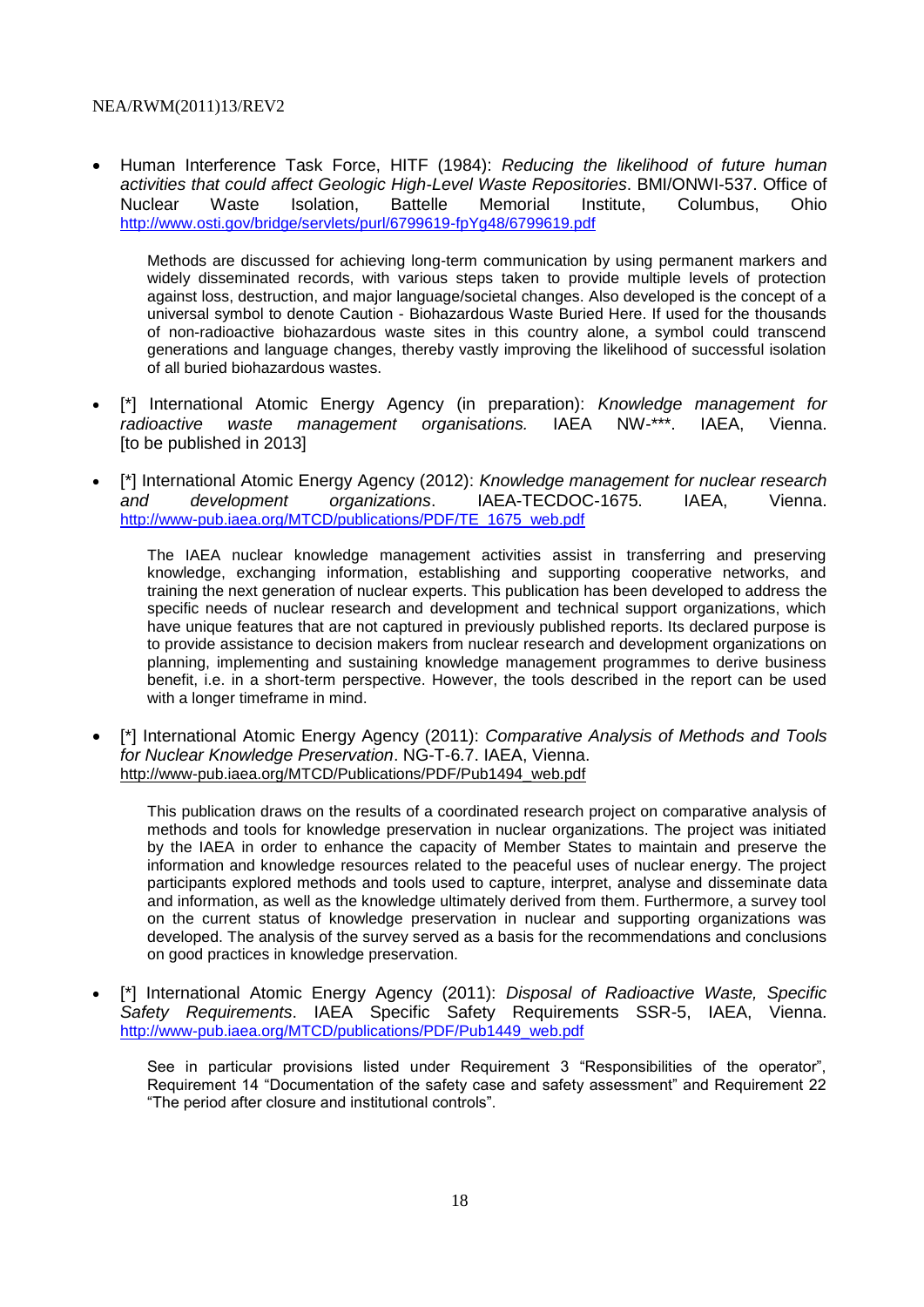Human Interference Task Force, HITF (1984): *Reducing the likelihood of future human activities that could affect Geologic High-Level Waste Repositories*. BMI/ONWI-537. Office of Nuclear Waste Isolation, Battelle Memorial Institute, Columbus, Ohio <http://www.osti.gov/bridge/servlets/purl/6799619-fpYg48/6799619.pdf>

Methods are discussed for achieving long-term communication by using permanent markers and widely disseminated records, with various steps taken to provide multiple levels of protection against loss, destruction, and major language/societal changes. Also developed is the concept of a universal symbol to denote Caution - Biohazardous Waste Buried Here. If used for the thousands of non-radioactive biohazardous waste sites in this country alone, a symbol could transcend generations and language changes, thereby vastly improving the likelihood of successful isolation of all buried biohazardous wastes.

- [\*] International Atomic Energy Agency (in preparation): *Knowledge management for radioactive waste management organisations.* IAEA NW-\*\*\*. IAEA, Vienna. [to be published in 2013]
- [\*] International Atomic Energy Agency (2012): *Knowledge management for nuclear research and development organizations*. IAEA-TECDOC-1675. IAEA, Vienna. [http://www-pub.iaea.org/MTCD/publications/PDF/TE\\_1675\\_web.pdf](http://www-pub.iaea.org/MTCD/publications/PDF/TE_1675_web.pdf)

The IAEA nuclear knowledge management activities assist in transferring and preserving knowledge, exchanging information, establishing and supporting cooperative networks, and training the next generation of nuclear experts. This publication has been developed to address the specific needs of nuclear research and development and technical support organizations, which have unique features that are not captured in previously published reports. Its declared purpose is to provide assistance to decision makers from nuclear research and development organizations on planning, implementing and sustaining knowledge management programmes to derive business benefit, i.e. in a short-term perspective. However, the tools described in the report can be used with a longer timeframe in mind.

 [\*] International Atomic Energy Agency (2011): *Comparative Analysis of Methods and Tools for Nuclear Knowledge Preservation*. NG-T-6.7. IAEA, Vienna. [http://www-pub.iaea.org/MTCD/Publications/PDF/Pub1494\\_web.pdf](http://www-pub.iaea.org/MTCD/Publications/PDF/Pub1494_web.pdf)

This publication draws on the results of a coordinated research project on comparative analysis of methods and tools for knowledge preservation in nuclear organizations. The project was initiated by the IAEA in order to enhance the capacity of Member States to maintain and preserve the information and knowledge resources related to the peaceful uses of nuclear energy. The project participants explored methods and tools used to capture, interpret, analyse and disseminate data and information, as well as the knowledge ultimately derived from them. Furthermore, a survey tool on the current status of knowledge preservation in nuclear and supporting organizations was developed. The analysis of the survey served as a basis for the recommendations and conclusions on good practices in knowledge preservation.

 [\*] International Atomic Energy Agency (2011): *Disposal of Radioactive Waste, Specific Safety Requirements*. IAEA Specific Safety Requirements SSR-5, IAEA, Vienna. [http://www-pub.iaea.org/MTCD/publications/PDF/Pub1449\\_web.pdf](http://www-pub.iaea.org/MTCD/publications/PDF/Pub1449_web.pdf)

See in particular provisions listed under Requirement 3 "Responsibilities of the operator", Requirement 14 "Documentation of the safety case and safety assessment" and Requirement 22 "The period after closure and institutional controls".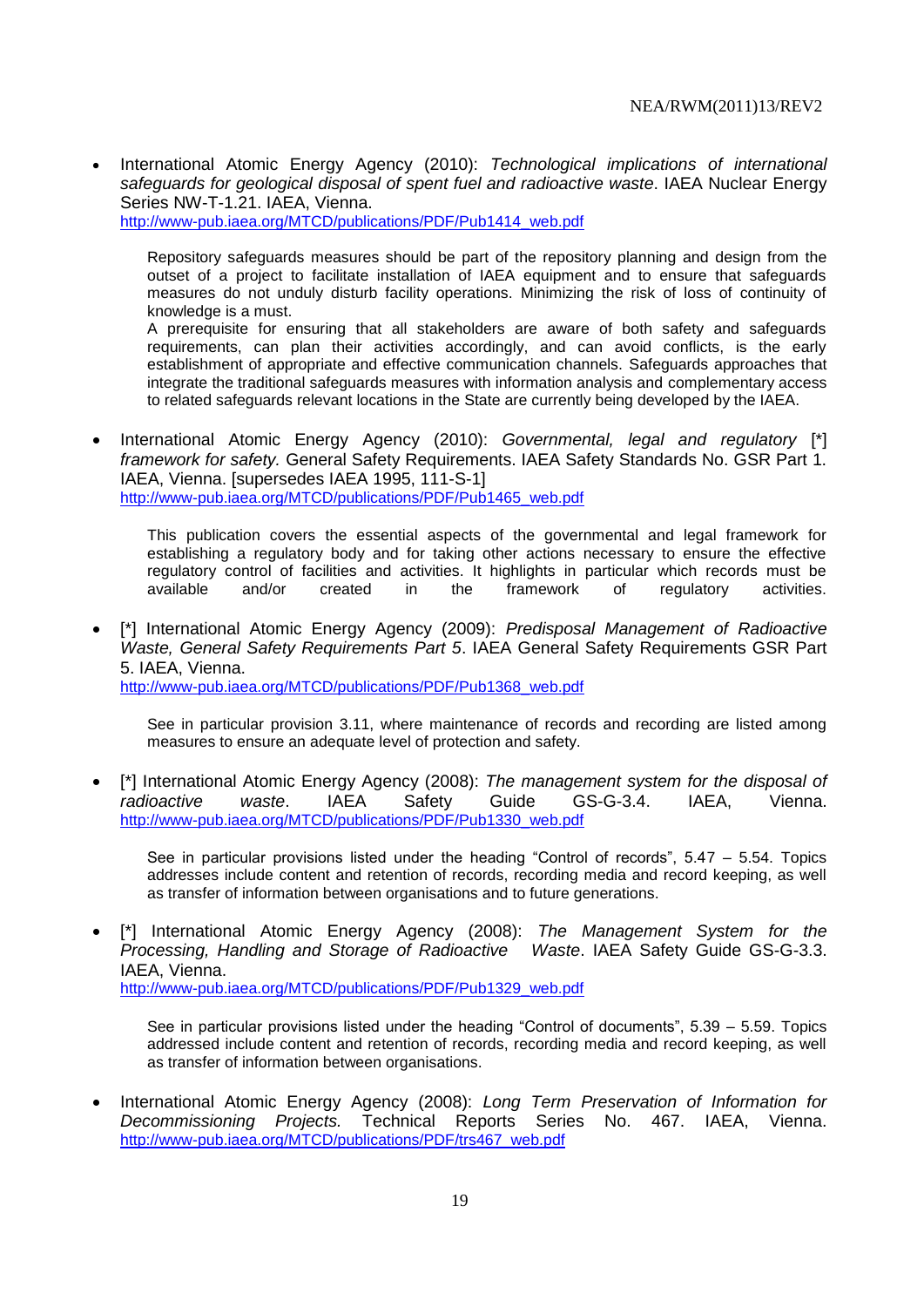International Atomic Energy Agency (2010): *Technological implications of international safeguards for geological disposal of spent fuel and radioactive waste*. IAEA Nuclear Energy Series NW-T-1.21. IAEA, Vienna.

[http://www-pub.iaea.org/MTCD/publications/PDF/Pub1414\\_web.pdf](http://www-pub.iaea.org/MTCD/publications/PDF/Pub1414_web.pdf)

Repository safeguards measures should be part of the repository planning and design from the outset of a project to facilitate installation of IAEA equipment and to ensure that safeguards measures do not unduly disturb facility operations. Minimizing the risk of loss of continuity of knowledge is a must.

A prerequisite for ensuring that all stakeholders are aware of both safety and safeguards requirements, can plan their activities accordingly, and can avoid conflicts, is the early establishment of appropriate and effective communication channels. Safeguards approaches that integrate the traditional safeguards measures with information analysis and complementary access to related safeguards relevant locations in the State are currently being developed by the IAEA.

 International Atomic Energy Agency (2010): *Governmental, legal and regulatory* [\*] *framework for safety.* General Safety Requirements. IAEA Safety Standards No. GSR Part 1. IAEA, Vienna. [supersedes IAEA 1995, 111-S-1] [http://www-pub.iaea.org/MTCD/publications/PDF/Pub1465\\_web.pdf](http://www-pub.iaea.org/MTCD/publications/PDF/Pub1465_web.pdf)

This publication covers the essential aspects of the governmental and legal framework for establishing a regulatory body and for taking other actions necessary to ensure the effective regulatory control of facilities and activities. It highlights in particular which records must be available and/or created in the framework of regulatory activities.

 [\*] International Atomic Energy Agency (2009): *Predisposal Management of Radioactive Waste, General Safety Requirements Part 5*. IAEA General Safety Requirements GSR Part 5. IAEA, Vienna.

[http://www-pub.iaea.org/MTCD/publications/PDF/Pub1368\\_web.pdf](http://www-pub.iaea.org/MTCD/publications/PDF/Pub1368_web.pdf)

See in particular provision 3.11, where maintenance of records and recording are listed among measures to ensure an adequate level of protection and safety.

 [\*] International Atomic Energy Agency (2008): *The management system for the disposal of radioactive waste*. IAEA Safety Guide GS-G-3.4. IAEA, Vienna. [http://www-pub.iaea.org/MTCD/publications/PDF/Pub1330\\_web.pdf](http://www-pub.iaea.org/MTCD/publications/PDF/Pub1330_web.pdf)

See in particular provisions listed under the heading "Control of records",  $5.47 - 5.54$ . Topics addresses include content and retention of records, recording media and record keeping, as well as transfer of information between organisations and to future generations.

 [\*] International Atomic Energy Agency (2008): *The Management System for the Processing, Handling and Storage of Radioactive Waste*. IAEA Safety Guide GS-G-3.3. IAEA, Vienna. [http://www-pub.iaea.org/MTCD/publications/PDF/Pub1329\\_web.pdf](http://www-pub.iaea.org/MTCD/publications/PDF/Pub1329_web.pdf)

See in particular provisions listed under the heading "Control of documents", 5.39 – 5.59. Topics addressed include content and retention of records, recording media and record keeping, as well as transfer of information between organisations.

 International Atomic Energy Agency (2008): *Long Term Preservation of Information for Decommissioning Projects.* Technical Reports Series No. 467. IAEA, Vienna. [http://www-pub.iaea.org/MTCD/publications/PDF/trs467\\_web.pdf](http://www-pub.iaea.org/MTCD/publications/PDF/trs467_web.pdf)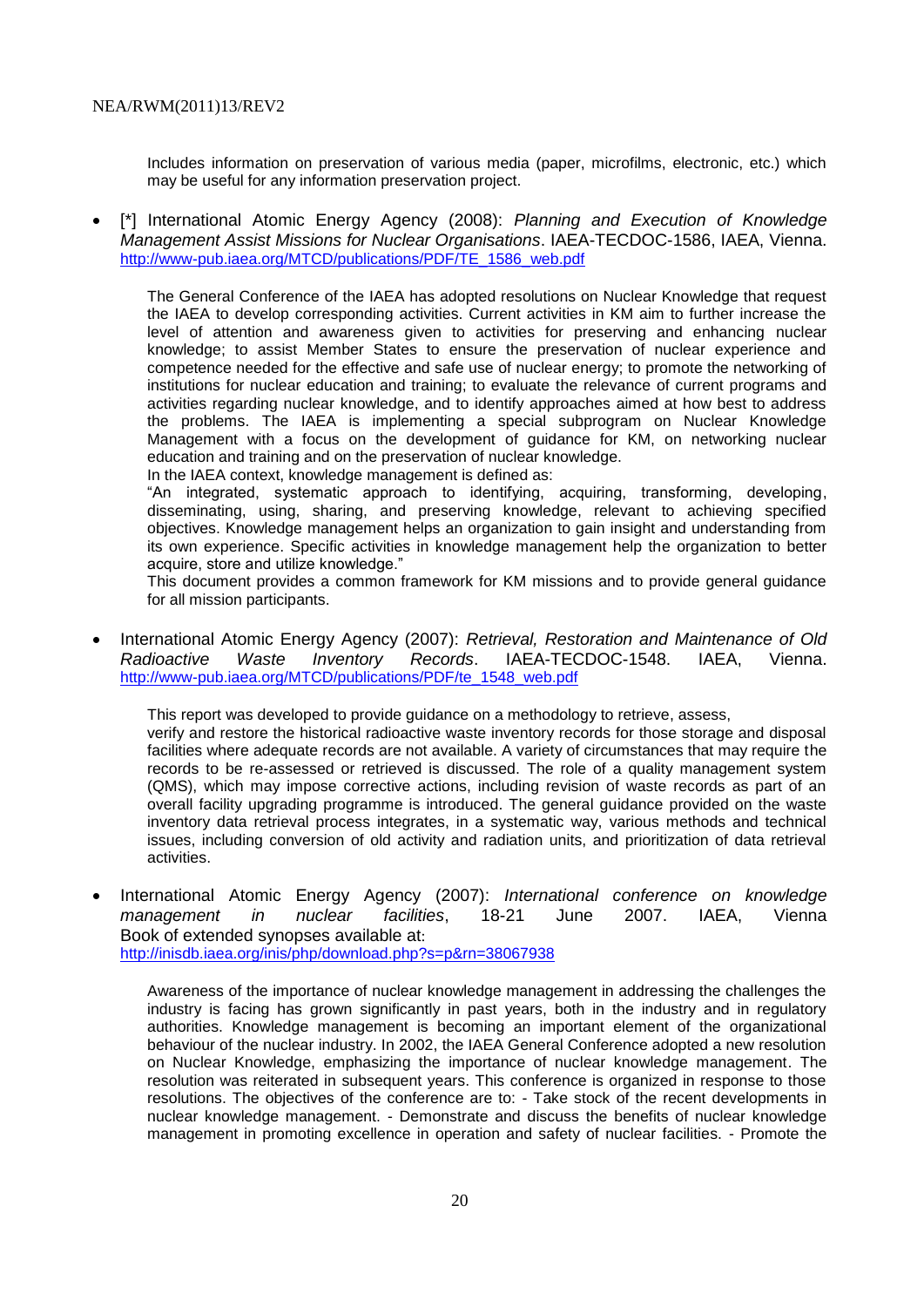Includes information on preservation of various media (paper, microfilms, electronic, etc.) which may be useful for any information preservation project.

 [\*] International Atomic Energy Agency (2008): *Planning and Execution of Knowledge Management Assist Missions for Nuclear Organisations*. IAEA-TECDOC-1586, IAEA, Vienna. [http://www-pub.iaea.org/MTCD/publications/PDF/TE\\_1586\\_web.pdf](http://www-pub.iaea.org/MTCD/publications/PDF/TE_1586_web.pdf)

The General Conference of the IAEA has adopted resolutions on Nuclear Knowledge that request the IAEA to develop corresponding activities. Current activities in KM aim to further increase the level of attention and awareness given to activities for preserving and enhancing nuclear knowledge; to assist Member States to ensure the preservation of nuclear experience and competence needed for the effective and safe use of nuclear energy; to promote the networking of institutions for nuclear education and training; to evaluate the relevance of current programs and activities regarding nuclear knowledge, and to identify approaches aimed at how best to address the problems. The IAEA is implementing a special subprogram on Nuclear Knowledge Management with a focus on the development of guidance for KM, on networking nuclear education and training and on the preservation of nuclear knowledge.

In the IAEA context, knowledge management is defined as:

"An integrated, systematic approach to identifying, acquiring, transforming, developing, disseminating, using, sharing, and preserving knowledge, relevant to achieving specified objectives. Knowledge management helps an organization to gain insight and understanding from its own experience. Specific activities in knowledge management help the organization to better acquire, store and utilize knowledge."

This document provides a common framework for KM missions and to provide general guidance for all mission participants.

 International Atomic Energy Agency (2007): *Retrieval, Restoration and Maintenance of Old Radioactive Waste Inventory Records*. IAEA-TECDOC-1548. IAEA, Vienna. [http://www-pub.iaea.org/MTCD/publications/PDF/te\\_1548\\_web.pdf](http://www-pub.iaea.org/MTCD/publications/PDF/te_1548_web.pdf)

This report was developed to provide guidance on a methodology to retrieve, assess,

verify and restore the historical radioactive waste inventory records for those storage and disposal facilities where adequate records are not available. A variety of circumstances that may require the records to be re-assessed or retrieved is discussed. The role of a quality management system (QMS), which may impose corrective actions, including revision of waste records as part of an overall facility upgrading programme is introduced. The general guidance provided on the waste inventory data retrieval process integrates, in a systematic way, various methods and technical issues, including conversion of old activity and radiation units, and prioritization of data retrieval activities.

 International Atomic Energy Agency (2007): *International conference on knowledge management in nuclear facilities*, 18-21 June 2007. IAEA, Vienna Book of extended synopses available at: <http://inisdb.iaea.org/inis/php/download.php?s=p&rn=38067938>

Awareness of the importance of nuclear knowledge management in addressing the challenges the industry is facing has grown significantly in past years, both in the industry and in regulatory authorities. Knowledge management is becoming an important element of the organizational behaviour of the nuclear industry. In 2002, the IAEA General Conference adopted a new resolution on Nuclear Knowledge, emphasizing the importance of nuclear knowledge management. The resolution was reiterated in subsequent years. This conference is organized in response to those resolutions. The objectives of the conference are to: - Take stock of the recent developments in nuclear knowledge management. - Demonstrate and discuss the benefits of nuclear knowledge management in promoting excellence in operation and safety of nuclear facilities. - Promote the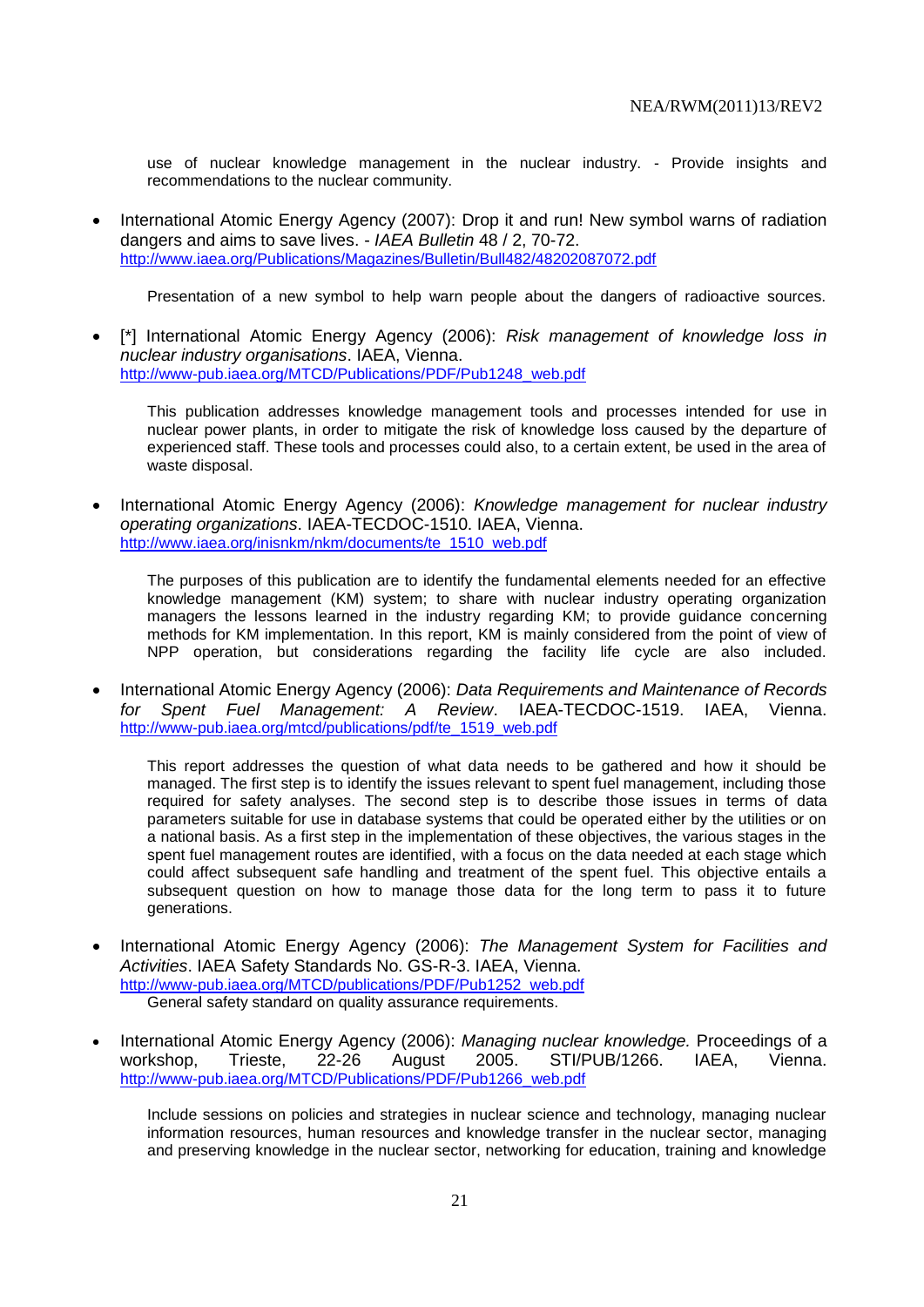use of nuclear knowledge management in the nuclear industry. - Provide insights and recommendations to the nuclear community.

 International Atomic Energy Agency (2007): Drop it and run! New symbol warns of radiation dangers and aims to save lives. - *IAEA Bulletin* 48 / 2, 70-72. <http://www.iaea.org/Publications/Magazines/Bulletin/Bull482/48202087072.pdf>

Presentation of a new symbol to help warn people about the dangers of radioactive sources.

 [\*] International Atomic Energy Agency (2006): *Risk management of knowledge loss in nuclear industry organisations*. IAEA, Vienna. [http://www-pub.iaea.org/MTCD/Publications/PDF/Pub1248\\_web.pdf](http://www-pub.iaea.org/MTCD/Publications/PDF/Pub1248_web.pdf)

This publication addresses knowledge management tools and processes intended for use in nuclear power plants, in order to mitigate the risk of knowledge loss caused by the departure of experienced staff. These tools and processes could also, to a certain extent, be used in the area of waste disposal.

 International Atomic Energy Agency (2006): *Knowledge management for nuclear industry operating organizations*. IAEA-TECDOC-1510. IAEA, Vienna. [http://www.iaea.org/inisnkm/nkm/documents/te\\_1510\\_web.pdf](http://www.iaea.org/inisnkm/nkm/documents/te_1510_web.pdf)

The purposes of this publication are to identify the fundamental elements needed for an effective knowledge management (KM) system; to share with nuclear industry operating organization managers the lessons learned in the industry regarding KM; to provide guidance concerning methods for KM implementation. In this report, KM is mainly considered from the point of view of NPP operation, but considerations regarding the facility life cycle are also included.

 International Atomic Energy Agency (2006): *Data Requirements and Maintenance of Records for Spent Fuel Management: A Review*. IAEA-TECDOC-1519. IAEA, Vienna. [http://www-pub.iaea.org/mtcd/publications/pdf/te\\_1519\\_web.pdf](http://www-pub.iaea.org/mtcd/publications/pdf/te_1519_web.pdf)

This report addresses the question of what data needs to be gathered and how it should be managed. The first step is to identify the issues relevant to spent fuel management, including those required for safety analyses. The second step is to describe those issues in terms of data parameters suitable for use in database systems that could be operated either by the utilities or on a national basis. As a first step in the implementation of these objectives, the various stages in the spent fuel management routes are identified, with a focus on the data needed at each stage which could affect subsequent safe handling and treatment of the spent fuel. This objective entails a subsequent question on how to manage those data for the long term to pass it to future generations.

- International Atomic Energy Agency (2006): *The Management System for Facilities and Activities*. IAEA Safety Standards No. GS-R-3. IAEA, Vienna. [http://www-pub.iaea.org/MTCD/publications/PDF/Pub1252\\_web.pdf](http://www-pub.iaea.org/MTCD/publications/PDF/Pub1252_web.pdf) General safety standard on quality assurance requirements.
- International Atomic Energy Agency (2006): *Managing nuclear knowledge.* Proceedings of a workshop, Trieste, 22-26 August 2005. STI/PUB/1266. IAEA, Vienna. [http://www-pub.iaea.org/MTCD/Publications/PDF/Pub1266\\_web.pdf](http://www-pub.iaea.org/MTCD/Publications/PDF/Pub1266_web.pdf)

Include sessions on policies and strategies in nuclear science and technology, managing nuclear information resources, human resources and knowledge transfer in the nuclear sector, managing and preserving knowledge in the nuclear sector, networking for education, training and knowledge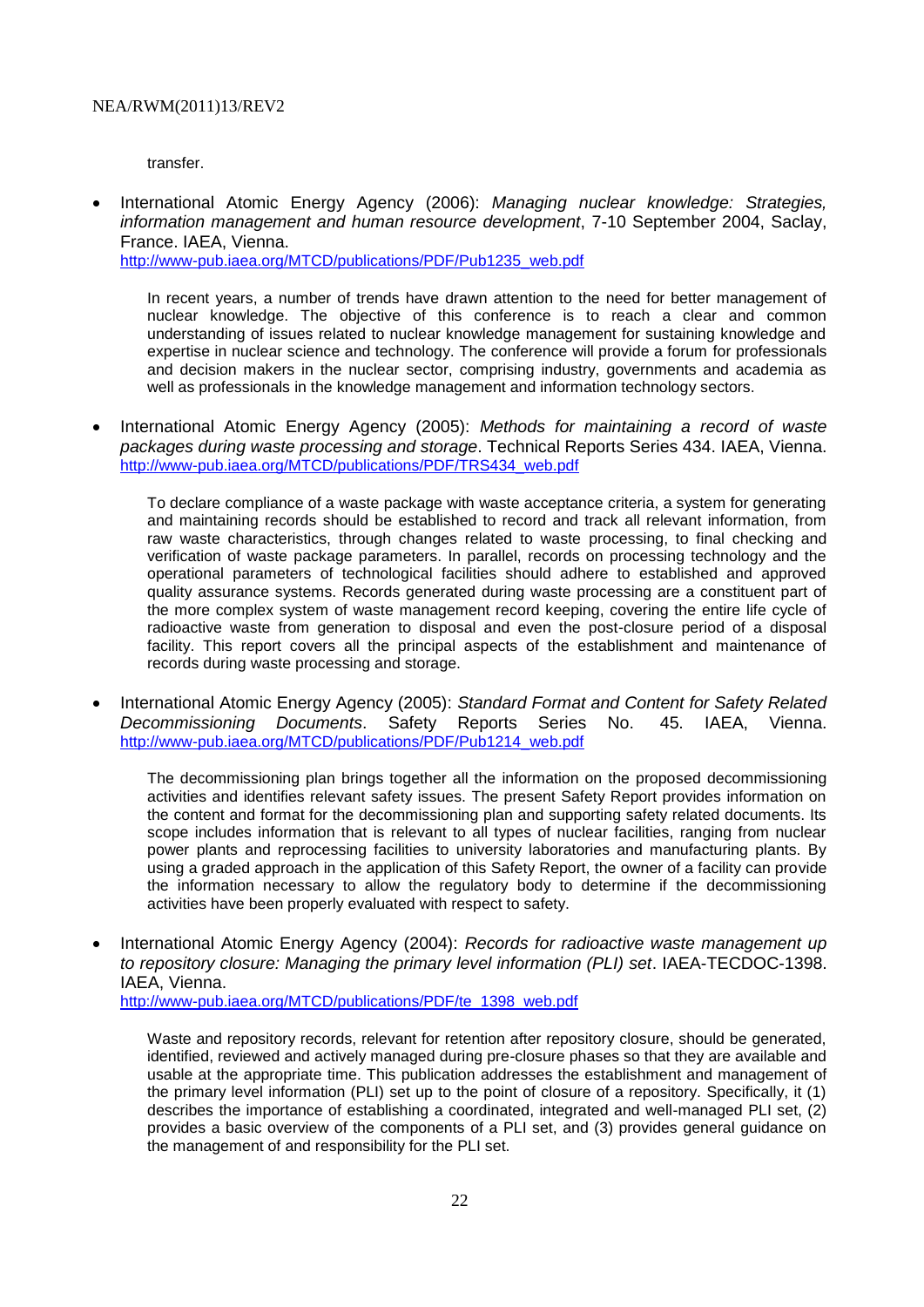transfer.

 International Atomic Energy Agency (2006): *Managing nuclear knowledge: Strategies, information management and human resource development*, 7-10 September 2004, Saclay, France. IAEA, Vienna. http://www-pub.iaea.org/MTCD/publications/PDF/Pub1235\_web.pdf

In recent years, a number of trends have drawn attention to the need for better management of nuclear knowledge. The objective of this conference is to reach a clear and common understanding of issues related to nuclear knowledge management for sustaining knowledge and expertise in nuclear science and technology. The conference will provide a forum for professionals and decision makers in the nuclear sector, comprising industry, governments and academia as

• International Atomic Energy Agency (2005): Methods for maintaining a record of waste *packages during waste processing and storage*. Technical Reports Series 434. IAEA, Vienna. [http://www-pub.iaea.org/MTCD/publications/PDF/TRS434\\_web.pdf](http://www-pub.iaea.org/MTCD/publications/PDF/TRS434_web.pdf)

well as professionals in the knowledge management and information technology sectors.

To declare compliance of a waste package with waste acceptance criteria, a system for generating and maintaining records should be established to record and track all relevant information, from raw waste characteristics, through changes related to waste processing, to final checking and verification of waste package parameters. In parallel, records on processing technology and the operational parameters of technological facilities should adhere to established and approved quality assurance systems. Records generated during waste processing are a constituent part of the more complex system of waste management record keeping, covering the entire life cycle of radioactive waste from generation to disposal and even the post-closure period of a disposal facility. This report covers all the principal aspects of the establishment and maintenance of records during waste processing and storage.

 International Atomic Energy Agency (2005): *Standard Format and Content for Safety Related Decommissioning Documents*. Safety Reports Series No. 45. IAEA, Vienna. [http://www-pub.iaea.org/MTCD/publications/PDF/Pub1214\\_web.pdf](http://www-pub.iaea.org/MTCD/publications/PDF/Pub1214_web.pdf)

The decommissioning plan brings together all the information on the proposed decommissioning activities and identifies relevant safety issues. The present Safety Report provides information on the content and format for the decommissioning plan and supporting safety related documents. Its scope includes information that is relevant to all types of nuclear facilities, ranging from nuclear power plants and reprocessing facilities to university laboratories and manufacturing plants. By using a graded approach in the application of this Safety Report, the owner of a facility can provide the information necessary to allow the regulatory body to determine if the decommissioning activities have been properly evaluated with respect to safety.

 International Atomic Energy Agency (2004): *Records for radioactive waste management up to repository closure: Managing the primary level information (PLI) set*. IAEA-TECDOC-1398. IAEA, Vienna. [http://www-pub.iaea.org/MTCD/publications/PDF/te\\_1398\\_web.pdf](http://www-pub.iaea.org/MTCD/publications/PDF/te_1398_web.pdf)

Waste and repository records, relevant for retention after repository closure, should be generated, identified, reviewed and actively managed during pre-closure phases so that they are available and usable at the appropriate time. This publication addresses the establishment and management of the primary level information (PLI) set up to the point of closure of a repository. Specifically, it (1) describes the importance of establishing a coordinated, integrated and well-managed PLI set, (2) provides a basic overview of the components of a PLI set, and (3) provides general guidance on the management of and responsibility for the PLI set.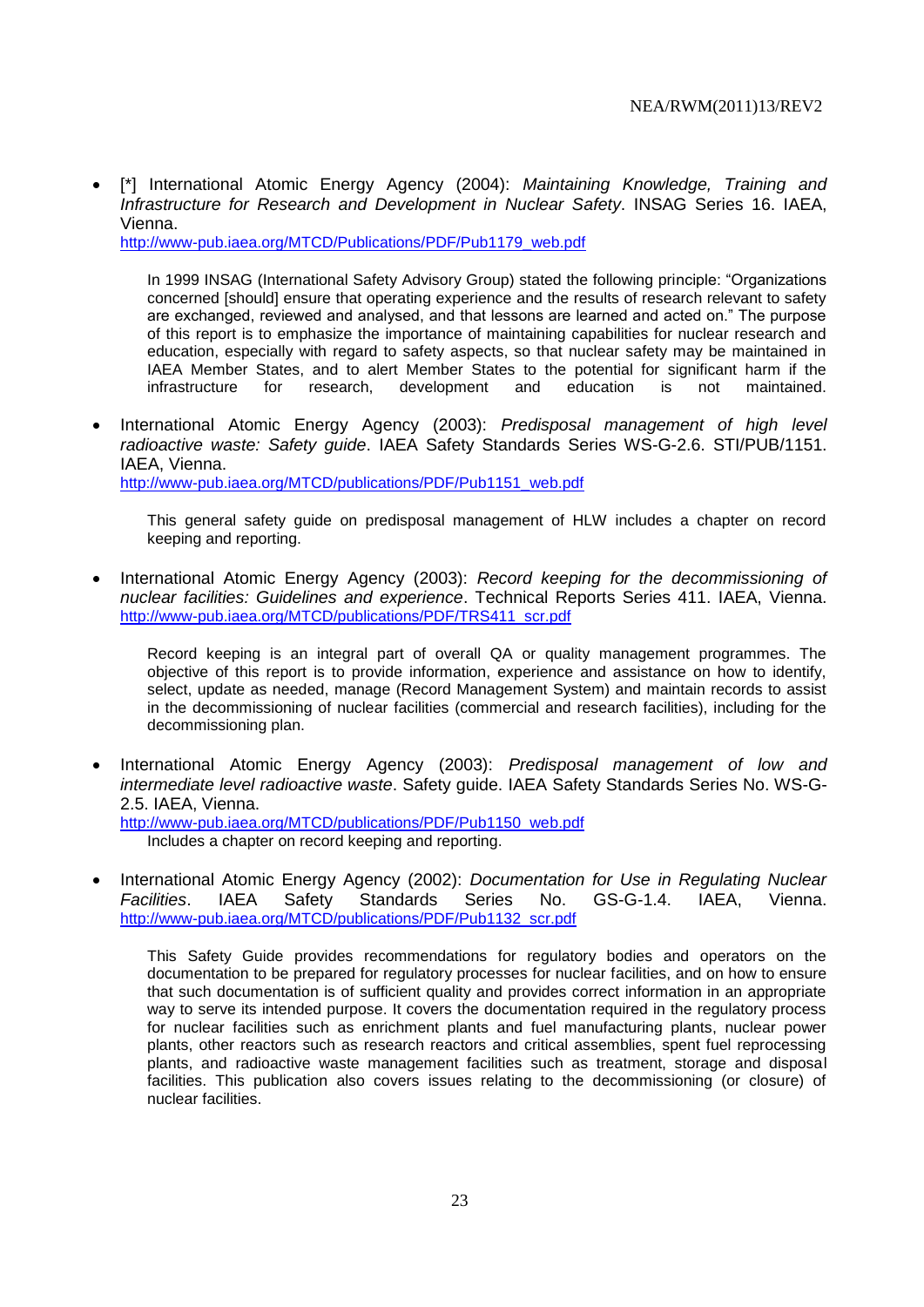[\*] International Atomic Energy Agency (2004): *Maintaining Knowledge, Training and Infrastructure for Research and Development in Nuclear Safety*. INSAG Series 16. IAEA, Vienna.

[http://www-pub.iaea.org/MTCD/Publications/PDF/Pub1179\\_web.pdf](http://www-pub.iaea.org/MTCD/Publications/PDF/Pub1179_web.pdf)

In 1999 INSAG (International Safety Advisory Group) stated the following principle: "Organizations concerned [should] ensure that operating experience and the results of research relevant to safety are exchanged, reviewed and analysed, and that lessons are learned and acted on." The purpose of this report is to emphasize the importance of maintaining capabilities for nuclear research and education, especially with regard to safety aspects, so that nuclear safety may be maintained in IAEA Member States, and to alert Member States to the potential for significant harm if the infrastructure for research, development and education is not maintained.

 International Atomic Energy Agency (2003): *Predisposal management of high level radioactive waste: Safety guide*. IAEA Safety Standards Series WS-G-2.6. STI/PUB/1151. IAEA, Vienna. [http://www-pub.iaea.org/MTCD/publications/PDF/Pub1151\\_web.pdf](http://www-pub.iaea.org/MTCD/publications/PDF/Pub1151_web.pdf)

This general safety guide on predisposal management of HLW includes a chapter on record keeping and reporting.

 International Atomic Energy Agency (2003): *Record keeping for the decommissioning of nuclear facilities: Guidelines and experience*. Technical Reports Series 411. IAEA, Vienna. [http://www-pub.iaea.org/MTCD/publications/PDF/TRS411\\_scr.pdf](http://www-pub.iaea.org/MTCD/publications/PDF/TRS411_scr.pdf)

Record keeping is an integral part of overall QA or quality management programmes. The objective of this report is to provide information, experience and assistance on how to identify, select, update as needed, manage (Record Management System) and maintain records to assist in the decommissioning of nuclear facilities (commercial and research facilities), including for the decommissioning plan.

 International Atomic Energy Agency (2003): *Predisposal management of low and intermediate level radioactive waste*. Safety guide. IAEA Safety Standards Series No. WS-G-2.5. IAEA, Vienna.

[http://www-pub.iaea.org/MTCD/publications/PDF/Pub1150\\_web.pdf](http://www-pub.iaea.org/MTCD/publications/PDF/Pub1150_web.pdf) Includes a chapter on record keeping and reporting.

• International Atomic Energy Agency (2002): *Documentation for Use in Regulating Nuclear Facilities*. IAEA Safety Standards Series No. GS-G-1.4. IAEA, Vienna. [http://www-pub.iaea.org/MTCD/publications/PDF/Pub1132\\_scr.pdf](http://www-pub.iaea.org/MTCD/publications/PDF/Pub1132_scr.pdf)

This Safety Guide provides recommendations for regulatory bodies and operators on the documentation to be prepared for regulatory processes for nuclear facilities, and on how to ensure that such documentation is of sufficient quality and provides correct information in an appropriate way to serve its intended purpose. It covers the documentation required in the regulatory process for nuclear facilities such as enrichment plants and fuel manufacturing plants, nuclear power plants, other reactors such as research reactors and critical assemblies, spent fuel reprocessing plants, and radioactive waste management facilities such as treatment, storage and disposal facilities. This publication also covers issues relating to the decommissioning (or closure) of nuclear facilities.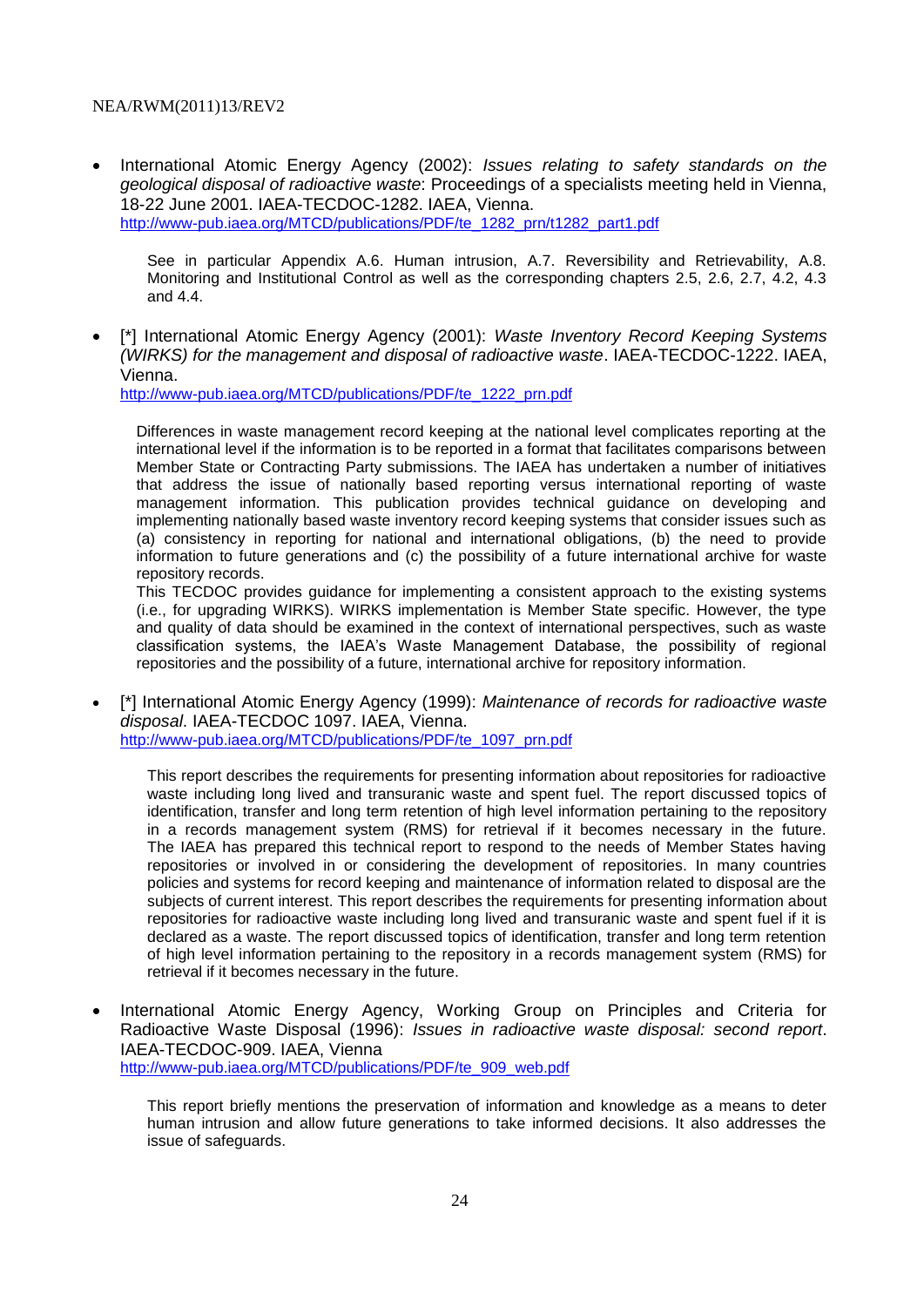International Atomic Energy Agency (2002): *Issues relating to safety standards on the geological disposal of radioactive waste*: Proceedings of a specialists meeting held in Vienna, 18-22 June 2001. IAEA-TECDOC-1282. IAEA, Vienna. [http://www-pub.iaea.org/MTCD/publications/PDF/te\\_1282\\_prn/t1282\\_part1.pdf](http://www-pub.iaea.org/MTCD/publications/PDF/te_1282_prn/t1282_part1.pdf)

See in particular Appendix A.6. Human intrusion, A.7. Reversibility and Retrievability, A.8. Monitoring and Institutional Control as well as the corresponding chapters 2.5, 2.6, 2.7, 4.2, 4.3 and 4.4.

 [\*] International Atomic Energy Agency (2001): *Waste Inventory Record Keeping Systems (WIRKS) for the management and disposal of radioactive waste*. IAEA-TECDOC-1222. IAEA, Vienna.

[http://www-pub.iaea.org/MTCD/publications/PDF/te\\_1222\\_prn.pdf](http://www-pub.iaea.org/MTCD/publications/PDF/te_1222_prn.pdf)

Differences in waste management record keeping at the national level complicates reporting at the international level if the information is to be reported in a format that facilitates comparisons between Member State or Contracting Party submissions. The IAEA has undertaken a number of initiatives that address the issue of nationally based reporting versus international reporting of waste management information. This publication provides technical guidance on developing and implementing nationally based waste inventory record keeping systems that consider issues such as (a) consistency in reporting for national and international obligations, (b) the need to provide information to future generations and (c) the possibility of a future international archive for waste repository records.

This TECDOC provides guidance for implementing a consistent approach to the existing systems (i.e., for upgrading WIRKS). WIRKS implementation is Member State specific. However, the type and quality of data should be examined in the context of international perspectives, such as waste classification systems, the IAEA's Waste Management Database, the possibility of regional repositories and the possibility of a future, international archive for repository information.

 [\*] International Atomic Energy Agency (1999): *Maintenance of records for radioactive waste disposal*. IAEA-TECDOC 1097. IAEA, Vienna. [http://www-pub.iaea.org/MTCD/publications/PDF/te\\_1097\\_prn.pdf](http://www-pub.iaea.org/MTCD/publications/PDF/te_1097_prn.pdf)

This report describes the requirements for presenting information about repositories for radioactive waste including long lived and transuranic waste and spent fuel. The report discussed topics of identification, transfer and long term retention of high level information pertaining to the repository in a records management system (RMS) for retrieval if it becomes necessary in the future. The IAEA has prepared this technical report to respond to the needs of Member States having repositories or involved in or considering the development of repositories. In many countries policies and systems for record keeping and maintenance of information related to disposal are the subjects of current interest. This report describes the requirements for presenting information about repositories for radioactive waste including long lived and transuranic waste and spent fuel if it is declared as a waste. The report discussed topics of identification, transfer and long term retention of high level information pertaining to the repository in a records management system (RMS) for retrieval if it becomes necessary in the future.

• International Atomic Energy Agency, Working Group on Principles and Criteria for Radioactive Waste Disposal (1996): *Issues in radioactive waste disposal: second report*. IAEA-TECDOC-909. IAEA, Vienna [http://www-pub.iaea.org/MTCD/publications/PDF/te\\_909\\_web.pdf](http://www-pub.iaea.org/MTCD/publications/PDF/te_909_web.pdf)

This report briefly mentions the preservation of information and knowledge as a means to deter human intrusion and allow future generations to take informed decisions. It also addresses the issue of safeguards.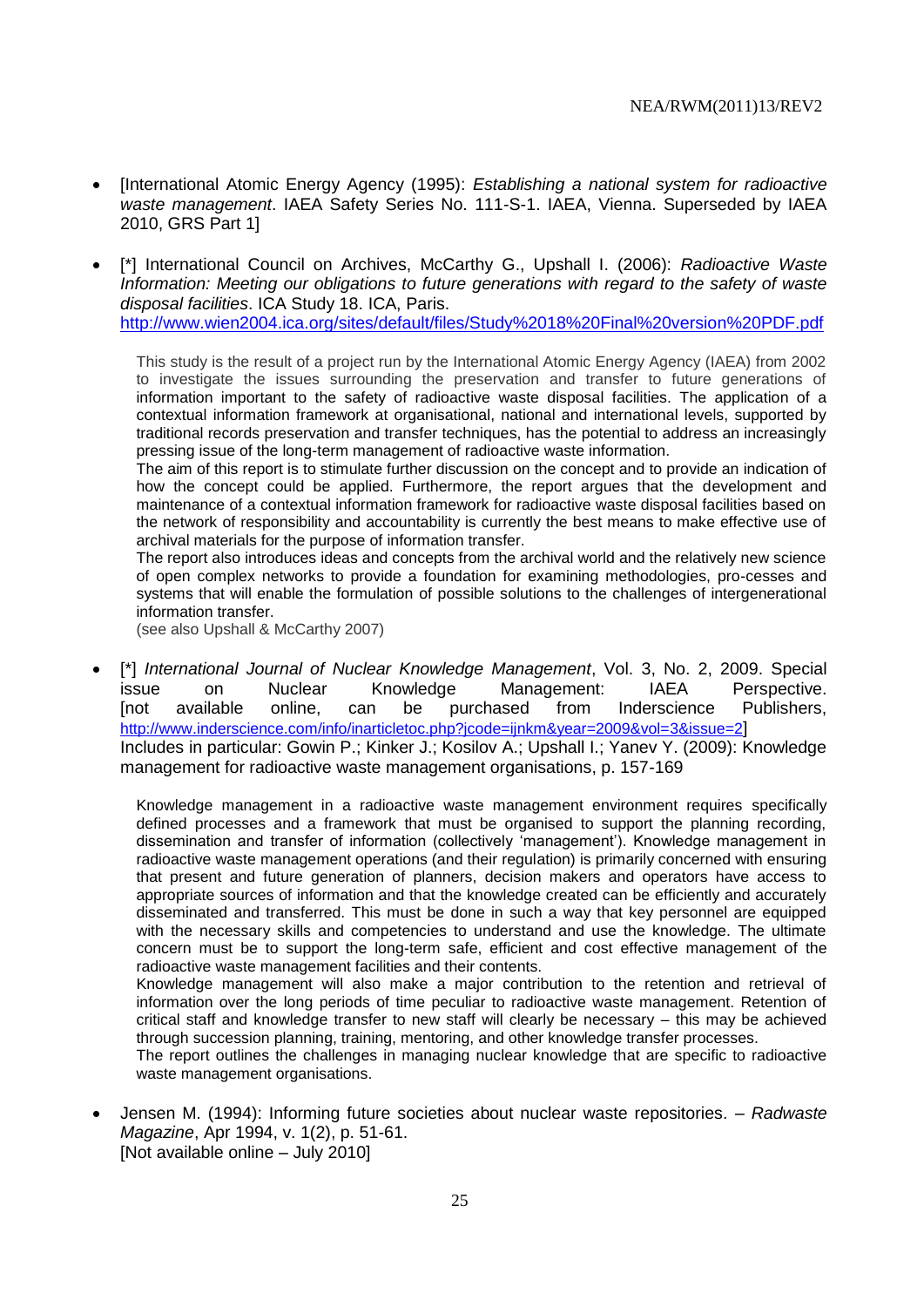- [International Atomic Energy Agency (1995): *Establishing a national system for radioactive waste management*. IAEA Safety Series No. 111-S-1. IAEA, Vienna. Superseded by IAEA 2010, GRS Part 1]
- [\*] International Council on Archives, McCarthy G., Upshall I. (2006): *Radioactive Waste Information: Meeting our obligations to future generations with regard to the safety of waste disposal facilities*. ICA Study 18. ICA, Paris.

<http://www.wien2004.ica.org/sites/default/files/Study%2018%20Final%20version%20PDF.pdf>

This study is the result of a project run by the International Atomic Energy Agency (IAEA) from 2002 to investigate the issues surrounding the preservation and transfer to future generations of information important to the safety of radioactive waste disposal facilities. The application of a contextual information framework at organisational, national and international levels, supported by traditional records preservation and transfer techniques, has the potential to address an increasingly pressing issue of the long-term management of radioactive waste information.

The aim of this report is to stimulate further discussion on the concept and to provide an indication of how the concept could be applied. Furthermore, the report argues that the development and maintenance of a contextual information framework for radioactive waste disposal facilities based on the network of responsibility and accountability is currently the best means to make effective use of archival materials for the purpose of information transfer.

The report also introduces ideas and concepts from the archival world and the relatively new science of open complex networks to provide a foundation for examining methodologies, pro-cesses and systems that will enable the formulation of possible solutions to the challenges of intergenerational information transfer.

(see also Upshall & McCarthy 2007)

 [\*] *International Journal of Nuclear Knowledge Management*, Vol. 3, No. 2, 2009. Special issue on Nuclear Knowledge Management: IAEA Perspective. [not available online, can be purchased from Inderscience Publishers, <http://www.inderscience.com/info/inarticletoc.php?jcode=ijnkm&year=2009&vol=3&issue=2>] Includes in particular: Gowin P.; Kinker J.; Kosilov A.; Upshall I.; Yanev Y. (2009): Knowledge management for radioactive waste management organisations, p. 157-169

Knowledge management in a radioactive waste management environment requires specifically defined processes and a framework that must be organised to support the planning recording, dissemination and transfer of information (collectively 'management'). Knowledge management in radioactive waste management operations (and their regulation) is primarily concerned with ensuring that present and future generation of planners, decision makers and operators have access to appropriate sources of information and that the knowledge created can be efficiently and accurately disseminated and transferred. This must be done in such a way that key personnel are equipped with the necessary skills and competencies to understand and use the knowledge. The ultimate concern must be to support the long-term safe, efficient and cost effective management of the radioactive waste management facilities and their contents.

Knowledge management will also make a major contribution to the retention and retrieval of information over the long periods of time peculiar to radioactive waste management. Retention of critical staff and knowledge transfer to new staff will clearly be necessary – this may be achieved through succession planning, training, mentoring, and other knowledge transfer processes.

The report outlines the challenges in managing nuclear knowledge that are specific to radioactive waste management organisations.

 Jensen M. (1994): Informing future societies about nuclear waste repositories. – *Radwaste Magazine*, Apr 1994, v. 1(2), p. 51-61. [Not available online – July 2010]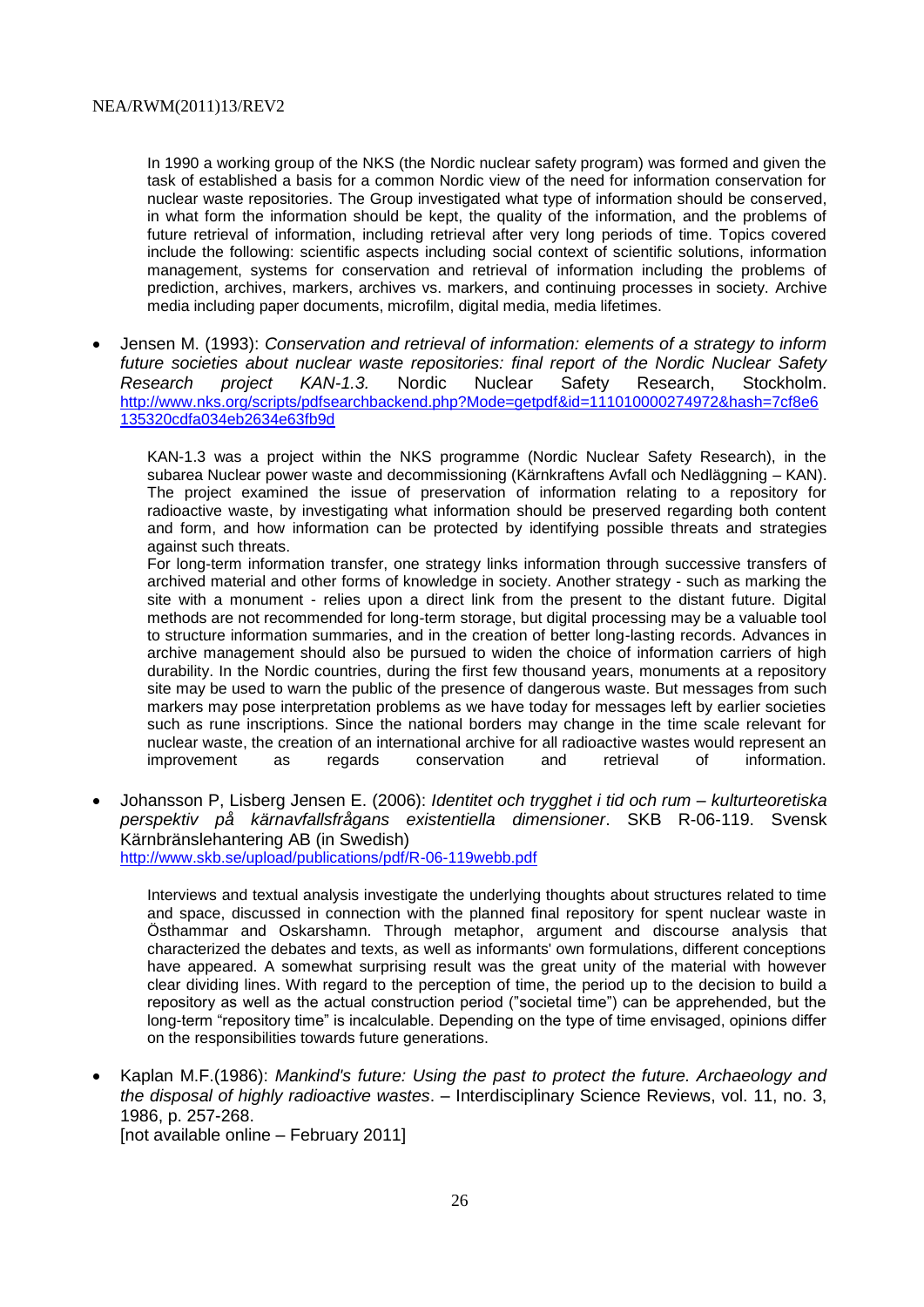In 1990 a working group of the NKS (the Nordic nuclear safety program) was formed and given the task of established a basis for a common Nordic view of the need for information conservation for nuclear waste repositories. The Group investigated what type of information should be conserved, in what form the information should be kept, the quality of the information, and the problems of future retrieval of information, including retrieval after very long periods of time. Topics covered include the following: scientific aspects including social context of scientific solutions, information management, systems for conservation and retrieval of information including the problems of prediction, archives, markers, archives vs. markers, and continuing processes in society. Archive media including paper documents, microfilm, digital media, media lifetimes.

 Jensen M. (1993): *Conservation and retrieval of information: elements of a strategy to inform future societies about nuclear waste repositories: final report of the Nordic Nuclear Safety Research project KAN-1.3.* Nordic Nuclear Safety Research, Stockholm. [http://www.nks.org/scripts/pdfsearchbackend.php?Mode=getpdf&id=111010000274972&hash=7cf8e6](http://www.nks.org/scripts/pdfsearchbackend.php?Mode=getpdf&id=111010000274972&hash=7cf8e6135320cdfa034eb2634e63fb9d) [135320cdfa034eb2634e63fb9d](http://www.nks.org/scripts/pdfsearchbackend.php?Mode=getpdf&id=111010000274972&hash=7cf8e6135320cdfa034eb2634e63fb9d)

KAN-1.3 was a project within the NKS programme (Nordic Nuclear Safety Research), in the subarea Nuclear power waste and decommissioning (Kärnkraftens Avfall och Nedläggning – KAN). The project examined the issue of preservation of information relating to a repository for radioactive waste, by investigating what information should be preserved regarding both content and form, and how information can be protected by identifying possible threats and strategies against such threats.

For long-term information transfer, one strategy links information through successive transfers of archived material and other forms of knowledge in society. Another strategy - such as marking the site with a monument - relies upon a direct link from the present to the distant future. Digital methods are not recommended for long-term storage, but digital processing may be a valuable tool to structure information summaries, and in the creation of better long-lasting records. Advances in archive management should also be pursued to widen the choice of information carriers of high durability. In the Nordic countries, during the first few thousand years, monuments at a repository site may be used to warn the public of the presence of dangerous waste. But messages from such markers may pose interpretation problems as we have today for messages left by earlier societies such as rune inscriptions. Since the national borders may change in the time scale relevant for nuclear waste, the creation of an international archive for all radioactive wastes would represent an improvement as regards conservation and retrieval of information.

 Johansson P, Lisberg Jensen E. (2006): *Identitet och trygghet i tid och rum – kulturteoretiska perspektiv på kärnavfallsfrågans existentiella dimensioner*. SKB R-06-119. Svensk Kärnbränslehantering AB (in Swedish) <http://www.skb.se/upload/publications/pdf/R-06-119webb.pdf>

Interviews and textual analysis investigate the underlying thoughts about structures related to time and space, discussed in connection with the planned final repository for spent nuclear waste in Östhammar and Oskarshamn. Through metaphor, argument and discourse analysis that characterized the debates and texts, as well as informants' own formulations, different conceptions have appeared. A somewhat surprising result was the great unity of the material with however clear dividing lines. With regard to the perception of time, the period up to the decision to build a repository as well as the actual construction period ("societal time") can be apprehended, but the long-term "repository time" is incalculable. Depending on the type of time envisaged, opinions differ on the responsibilities towards future generations.

 Kaplan M.F.(1986): *Mankind's future: Using the past to protect the future. Archaeology and the disposal of highly radioactive wastes*. – Interdisciplinary Science Reviews, vol. 11, no. 3, 1986, p. 257-268.

[not available online – February 2011]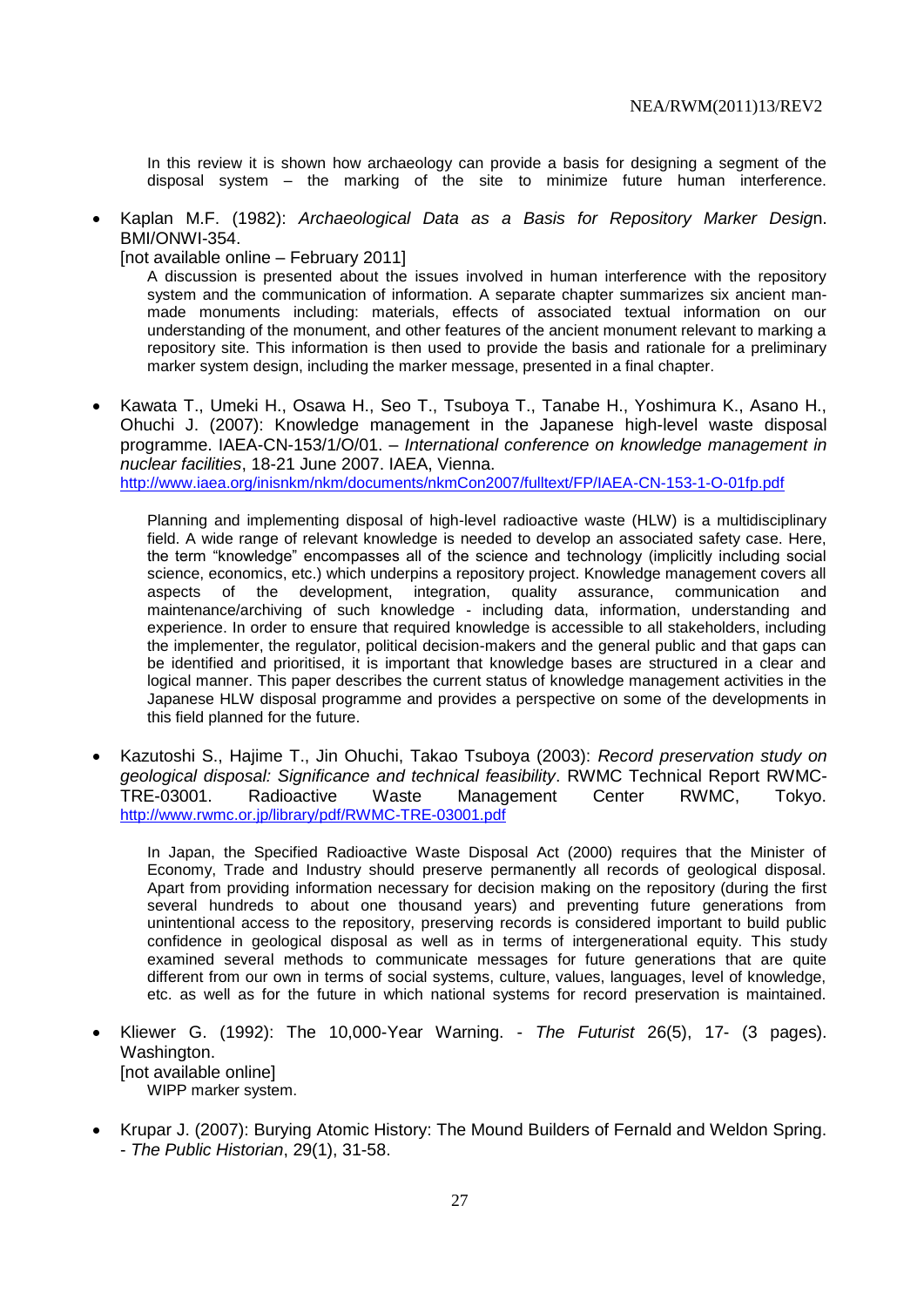In this review it is shown how archaeology can provide a basis for designing a segment of the disposal system – the marking of the site to minimize future human interference.

 Kaplan M.F. (1982): *Archaeological Data as a Basis for Repository Marker Desig*n. BMI/ONWI-354.

[not available online – February 2011]

A discussion is presented about the issues involved in human interference with the repository system and the communication of information. A separate chapter summarizes six ancient manmade monuments including: materials, effects of associated textual information on our understanding of the monument, and other features of the ancient monument relevant to marking a repository site. This information is then used to provide the basis and rationale for a preliminary marker system design, including the marker message, presented in a final chapter.

• Kawata T., Umeki H., Osawa H., Seo T., Tsuboya T., Tanabe H., Yoshimura K., Asano H., Ohuchi J. (2007): Knowledge management in the Japanese high-level waste disposal programme. IAEA-CN-153/1/O/01. – *International conference on knowledge management in nuclear facilities*, 18-21 June 2007. IAEA, Vienna. <http://www.iaea.org/inisnkm/nkm/documents/nkmCon2007/fulltext/FP/IAEA-CN-153-1-O-01fp.pdf>

Planning and implementing disposal of high-level radioactive waste (HLW) is a multidisciplinary field. A wide range of relevant knowledge is needed to develop an associated safety case. Here, the term "knowledge" encompasses all of the science and technology (implicitly including social science, economics, etc.) which underpins a repository project. Knowledge management covers all aspects of the development, integration, quality assurance, communication and maintenance/archiving of such knowledge - including data, information, understanding and experience. In order to ensure that required knowledge is accessible to all stakeholders, including the implementer, the regulator, political decision-makers and the general public and that gaps can be identified and prioritised, it is important that knowledge bases are structured in a clear and logical manner. This paper describes the current status of knowledge management activities in the Japanese HLW disposal programme and provides a perspective on some of the developments in this field planned for the future.

 Kazutoshi S., Hajime T., Jin Ohuchi, Takao Tsuboya (2003): *Record preservation study on geological disposal: Significance and technical feasibility*. RWMC Technical Report RWMC-TRE-03001. Radioactive Waste Management Center RWMC, Tokyo. <http://www.rwmc.or.jp/library/pdf/RWMC-TRE-03001.pdf>

In Japan, the Specified Radioactive Waste Disposal Act (2000) requires that the Minister of Economy, Trade and Industry should preserve permanently all records of geological disposal. Apart from providing information necessary for decision making on the repository (during the first several hundreds to about one thousand years) and preventing future generations from unintentional access to the repository, preserving records is considered important to build public confidence in geological disposal as well as in terms of intergenerational equity. This study examined several methods to communicate messages for future generations that are quite different from our own in terms of social systems, culture, values, languages, level of knowledge, etc. as well as for the future in which national systems for record preservation is maintained.

- Kliewer G. (1992): The 10,000-Year Warning. *The Futurist* 26(5), 17- (3 pages). Washington. [not available online] WIPP marker system.
- Krupar J. (2007): Burying Atomic History: The Mound Builders of Fernald and Weldon Spring. - *The Public Historian*, 29(1), 31-58.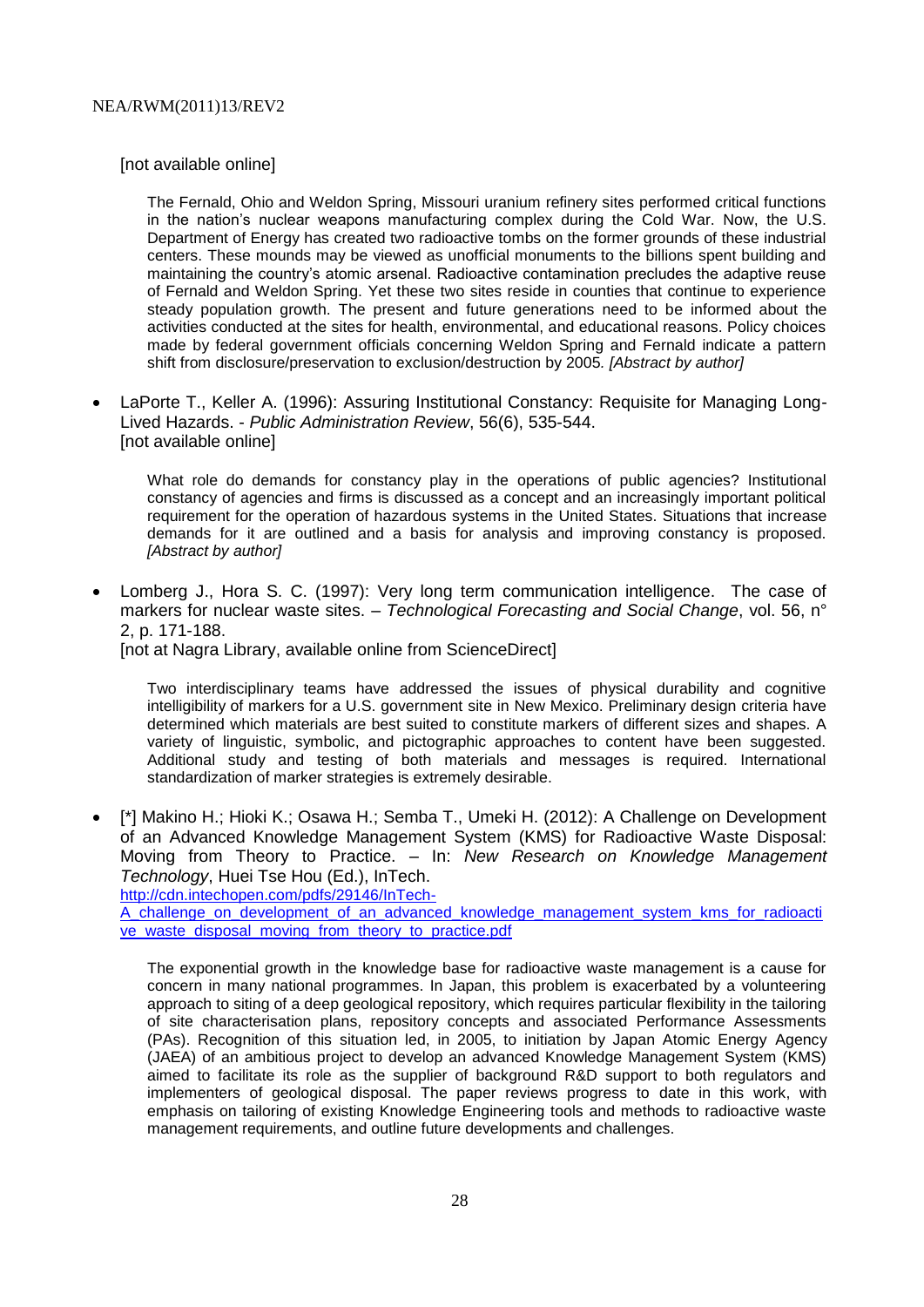[not available online]

The Fernald, Ohio and Weldon Spring, Missouri uranium refinery sites performed critical functions in the nation's nuclear weapons manufacturing complex during the Cold War. Now, the U.S. Department of Energy has created two radioactive tombs on the former grounds of these industrial centers. These mounds may be viewed as unofficial monuments to the billions spent building and maintaining the country's atomic arsenal. Radioactive contamination precludes the adaptive reuse of Fernald and Weldon Spring. Yet these two sites reside in counties that continue to experience steady population growth. The present and future generations need to be informed about the activities conducted at the sites for health, environmental, and educational reasons. Policy choices made by federal government officials concerning Weldon Spring and Fernald indicate a pattern shift from disclosure/preservation to exclusion/destruction by 2005*. [Abstract by author]*

 LaPorte T., Keller A. (1996): Assuring Institutional Constancy: Requisite for Managing Long-Lived Hazards. - *Public Administration Review*, 56(6), 535-544. [not available online]

What role do demands for constancy play in the operations of public agencies? Institutional constancy of agencies and firms is discussed as a concept and an increasingly important political requirement for the operation of hazardous systems in the United States. Situations that increase demands for it are outlined and a basis for analysis and improving constancy is proposed. *[Abstract by author]*

 Lomberg J., Hora S. C. (1997): Very long term communication intelligence. The case of markers for nuclear waste sites. – *Technological Forecasting and Social Change*, vol. 56, n° 2, p. 171-188.

[not at Nagra Library, available online from ScienceDirect]

Two interdisciplinary teams have addressed the issues of physical durability and cognitive intelligibility of markers for a U.S. government site in New Mexico. Preliminary design criteria have determined which materials are best suited to constitute markers of different sizes and shapes. A variety of linguistic, symbolic, and pictographic approaches to content have been suggested. Additional study and testing of both materials and messages is required. International standardization of marker strategies is extremely desirable.

 [\*] Makino H.; Hioki K.; Osawa H.; Semba T., Umeki H. (2012): A Challenge on Development of an Advanced Knowledge Management System (KMS) for Radioactive Waste Disposal: Moving from Theory to Practice. – In: *New Research on Knowledge Management Technology*, Huei Tse Hou (Ed.), InTech.

[http://cdn.intechopen.com/pdfs/29146/InTech-](http://cdn.intechopen.com/pdfs/29146/InTech-A_challenge_on_development_of_an_advanced_knowledge_management_system_kms_for_radioactive_waste_disposal_moving_from_theory_to_practice.pdf)

A challenge on development of an advanced knowledge management system kms for radioacti [ve\\_waste\\_disposal\\_moving\\_from\\_theory\\_to\\_practice.pdf](http://cdn.intechopen.com/pdfs/29146/InTech-A_challenge_on_development_of_an_advanced_knowledge_management_system_kms_for_radioactive_waste_disposal_moving_from_theory_to_practice.pdf)

The exponential growth in the knowledge base for radioactive waste management is a cause for concern in many national programmes. In Japan, this problem is exacerbated by a volunteering approach to siting of a deep geological repository, which requires particular flexibility in the tailoring of site characterisation plans, repository concepts and associated Performance Assessments (PAs). Recognition of this situation led, in 2005, to initiation by Japan Atomic Energy Agency (JAEA) of an ambitious project to develop an advanced Knowledge Management System (KMS) aimed to facilitate its role as the supplier of background R&D support to both regulators and implementers of geological disposal. The paper reviews progress to date in this work, with emphasis on tailoring of existing Knowledge Engineering tools and methods to radioactive waste management requirements, and outline future developments and challenges.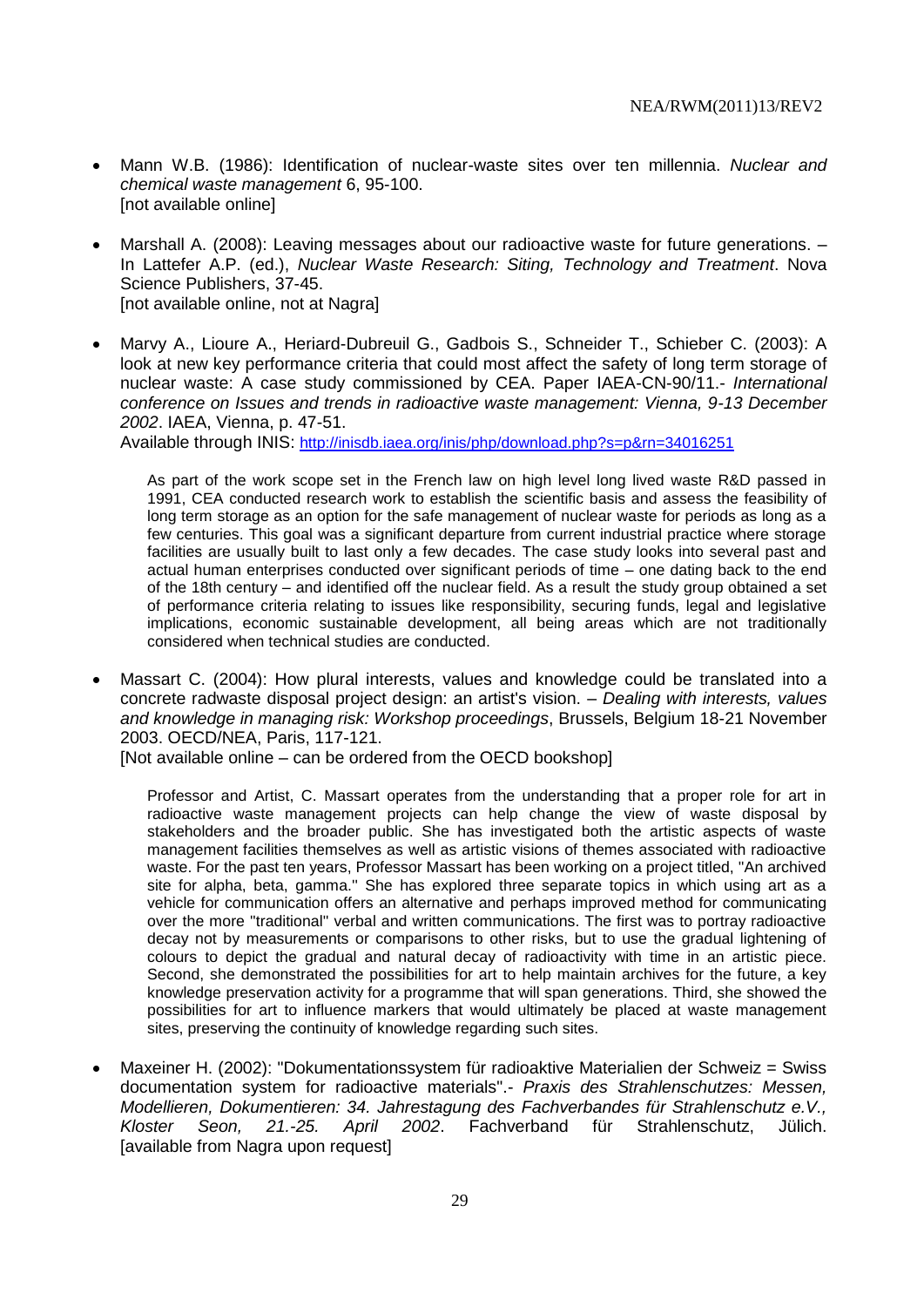- Mann W.B. (1986): Identification of nuclear-waste sites over ten millennia. *Nuclear and chemical waste management* 6, 95-100. [not available online]
- Marshall A. (2008): Leaving messages about our radioactive waste for future generations. In Lattefer A.P. (ed.), *Nuclear Waste Research: Siting, Technology and Treatment*. Nova Science Publishers, 37-45. [not available online, not at Nagra]
- Marvy A., Lioure A., Heriard-Dubreuil G., Gadbois S., Schneider T., Schieber C. (2003): A look at new key performance criteria that could most affect the safety of long term storage of nuclear waste: A case study commissioned by CEA. Paper IAEA-CN-90/11.- *International conference on Issues and trends in radioactive waste management: Vienna, 9-13 December 2002*. IAEA, Vienna, p. 47-51.

Available through INIS: <http://inisdb.iaea.org/inis/php/download.php?s=p&rn=34016251>

As part of the work scope set in the French law on high level long lived waste R&D passed in 1991, CEA conducted research work to establish the scientific basis and assess the feasibility of long term storage as an option for the safe management of nuclear waste for periods as long as a few centuries. This goal was a significant departure from current industrial practice where storage facilities are usually built to last only a few decades. The case study looks into several past and actual human enterprises conducted over significant periods of time – one dating back to the end of the 18th century – and identified off the nuclear field. As a result the study group obtained a set of performance criteria relating to issues like responsibility, securing funds, legal and legislative implications, economic sustainable development, all being areas which are not traditionally considered when technical studies are conducted.

 Massart C. (2004): How plural interests, values and knowledge could be translated into a concrete radwaste disposal project design: an artist's vision. – *Dealing with interests, values and knowledge in managing risk: Workshop proceedings*, Brussels, Belgium 18-21 November 2003. OECD/NEA, Paris, 117-121.

[Not available online – can be ordered from the OECD bookshop]

Professor and Artist, C. Massart operates from the understanding that a proper role for art in radioactive waste management projects can help change the view of waste disposal by stakeholders and the broader public. She has investigated both the artistic aspects of waste management facilities themselves as well as artistic visions of themes associated with radioactive waste. For the past ten years, Professor Massart has been working on a project titled, ''An archived site for alpha, beta, gamma.'' She has explored three separate topics in which using art as a vehicle for communication offers an alternative and perhaps improved method for communicating over the more ''traditional'' verbal and written communications. The first was to portray radioactive decay not by measurements or comparisons to other risks, but to use the gradual lightening of colours to depict the gradual and natural decay of radioactivity with time in an artistic piece. Second, she demonstrated the possibilities for art to help maintain archives for the future, a key knowledge preservation activity for a programme that will span generations. Third, she showed the possibilities for art to influence markers that would ultimately be placed at waste management sites, preserving the continuity of knowledge regarding such sites.

 Maxeiner H. (2002): "Dokumentationssystem für radioaktive Materialien der Schweiz = Swiss documentation system for radioactive materials".- *Praxis des Strahlenschutzes: Messen, Modellieren, Dokumentieren: 34. Jahrestagung des Fachverbandes für Strahlenschutz e.V., Kloster Seon, 21.-25. April 2002*. Fachverband für Strahlenschutz, Jülich. [available from Nagra upon request]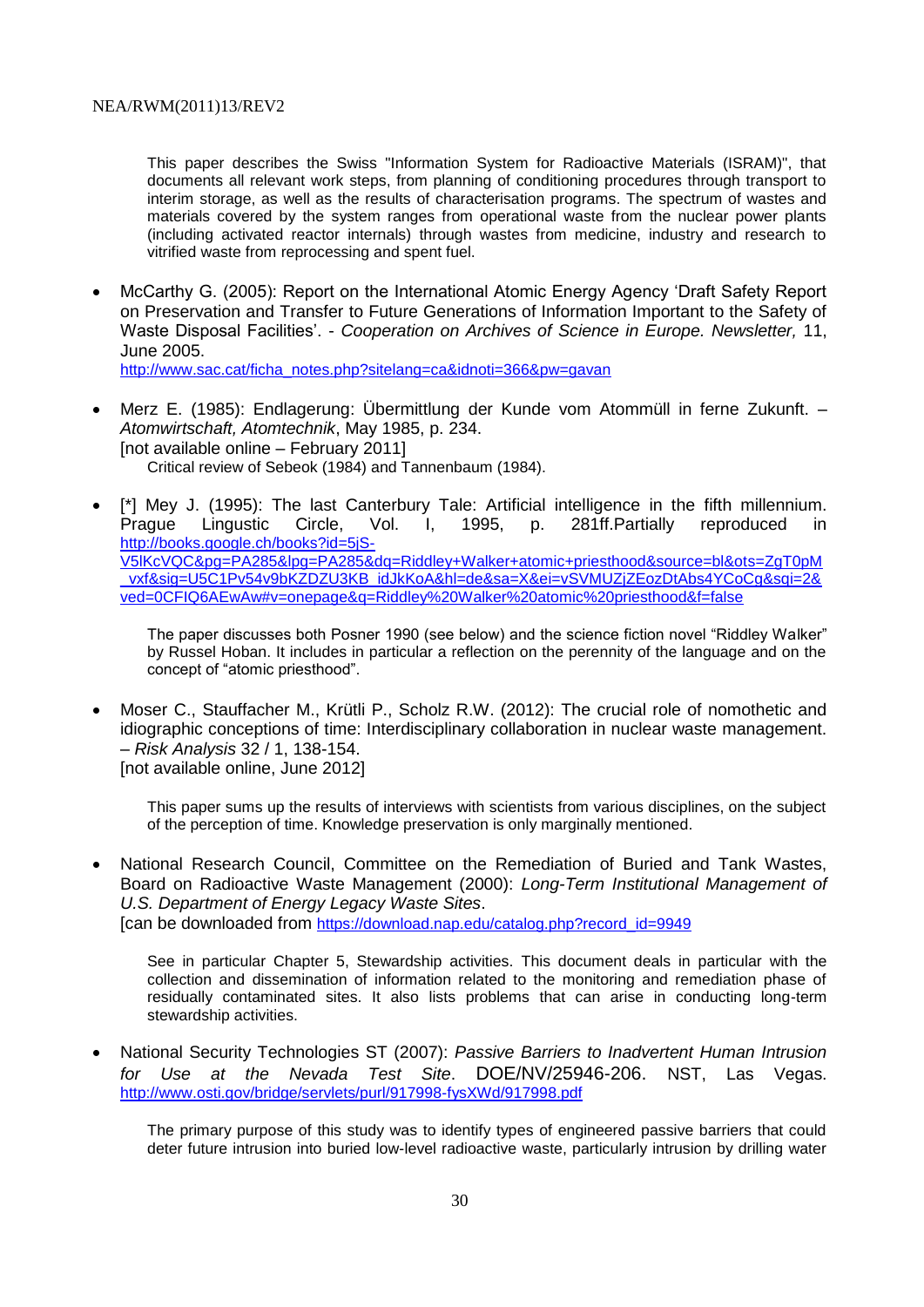This paper describes the Swiss "Information System for Radioactive Materials (ISRAM)", that documents all relevant work steps, from planning of conditioning procedures through transport to interim storage, as well as the results of characterisation programs. The spectrum of wastes and materials covered by the system ranges from operational waste from the nuclear power plants (including activated reactor internals) through wastes from medicine, industry and research to vitrified waste from reprocessing and spent fuel.

 McCarthy G. (2005): Report on the International Atomic Energy Agency 'Draft Safety Report on Preservation and Transfer to Future Generations of Information Important to the Safety of Waste Disposal Facilities'. - *Cooperation on Archives of Science in Europe. Newsletter,* 11, June 2005.

[http://www.sac.cat/ficha\\_notes.php?sitelang=ca&idnoti=366&pw=gavan](http://www.sac.cat/ficha_notes.php?sitelang=ca&idnoti=366&pw=gavan)

- Merz E. (1985): Endlagerung: Übermittlung der Kunde vom Atommüll in ferne Zukunft. *Atomwirtschaft, Atomtechnik*, May 1985, p. 234. [not available online – February 2011] Critical review of Sebeok (1984) and Tannenbaum (1984).
- [\*] Mey J. (1995): The last Canterbury Tale: Artificial intelligence in the fifth millennium.<br>Prague Lingustic Circle, Vol. I. 1995. p. 281ff.Partially reproduced in Prague Lingustic Circle, Vol. I, 1995, p. 281ff.Partially reproduced in [http://books.google.ch/books?id=5jS-](http://books.google.ch/books?id=5jS-V5lKcVQC&pg=PA285&lpg=PA285&dq=Riddley+Walker+atomic+priesthood&source=bl&ots=ZgT0pM_vxf&sig=U5C1Pv54v9bKZDZU3KB_idJkKoA&hl=de&sa=X&ei=vSVMUZjZEozDtAbs4YCoCg&sqi=2&ved=0CFIQ6AEwAw#v=onepage&q=Riddley%20Walker%20atomic%20priesthood&f=false)[V5lKcVQC&pg=PA285&lpg=PA285&dq=Riddley+Walker+atomic+priesthood&source=bl&ots=ZgT0pM](http://books.google.ch/books?id=5jS-V5lKcVQC&pg=PA285&lpg=PA285&dq=Riddley+Walker+atomic+priesthood&source=bl&ots=ZgT0pM_vxf&sig=U5C1Pv54v9bKZDZU3KB_idJkKoA&hl=de&sa=X&ei=vSVMUZjZEozDtAbs4YCoCg&sqi=2&ved=0CFIQ6AEwAw#v=onepage&q=Riddley%20Walker%20atomic%20priesthood&f=false) [\\_vxf&sig=U5C1Pv54v9bKZDZU3KB\\_idJkKoA&hl=de&sa=X&ei=vSVMUZjZEozDtAbs4YCoCg&sqi=2&](http://books.google.ch/books?id=5jS-V5lKcVQC&pg=PA285&lpg=PA285&dq=Riddley+Walker+atomic+priesthood&source=bl&ots=ZgT0pM_vxf&sig=U5C1Pv54v9bKZDZU3KB_idJkKoA&hl=de&sa=X&ei=vSVMUZjZEozDtAbs4YCoCg&sqi=2&ved=0CFIQ6AEwAw#v=onepage&q=Riddley%20Walker%20atomic%20priesthood&f=false) [ved=0CFIQ6AEwAw#v=onepage&q=Riddley%20Walker%20atomic%20priesthood&f=false](http://books.google.ch/books?id=5jS-V5lKcVQC&pg=PA285&lpg=PA285&dq=Riddley+Walker+atomic+priesthood&source=bl&ots=ZgT0pM_vxf&sig=U5C1Pv54v9bKZDZU3KB_idJkKoA&hl=de&sa=X&ei=vSVMUZjZEozDtAbs4YCoCg&sqi=2&ved=0CFIQ6AEwAw#v=onepage&q=Riddley%20Walker%20atomic%20priesthood&f=false)

The paper discusses both Posner 1990 (see below) and the science fiction novel "Riddley Walker" by Russel Hoban. It includes in particular a reflection on the perennity of the language and on the concept of "atomic priesthood".

 Moser C., Stauffacher M., Krütli P., Scholz R.W. (2012): The crucial role of nomothetic and idiographic conceptions of time: Interdisciplinary collaboration in nuclear waste management. – *Risk Analysis* 32 / 1, 138-154. [not available online, June 2012]

This paper sums up the results of interviews with scientists from various disciplines, on the subject of the perception of time. Knowledge preservation is only marginally mentioned.

 National Research Council, Committee on the Remediation of Buried and Tank Wastes, Board on Radioactive Waste Management (2000): *Long-Term Institutional Management of U.S. Department of Energy Legacy Waste Sites*. [can be downloaded from [https://download.nap.edu/catalog.php?record\\_id=9949](https://download.nap.edu/catalog.php?record_id=9949)

See in particular Chapter 5, Stewardship activities. This document deals in particular with the collection and dissemination of information related to the monitoring and remediation phase of residually contaminated sites. It also lists problems that can arise in conducting long-term stewardship activities.

 National Security Technologies ST (2007): *Passive Barriers to Inadvertent Human Intrusion for Use at the Nevada Test Site*. DOE/NV/25946-206. NST, Las Vegas. <http://www.osti.gov/bridge/servlets/purl/917998-fysXWd/917998.pdf>

The primary purpose of this study was to identify types of engineered passive barriers that could deter future intrusion into buried low-level radioactive waste, particularly intrusion by drilling water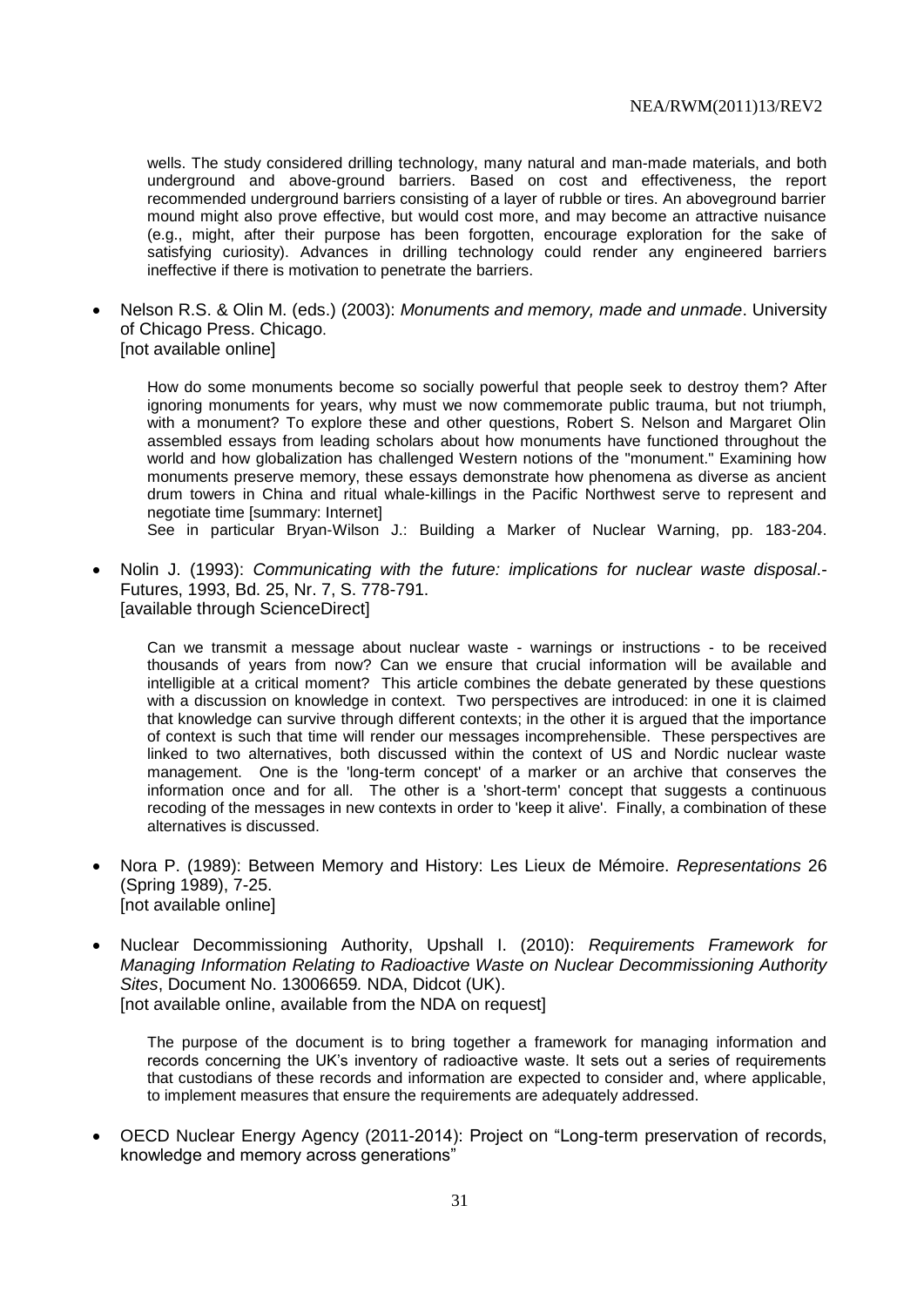wells. The study considered drilling technology, many natural and man-made materials, and both underground and above-ground barriers. Based on cost and effectiveness, the report recommended underground barriers consisting of a layer of rubble or tires. An aboveground barrier mound might also prove effective, but would cost more, and may become an attractive nuisance (e.g., might, after their purpose has been forgotten, encourage exploration for the sake of satisfying curiosity). Advances in drilling technology could render any engineered barriers ineffective if there is motivation to penetrate the barriers.

 Nelson R.S. & Olin M. (eds.) (2003): *Monuments and memory, made and unmade*. University of Chicago Press. Chicago. [not available online]

How do some monuments become so socially powerful that people seek to destroy them? After ignoring monuments for years, why must we now commemorate public trauma, but not triumph, with a monument? To explore these and other questions, Robert S. Nelson and Margaret Olin assembled essays from leading scholars about how monuments have functioned throughout the world and how globalization has challenged Western notions of the "monument." Examining how monuments preserve memory, these essays demonstrate how phenomena as diverse as ancient drum towers in China and ritual whale-killings in the Pacific Northwest serve to represent and negotiate time [summary: Internet]

See in particular Bryan-Wilson J.: Building a Marker of Nuclear Warning, pp. 183-204.

 Nolin J. (1993): *Communicating with the future: implications for nuclear waste disposal*.- Futures, 1993, Bd. 25, Nr. 7, S. 778-791. [available through ScienceDirect]

Can we transmit a message about nuclear waste - warnings or instructions - to be received thousands of years from now? Can we ensure that crucial information will be available and intelligible at a critical moment? This article combines the debate generated by these questions with a discussion on knowledge in context. Two perspectives are introduced: in one it is claimed that knowledge can survive through different contexts; in the other it is argued that the importance of context is such that time will render our messages incomprehensible. These perspectives are linked to two alternatives, both discussed within the context of US and Nordic nuclear waste management. One is the 'long-term concept' of a marker or an archive that conserves the information once and for all. The other is a 'short-term' concept that suggests a continuous recoding of the messages in new contexts in order to 'keep it alive'. Finally, a combination of these alternatives is discussed.

- Nora P. (1989): Between Memory and History: Les Lieux de Mémoire. *Representations* 26 (Spring 1989), 7-25. [not available online]
- Nuclear Decommissioning Authority, Upshall I. (2010): *Requirements Framework for Managing Information Relating to Radioactive Waste on Nuclear Decommissioning Authority Sites*, Document No. 13006659*.* NDA, Didcot (UK). [not available online, available from the NDA on request]

The purpose of the document is to bring together a framework for managing information and records concerning the UK's inventory of radioactive waste. It sets out a series of requirements that custodians of these records and information are expected to consider and, where applicable, to implement measures that ensure the requirements are adequately addressed.

 OECD Nuclear Energy Agency (2011-2014): Project on "Long-term preservation of records, knowledge and memory across generations"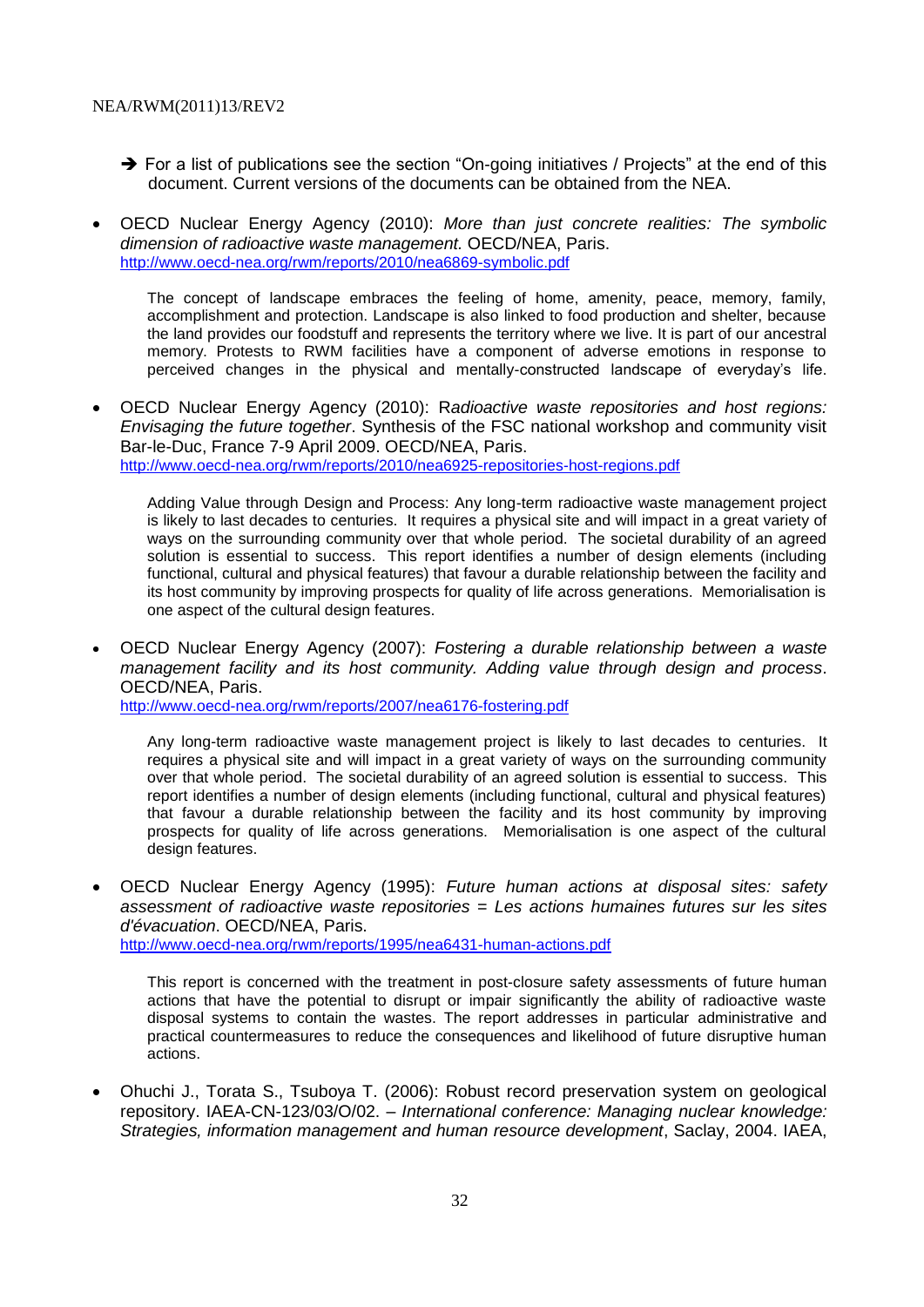- $\rightarrow$  For a list of publications see the section "On-going initiatives / Projects" at the end of this document. Current versions of the documents can be obtained from the NEA.
- OECD Nuclear Energy Agency (2010): *More than just concrete realities: The symbolic dimension of radioactive waste management.* OECD/NEA, Paris. <http://www.oecd-nea.org/rwm/reports/2010/nea6869-symbolic.pdf>

The concept of landscape embraces the feeling of home, amenity, peace, memory, family, accomplishment and protection. Landscape is also linked to food production and shelter, because the land provides our foodstuff and represents the territory where we live. It is part of our ancestral memory. Protests to RWM facilities have a component of adverse emotions in response to perceived changes in the physical and mentally-constructed landscape of everyday's life.

 OECD Nuclear Energy Agency (2010): R*adioactive waste repositories and host regions: Envisaging the future together*. Synthesis of the FSC national workshop and community visit Bar-le-Duc, France 7-9 April 2009. OECD/NEA, Paris. <http://www.oecd-nea.org/rwm/reports/2010/nea6925-repositories-host-regions.pdf>

Adding Value through Design and Process: Any long-term radioactive waste management project is likely to last decades to centuries. It requires a physical site and will impact in a great variety of ways on the surrounding community over that whole period. The societal durability of an agreed solution is essential to success. This report identifies a number of design elements (including functional, cultural and physical features) that favour a durable relationship between the facility and its host community by improving prospects for quality of life across generations. Memorialisation is one aspect of the cultural design features.

 OECD Nuclear Energy Agency (2007): *Fostering a durable relationship between a waste management facility and its host community. Adding value through design and process*. OECD/NEA, Paris.

<http://www.oecd-nea.org/rwm/reports/2007/nea6176-fostering.pdf>

Any long-term radioactive waste management project is likely to last decades to centuries. It requires a physical site and will impact in a great variety of ways on the surrounding community over that whole period. The societal durability of an agreed solution is essential to success. This report identifies a number of design elements (including functional, cultural and physical features) that favour a durable relationship between the facility and its host community by improving prospects for quality of life across generations. Memorialisation is one aspect of the cultural design features.

 OECD Nuclear Energy Agency (1995): *Future human actions at disposal sites: safety assessment of radioactive waste repositories = Les actions humaines futures sur les sites d'évacuation*. OECD/NEA, Paris. <http://www.oecd-nea.org/rwm/reports/1995/nea6431-human-actions.pdf>

This report is concerned with the treatment in post-closure safety assessments of future human actions that have the potential to disrupt or impair significantly the ability of radioactive waste disposal systems to contain the wastes. The report addresses in particular administrative and practical countermeasures to reduce the consequences and likelihood of future disruptive human actions.

 Ohuchi J., Torata S., Tsuboya T. (2006): Robust record preservation system on geological repository. IAEA-CN-123/03/O/02. – *International conference: Managing nuclear knowledge: Strategies, information management and human resource development*, Saclay, 2004. IAEA,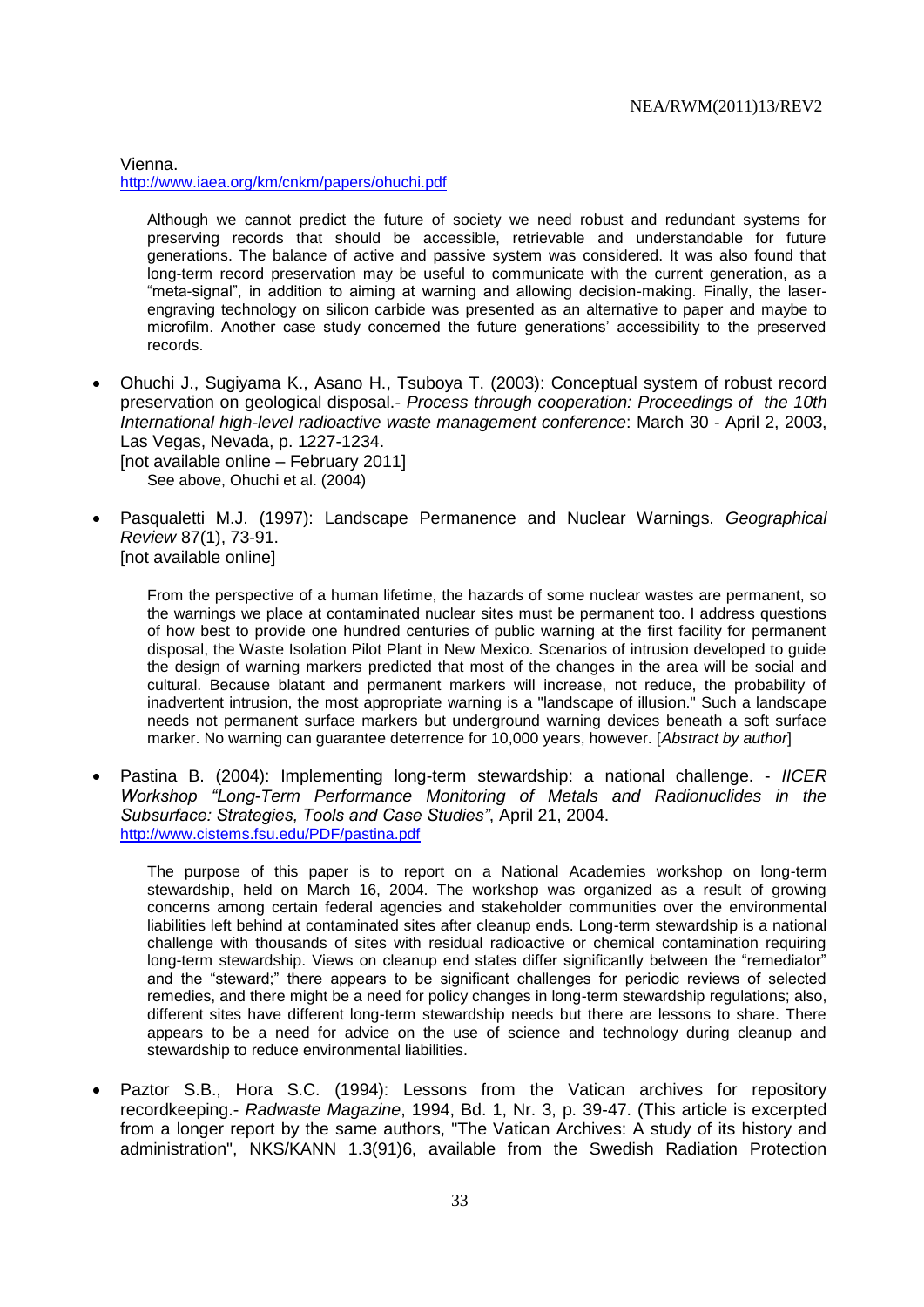Vienna. <http://www.iaea.org/km/cnkm/papers/ohuchi.pdf>

Although we cannot predict the future of society we need robust and redundant systems for preserving records that should be accessible, retrievable and understandable for future generations. The balance of active and passive system was considered. It was also found that long-term record preservation may be useful to communicate with the current generation, as a "meta-signal", in addition to aiming at warning and allowing decision-making. Finally, the laserengraving technology on silicon carbide was presented as an alternative to paper and maybe to microfilm. Another case study concerned the future generations' accessibility to the preserved records.

 Ohuchi J., Sugiyama K., Asano H., Tsuboya T. (2003): Conceptual system of robust record preservation on geological disposal.- *Process through cooperation: Proceedings of the 10th International high-level radioactive waste management conference*: March 30 - April 2, 2003, Las Vegas, Nevada, p. 1227-1234.

[not available online – February 2011] See above, Ohuchi et al. (2004)

 Pasqualetti M.J. (1997): Landscape Permanence and Nuclear Warnings. *Geographical Review* 87(1), 73-91. [not available online]

From the perspective of a human lifetime, the hazards of some nuclear wastes are permanent, so the warnings we place at contaminated nuclear sites must be permanent too. I address questions of how best to provide one hundred centuries of public warning at the first facility for permanent disposal, the Waste Isolation Pilot Plant in New Mexico. Scenarios of intrusion developed to guide the design of warning markers predicted that most of the changes in the area will be social and cultural. Because blatant and permanent markers will increase, not reduce, the probability of inadvertent intrusion, the most appropriate warning is a "landscape of illusion." Such a landscape needs not permanent surface markers but underground warning devices beneath a soft surface marker. No warning can guarantee deterrence for 10,000 years, however. [*Abstract by author*]

 Pastina B. (2004): Implementing long-term stewardship: a national challenge. - *IICER Workshop "Long-Term Performance Monitoring of Metals and Radionuclides in the Subsurface: Strategies, Tools and Case Studies"*, April 21, 2004. <http://www.cistems.fsu.edu/PDF/pastina.pdf>

The purpose of this paper is to report on a National Academies workshop on long-term stewardship, held on March 16, 2004. The workshop was organized as a result of growing concerns among certain federal agencies and stakeholder communities over the environmental liabilities left behind at contaminated sites after cleanup ends. Long-term stewardship is a national challenge with thousands of sites with residual radioactive or chemical contamination requiring long-term stewardship. Views on cleanup end states differ significantly between the "remediator" and the "steward;" there appears to be significant challenges for periodic reviews of selected remedies, and there might be a need for policy changes in long-term stewardship regulations; also, different sites have different long-term stewardship needs but there are lessons to share. There appears to be a need for advice on the use of science and technology during cleanup and stewardship to reduce environmental liabilities.

 Paztor S.B., Hora S.C. (1994): Lessons from the Vatican archives for repository recordkeeping.- *Radwaste Magazine*, 1994, Bd. 1, Nr. 3, p. 39-47. (This article is excerpted from a longer report by the same authors, "The Vatican Archives: A study of its history and administration", NKS/KANN 1.3(91)6, available from the Swedish Radiation Protection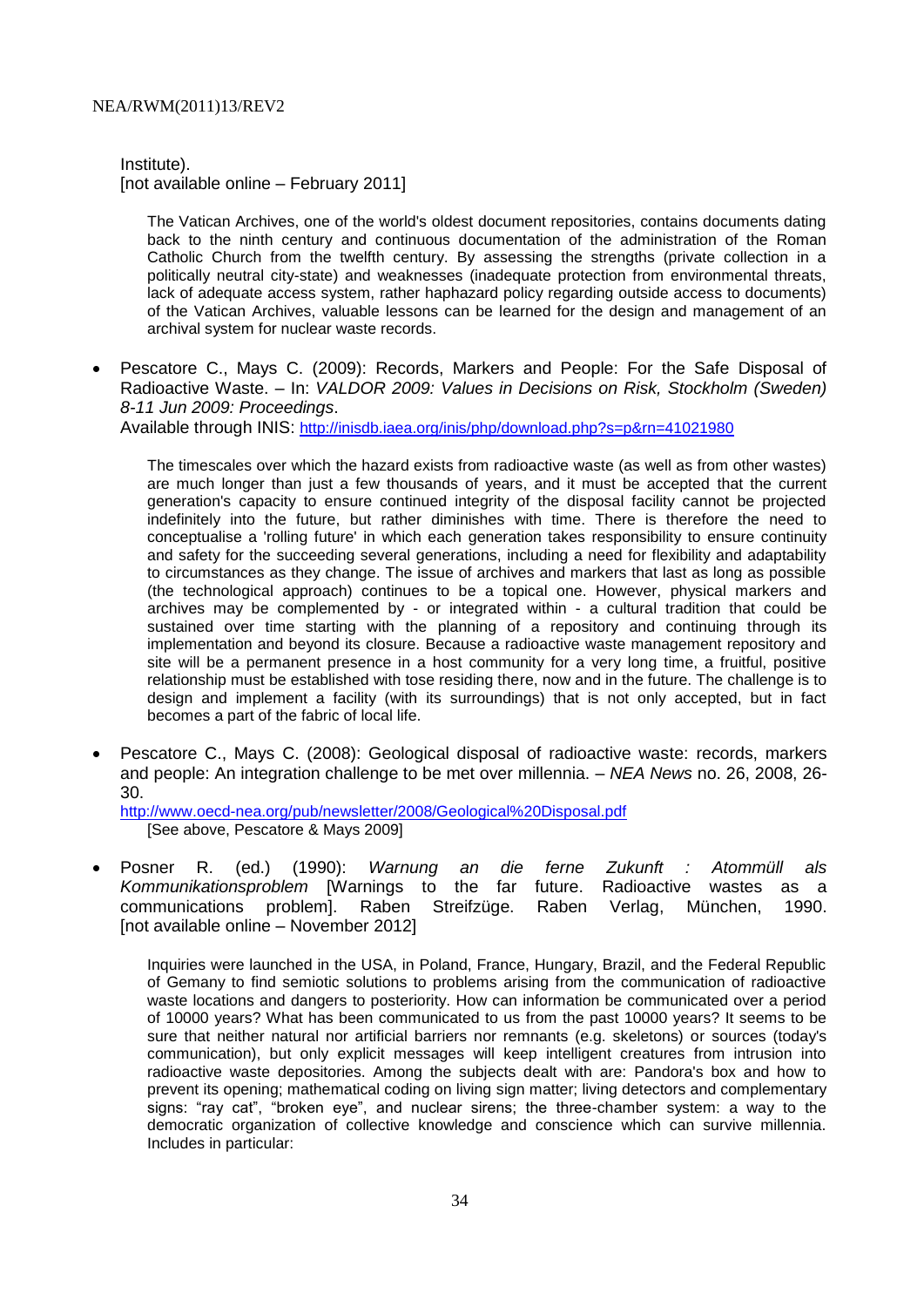Institute).

[not available online – February 2011]

The Vatican Archives, one of the world's oldest document repositories, contains documents dating back to the ninth century and continuous documentation of the administration of the Roman Catholic Church from the twelfth century. By assessing the strengths (private collection in a politically neutral city-state) and weaknesses (inadequate protection from environmental threats, lack of adequate access system, rather haphazard policy regarding outside access to documents) of the Vatican Archives, valuable lessons can be learned for the design and management of an archival system for nuclear waste records.

 Pescatore C., Mays C. (2009): Records, Markers and People: For the Safe Disposal of Radioactive Waste. – In: *VALDOR 2009: Values in Decisions on Risk, Stockholm (Sweden) 8-11 Jun 2009: Proceedings*.

Available through INIS: <http://inisdb.iaea.org/inis/php/download.php?s=p&rn=41021980>

The timescales over which the hazard exists from radioactive waste (as well as from other wastes) are much longer than just a few thousands of years, and it must be accepted that the current generation's capacity to ensure continued integrity of the disposal facility cannot be projected indefinitely into the future, but rather diminishes with time. There is therefore the need to conceptualise a 'rolling future' in which each generation takes responsibility to ensure continuity and safety for the succeeding several generations, including a need for flexibility and adaptability to circumstances as they change. The issue of archives and markers that last as long as possible (the technological approach) continues to be a topical one. However, physical markers and archives may be complemented by - or integrated within - a cultural tradition that could be sustained over time starting with the planning of a repository and continuing through its implementation and beyond its closure. Because a radioactive waste management repository and site will be a permanent presence in a host community for a very long time, a fruitful, positive relationship must be established with tose residing there, now and in the future. The challenge is to design and implement a facility (with its surroundings) that is not only accepted, but in fact becomes a part of the fabric of local life.

 Pescatore C., Mays C. (2008): Geological disposal of radioactive waste: records, markers and people: An integration challenge to be met over millennia. – *NEA News* no. 26, 2008, 26- 30.

<http://www.oecd-nea.org/pub/newsletter/2008/Geological%20Disposal.pdf> [See above, Pescatore & Mays 2009]

 Posner R. (ed.) (1990): *Warnung an die ferne Zukunft : Atommüll als Kommunikationsproblem* [Warnings to the far future. Radioactive wastes as a communications problem]. Raben Streifzüge. Raben Verlag, München, 1990. [not available online – November 2012]

Inquiries were launched in the USA, in Poland, France, Hungary, Brazil, and the Federal Republic of Gemany to find semiotic solutions to problems arising from the communication of radioactive waste locations and dangers to posteriority. How can information be communicated over a period of 10000 years? What has been communicated to us from the past 10000 years? It seems to be sure that neither natural nor artificial barriers nor remnants (e.g. skeletons) or sources (today's communication), but only explicit messages will keep intelligent creatures from intrusion into radioactive waste depositories. Among the subjects dealt with are: Pandora's box and how to prevent its opening; mathematical coding on living sign matter; living detectors and complementary signs: "ray cat", "broken eye", and nuclear sirens; the three-chamber system: a way to the democratic organization of collective knowledge and conscience which can survive millennia. Includes in particular: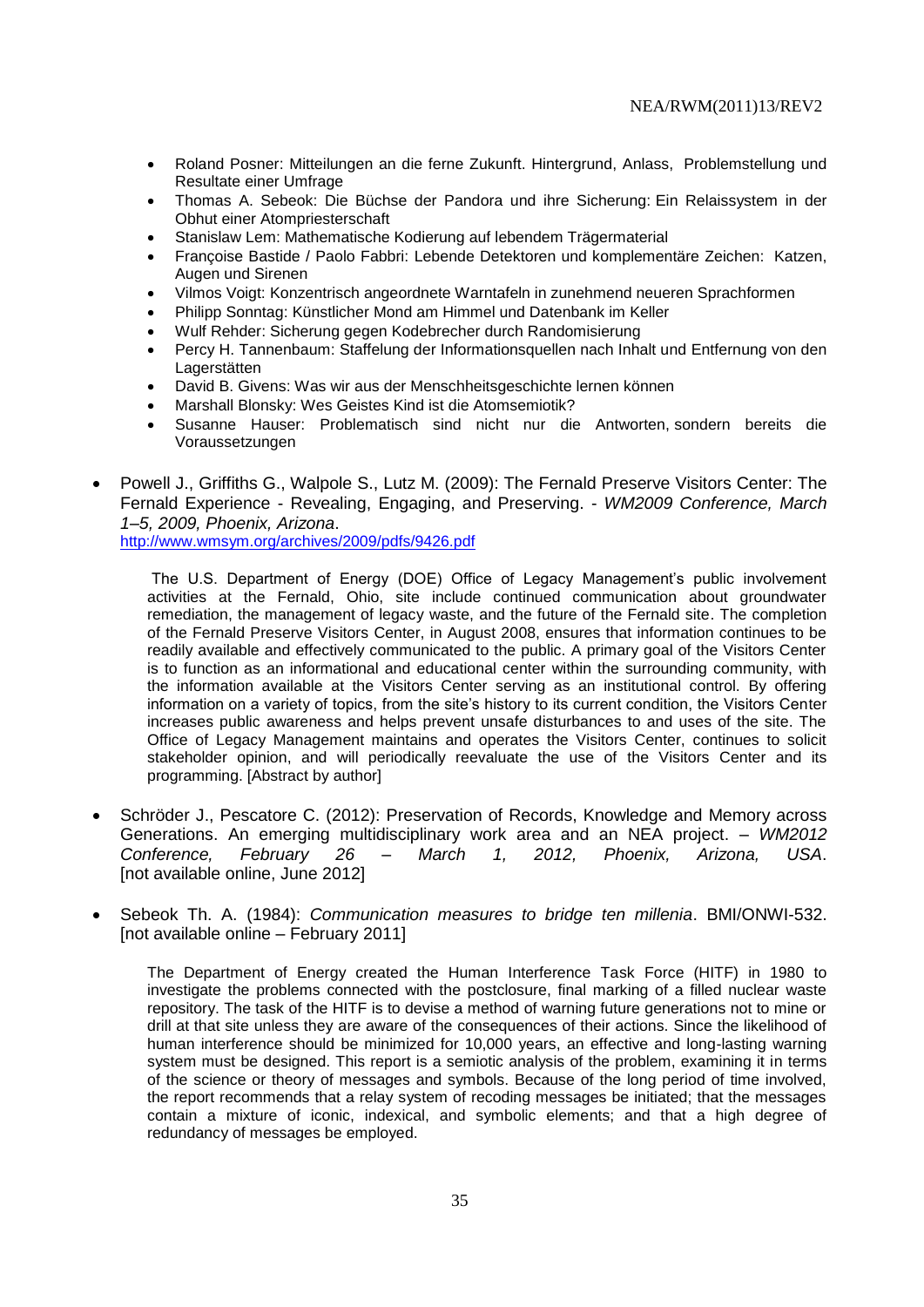- Roland Posner: Mitteilungen an die ferne Zukunft. Hintergrund, Anlass, Problemstellung und Resultate einer Umfrage
- Thomas A. Sebeok: Die Büchse der Pandora und ihre Sicherung: Ein Relaissystem in der Obhut einer Atompriesterschaft
- Stanislaw Lem: Mathematische Kodierung auf lebendem Trägermaterial
- Françoise Bastide / Paolo Fabbri: Lebende Detektoren und komplementäre Zeichen: Katzen, Augen und Sirenen
- Vilmos Voigt: Konzentrisch angeordnete Warntafeln in zunehmend neueren Sprachformen
- Philipp Sonntag: Künstlicher Mond am Himmel und Datenbank im Keller
- Wulf Rehder: Sicherung gegen Kodebrecher durch Randomisierung
- Percy H. Tannenbaum: Staffelung der Informationsquellen nach Inhalt und Entfernung von den **Lagerstätten**
- David B. Givens: Was wir aus der Menschheitsgeschichte lernen können
- Marshall Blonsky: Wes Geistes Kind ist die Atomsemiotik?
- Susanne Hauser: Problematisch sind nicht nur die Antworten, sondern bereits die Voraussetzungen
- Powell J., Griffiths G., Walpole S., Lutz M. (2009): The Fernald Preserve Visitors Center: The Fernald Experience - Revealing, Engaging, and Preserving. - *WM2009 Conference, March 1–5, 2009, Phoenix, Arizona*.

<http://www.wmsym.org/archives/2009/pdfs/9426.pdf>

The U.S. Department of Energy (DOE) Office of Legacy Management's public involvement activities at the Fernald, Ohio, site include continued communication about groundwater remediation, the management of legacy waste, and the future of the Fernald site. The completion of the Fernald Preserve Visitors Center, in August 2008, ensures that information continues to be readily available and effectively communicated to the public. A primary goal of the Visitors Center is to function as an informational and educational center within the surrounding community, with the information available at the Visitors Center serving as an institutional control. By offering information on a variety of topics, from the site's history to its current condition, the Visitors Center increases public awareness and helps prevent unsafe disturbances to and uses of the site. The Office of Legacy Management maintains and operates the Visitors Center, continues to solicit stakeholder opinion, and will periodically reevaluate the use of the Visitors Center and its programming. [Abstract by author]

- Schröder J., Pescatore C. (2012): Preservation of Records, Knowledge and Memory across Generations. An emerging multidisciplinary work area and an NEA project. – *WM2012 Conference, February 26 – March 1, 2012, Phoenix, Arizona, USA*. [not available online, June 2012]
- Sebeok Th. A. (1984): *Communication measures to bridge ten millenia*. BMI/ONWI-532. [not available online – February 2011]

The Department of Energy created the Human Interference Task Force (HITF) in 1980 to investigate the problems connected with the postclosure, final marking of a filled nuclear waste repository. The task of the HITF is to devise a method of warning future generations not to mine or drill at that site unless they are aware of the consequences of their actions. Since the likelihood of human interference should be minimized for 10,000 years, an effective and long-lasting warning system must be designed. This report is a semiotic analysis of the problem, examining it in terms of the science or theory of messages and symbols. Because of the long period of time involved, the report recommends that a relay system of recoding messages be initiated; that the messages contain a mixture of iconic, indexical, and symbolic elements; and that a high degree of redundancy of messages be employed.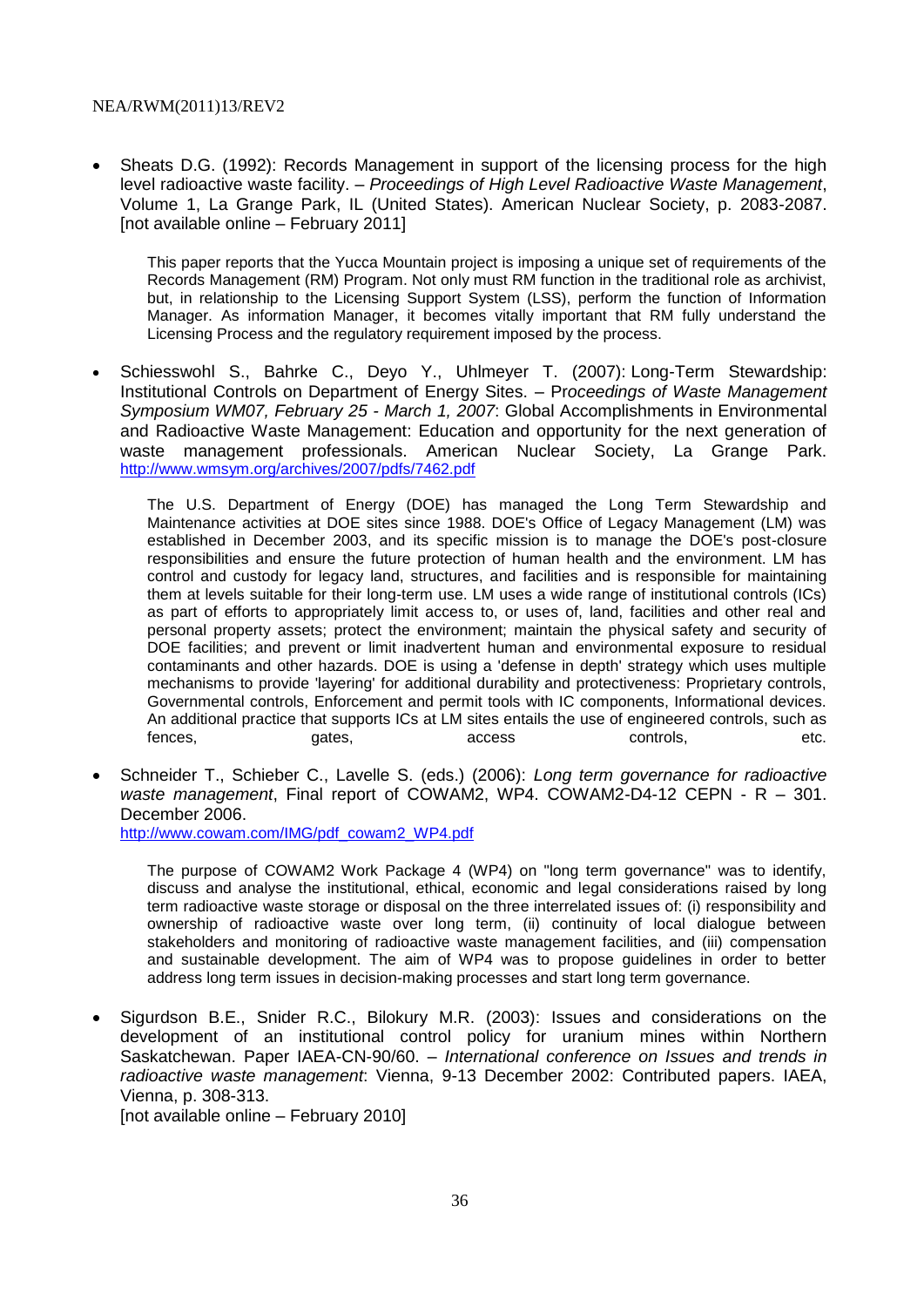• Sheats D.G. (1992): Records Management in support of the licensing process for the high level radioactive waste facility. – *Proceedings of High Level Radioactive Waste Management*, Volume 1, La Grange Park, IL (United States). American Nuclear Society, p. 2083-2087. [not available online – February 2011]

This paper reports that the Yucca Mountain project is imposing a unique set of requirements of the Records Management (RM) Program. Not only must RM function in the traditional role as archivist, but, in relationship to the Licensing Support System (LSS), perform the function of Information Manager. As information Manager, it becomes vitally important that RM fully understand the Licensing Process and the regulatory requirement imposed by the process.

• Schiesswohl S., Bahrke C., Deyo Y., Uhlmeyer T. (2007): Long-Term Stewardship: Institutional Controls on Department of Energy Sites. – Pr*oceedings of Waste Management Symposium WM07, February 25 - March 1, 2007*: Global Accomplishments in Environmental and Radioactive Waste Management: Education and opportunity for the next generation of waste management professionals. American Nuclear Society, La Grange Park. <http://www.wmsym.org/archives/2007/pdfs/7462.pdf>

The U.S. Department of Energy (DOE) has managed the Long Term Stewardship and Maintenance activities at DOE sites since 1988. DOE's Office of Legacy Management (LM) was established in December 2003, and its specific mission is to manage the DOE's post-closure responsibilities and ensure the future protection of human health and the environment. LM has control and custody for legacy land, structures, and facilities and is responsible for maintaining them at levels suitable for their long-term use. LM uses a wide range of institutional controls (ICs) as part of efforts to appropriately limit access to, or uses of, land, facilities and other real and personal property assets; protect the environment; maintain the physical safety and security of DOE facilities; and prevent or limit inadvertent human and environmental exposure to residual contaminants and other hazards. DOE is using a 'defense in depth' strategy which uses multiple mechanisms to provide 'layering' for additional durability and protectiveness: Proprietary controls, Governmental controls, Enforcement and permit tools with IC components, Informational devices. An additional practice that supports ICs at LM sites entails the use of engineered controls, such as fences, etc. gates, access controls, etc.

 Schneider T., Schieber C., Lavelle S. (eds.) (2006): *Long term governance for radioactive waste management*, Final report of COWAM2, WP4. COWAM2-D4-12 CEPN - R – 301. December 2006.

[http://www.cowam.com/IMG/pdf\\_cowam2\\_WP4.pdf](http://www.cowam.com/IMG/pdf_cowam2_WP4.pdf)

The purpose of COWAM2 Work Package 4 (WP4) on "long term governance" was to identify, discuss and analyse the institutional, ethical, economic and legal considerations raised by long term radioactive waste storage or disposal on the three interrelated issues of: (i) responsibility and ownership of radioactive waste over long term, (ii) continuity of local dialogue between stakeholders and monitoring of radioactive waste management facilities, and (iii) compensation and sustainable development. The aim of WP4 was to propose guidelines in order to better address long term issues in decision-making processes and start long term governance.

 Sigurdson B.E., Snider R.C., Bilokury M.R. (2003): Issues and considerations on the development of an institutional control policy for uranium mines within Northern Saskatchewan. Paper IAEA-CN-90/60. – *International conference on Issues and trends in radioactive waste management*: Vienna, 9-13 December 2002: Contributed papers. IAEA, Vienna, p. 308-313. [not available online – February 2010]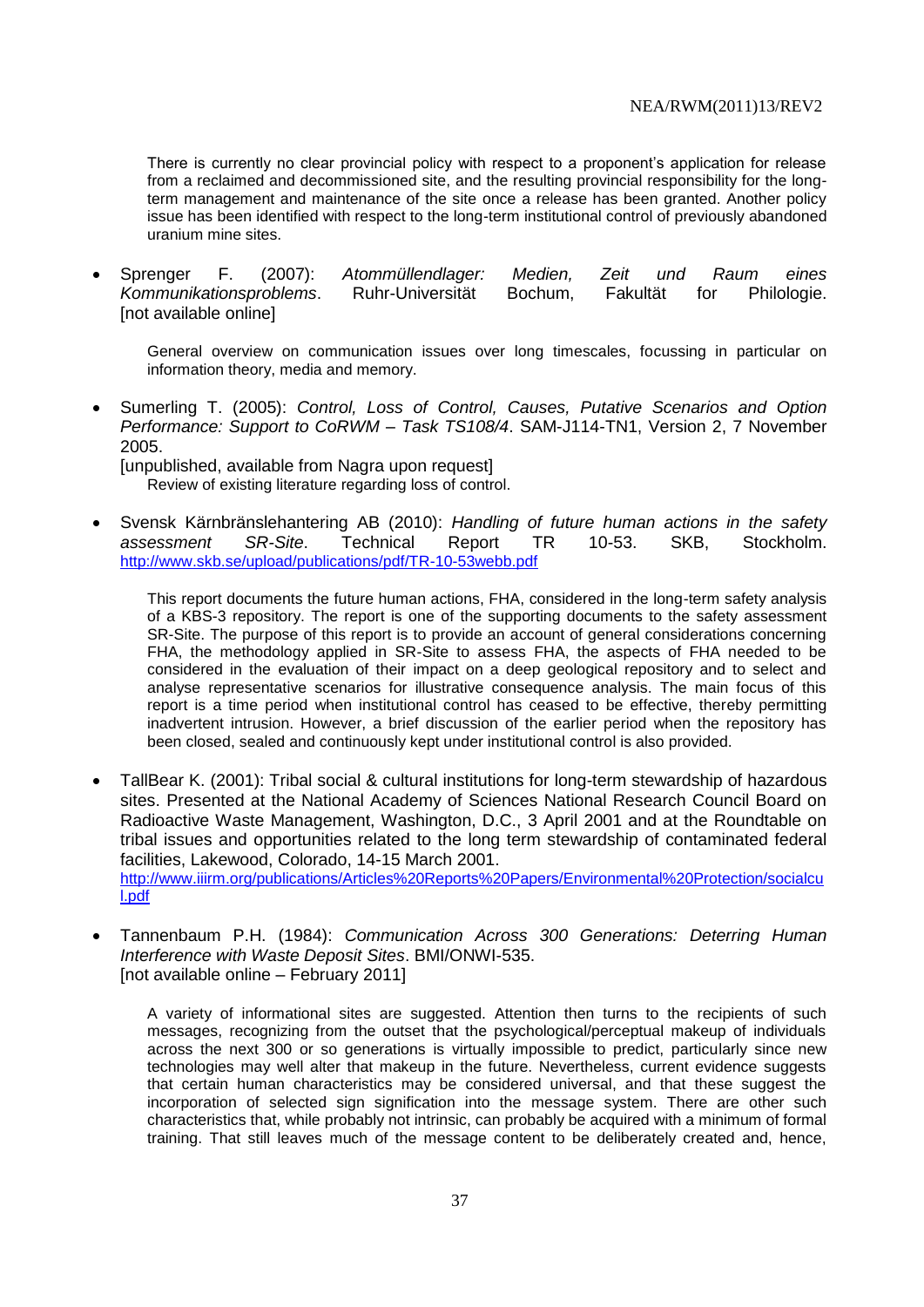There is currently no clear provincial policy with respect to a proponent's application for release from a reclaimed and decommissioned site, and the resulting provincial responsibility for the longterm management and maintenance of the site once a release has been granted. Another policy issue has been identified with respect to the long-term institutional control of previously abandoned uranium mine sites.

 Sprenger F. (2007): *Atommüllendlager: Medien, Zeit und Raum eines Kommunikationsproblems*. Ruhr-Universität Bochum, Fakultät for Philologie. [not available online]

General overview on communication issues over long timescales, focussing in particular on information theory, media and memory.

 Sumerling T. (2005): *Control, Loss of Control, Causes, Putative Scenarios and Option Performance: Support to CoRWM – Task TS108/4*. SAM-J114-TN1, Version 2, 7 November 2005.

[unpublished, available from Nagra upon request] Review of existing literature regarding loss of control.

 Svensk Kärnbränslehantering AB (2010): *Handling of future human actions in the safety assessment SR-Site*. Technical Report TR 10-53. SKB, Stockholm. <http://www.skb.se/upload/publications/pdf/TR-10-53webb.pdf>

This report documents the future human actions, FHA, considered in the long-term safety analysis of a KBS-3 repository. The report is one of the supporting documents to the safety assessment SR-Site. The purpose of this report is to provide an account of general considerations concerning FHA, the methodology applied in SR-Site to assess FHA, the aspects of FHA needed to be considered in the evaluation of their impact on a deep geological repository and to select and analyse representative scenarios for illustrative consequence analysis. The main focus of this report is a time period when institutional control has ceased to be effective, thereby permitting inadvertent intrusion. However, a brief discussion of the earlier period when the repository has been closed, sealed and continuously kept under institutional control is also provided.

- TallBear K. (2001): Tribal social & cultural institutions for long-term stewardship of hazardous sites. Presented at the National Academy of Sciences National Research Council Board on Radioactive Waste Management, Washington, D.C., 3 April 2001 and at the Roundtable on tribal issues and opportunities related to the long term stewardship of contaminated federal facilities, Lakewood, Colorado, 14-15 March 2001. [http://www.iiirm.org/publications/Articles%20Reports%20Papers/Environmental%20Protection/socialcu](http://www.iiirm.org/publications/Articles%20Reports%20Papers/Environmental%20Protection/socialcul.pdf) [l.pdf](http://www.iiirm.org/publications/Articles%20Reports%20Papers/Environmental%20Protection/socialcul.pdf)
- Tannenbaum P.H. (1984): *Communication Across 300 Generations: Deterring Human Interference with Waste Deposit Sites*. BMI/ONWI-535. [not available online – February 2011]

A variety of informational sites are suggested. Attention then turns to the recipients of such messages, recognizing from the outset that the psychological/perceptual makeup of individuals across the next 300 or so generations is virtually impossible to predict, particularly since new technologies may well alter that makeup in the future. Nevertheless, current evidence suggests that certain human characteristics may be considered universal, and that these suggest the incorporation of selected sign signification into the message system. There are other such characteristics that, while probably not intrinsic, can probably be acquired with a minimum of formal training. That still leaves much of the message content to be deliberately created and, hence,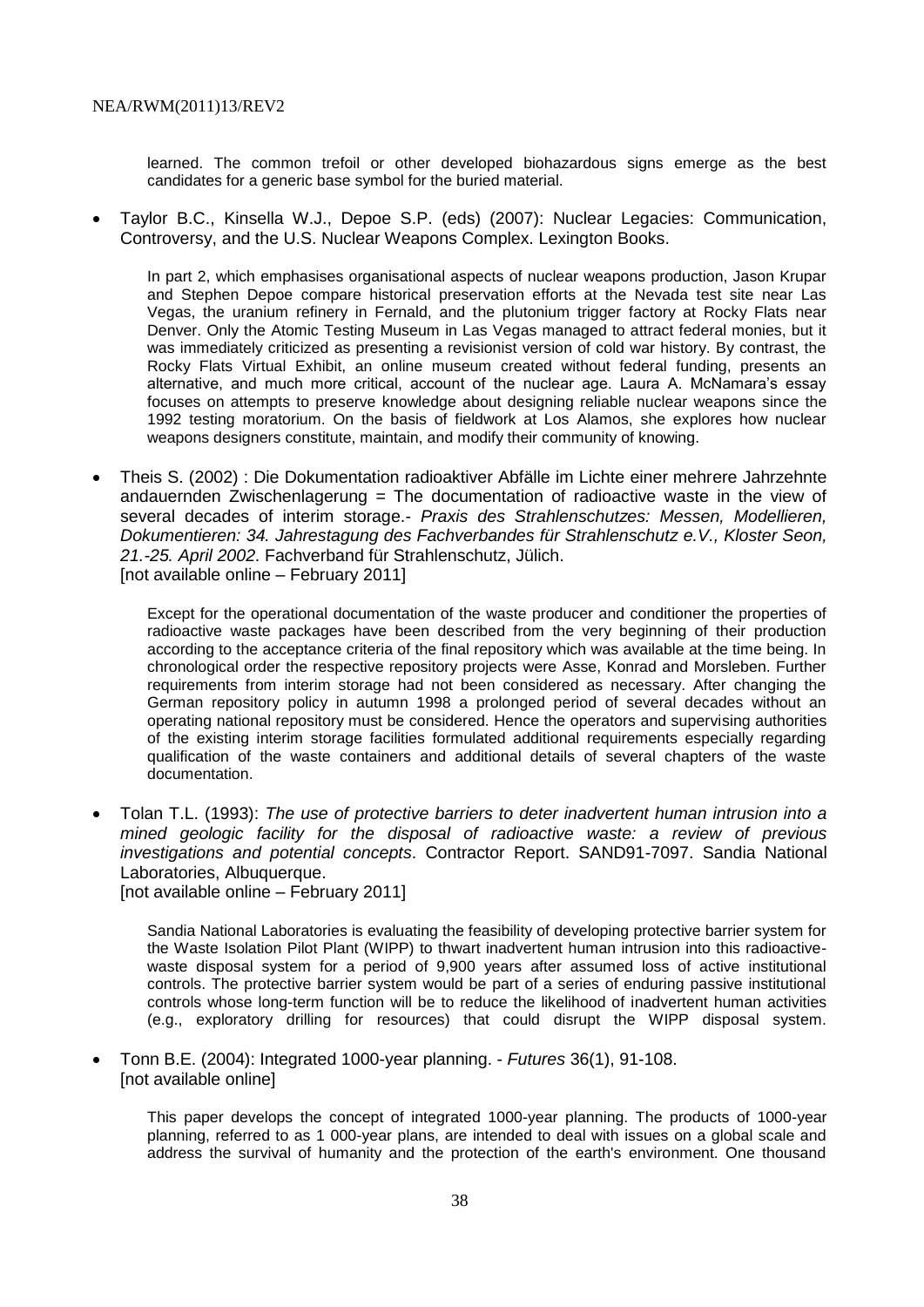learned. The common trefoil or other developed biohazardous signs emerge as the best candidates for a generic base symbol for the buried material.

 Taylor B.C., Kinsella W.J., Depoe S.P. (eds) (2007): Nuclear Legacies: Communication, Controversy, and the U.S. Nuclear Weapons Complex. Lexington Books.

In part 2, which emphasises organisational aspects of nuclear weapons production, Jason Krupar and Stephen Depoe compare historical preservation efforts at the Nevada test site near Las Vegas, the uranium refinery in Fernald, and the plutonium trigger factory at Rocky Flats near Denver. Only the Atomic Testing Museum in Las Vegas managed to attract federal monies, but it was immediately criticized as presenting a revisionist version of cold war history. By contrast, the Rocky Flats Virtual Exhibit, an online museum created without federal funding, presents an alternative, and much more critical, account of the nuclear age. Laura A. McNamara's essay focuses on attempts to preserve knowledge about designing reliable nuclear weapons since the 1992 testing moratorium. On the basis of fieldwork at Los Alamos, she explores how nuclear weapons designers constitute, maintain, and modify their community of knowing.

 Theis S. (2002) : Die Dokumentation radioaktiver Abfälle im Lichte einer mehrere Jahrzehnte andauernden Zwischenlagerung = The documentation of radioactive waste in the view of several decades of interim storage.- *Praxis des Strahlenschutzes: Messen, Modellieren, Dokumentieren: 34. Jahrestagung des Fachverbandes für Strahlenschutz e.V., Kloster Seon, 21.-25. April 2002*. Fachverband für Strahlenschutz, Jülich. [not available online – February 2011]

Except for the operational documentation of the waste producer and conditioner the properties of radioactive waste packages have been described from the very beginning of their production according to the acceptance criteria of the final repository which was available at the time being. In chronological order the respective repository projects were Asse, Konrad and Morsleben. Further requirements from interim storage had not been considered as necessary. After changing the German repository policy in autumn 1998 a prolonged period of several decades without an operating national repository must be considered. Hence the operators and supervising authorities of the existing interim storage facilities formulated additional requirements especially regarding qualification of the waste containers and additional details of several chapters of the waste documentation.

 Tolan T.L. (1993): *The use of protective barriers to deter inadvertent human intrusion into a mined geologic facility for the disposal of radioactive waste: a review of previous investigations and potential concepts*. Contractor Report. SAND91-7097. Sandia National Laboratories, Albuquerque. [not available online – February 2011]

Sandia National Laboratories is evaluating the feasibility of developing protective barrier system for the Waste Isolation Pilot Plant (WIPP) to thwart inadvertent human intrusion into this radioactivewaste disposal system for a period of 9,900 years after assumed loss of active institutional controls. The protective barrier system would be part of a series of enduring passive institutional controls whose long-term function will be to reduce the likelihood of inadvertent human activities (e.g., exploratory drilling for resources) that could disrupt the WIPP disposal system.

 Tonn B.E. (2004): Integrated 1000-year planning. - *Futures* 36(1), 91-108. [not available online]

This paper develops the concept of integrated 1000-year planning. The products of 1000-year planning, referred to as 1 000-year plans, are intended to deal with issues on a global scale and address the survival of humanity and the protection of the earth's environment. One thousand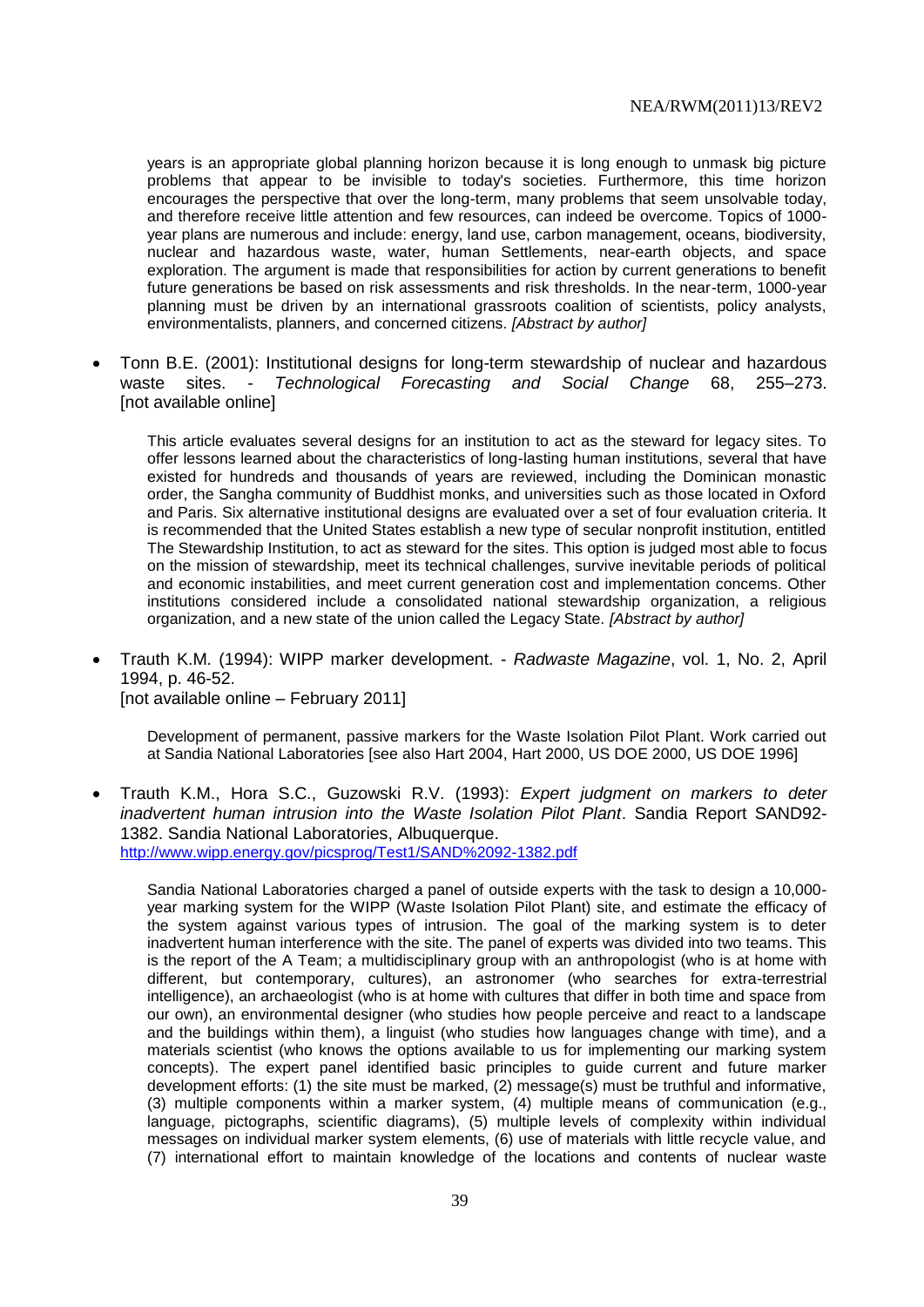years is an appropriate global planning horizon because it is long enough to unmask big picture problems that appear to be invisible to today's societies. Furthermore, this time horizon encourages the perspective that over the long-term, many problems that seem unsolvable today, and therefore receive little attention and few resources, can indeed be overcome. Topics of 1000 year plans are numerous and include: energy, land use, carbon management, oceans, biodiversity, nuclear and hazardous waste, water, human Settlements, near-earth objects, and space exploration. The argument is made that responsibilities for action by current generations to benefit future generations be based on risk assessments and risk thresholds. In the near-term, 1000-year planning must be driven by an international grassroots coalition of scientists, policy analysts, environmentalists, planners, and concerned citizens. *[Abstract by author]*

 Tonn B.E. (2001): Institutional designs for long-term stewardship of nuclear and hazardous waste sites. - *Technological Forecasting and Social Change* 68, 255–273. [not available online]

This article evaluates several designs for an institution to act as the steward for legacy sites. To offer lessons learned about the characteristics of long-lasting human institutions, several that have existed for hundreds and thousands of years are reviewed, including the Dominican monastic order, the Sangha community of Buddhist monks, and universities such as those located in Oxford and Paris. Six alternative institutional designs are evaluated over a set of four evaluation criteria. It is recommended that the United States establish a new type of secular nonprofit institution, entitled The Stewardship Institution, to act as steward for the sites. This option is judged most able to focus on the mission of stewardship, meet its technical challenges, survive inevitable periods of political and economic instabilities, and meet current generation cost and implementation concems. Other institutions considered include a consolidated national stewardship organization, a religious organization, and a new state of the union called the Legacy State. *[Abstract by author]*

 Trauth K.M. (1994): WIPP marker development. - *Radwaste Magazine*, vol. 1, No. 2, April 1994, p. 46-52. [not available online – February 2011]

Development of permanent, passive markers for the Waste Isolation Pilot Plant. Work carried out at Sandia National Laboratories [see also Hart 2004, Hart 2000, US DOE 2000, US DOE 1996]

 Trauth K.M., Hora S.C., Guzowski R.V. (1993): *Expert judgment on markers to deter inadvertent human intrusion into the Waste Isolation Pilot Plant*. Sandia Report SAND92- 1382. Sandia National Laboratories, Albuquerque. <http://www.wipp.energy.gov/picsprog/Test1/SAND%2092-1382.pdf>

Sandia National Laboratories charged a panel of outside experts with the task to design a 10,000 year marking system for the WIPP (Waste Isolation Pilot Plant) site, and estimate the efficacy of the system against various types of intrusion. The goal of the marking system is to deter inadvertent human interference with the site. The panel of experts was divided into two teams. This is the report of the A Team; a multidisciplinary group with an anthropologist (who is at home with different, but contemporary, cultures), an astronomer (who searches for extra-terrestrial intelligence), an archaeologist (who is at home with cultures that differ in both time and space from our own), an environmental designer (who studies how people perceive and react to a landscape and the buildings within them), a linguist (who studies how languages change with time), and a materials scientist (who knows the options available to us for implementing our marking system concepts). The expert panel identified basic principles to guide current and future marker development efforts: (1) the site must be marked, (2) message(s) must be truthful and informative, (3) multiple components within a marker system, (4) multiple means of communication (e.g., language, pictographs, scientific diagrams), (5) multiple levels of complexity within individual messages on individual marker system elements, (6) use of materials with little recycle value, and (7) international effort to maintain knowledge of the locations and contents of nuclear waste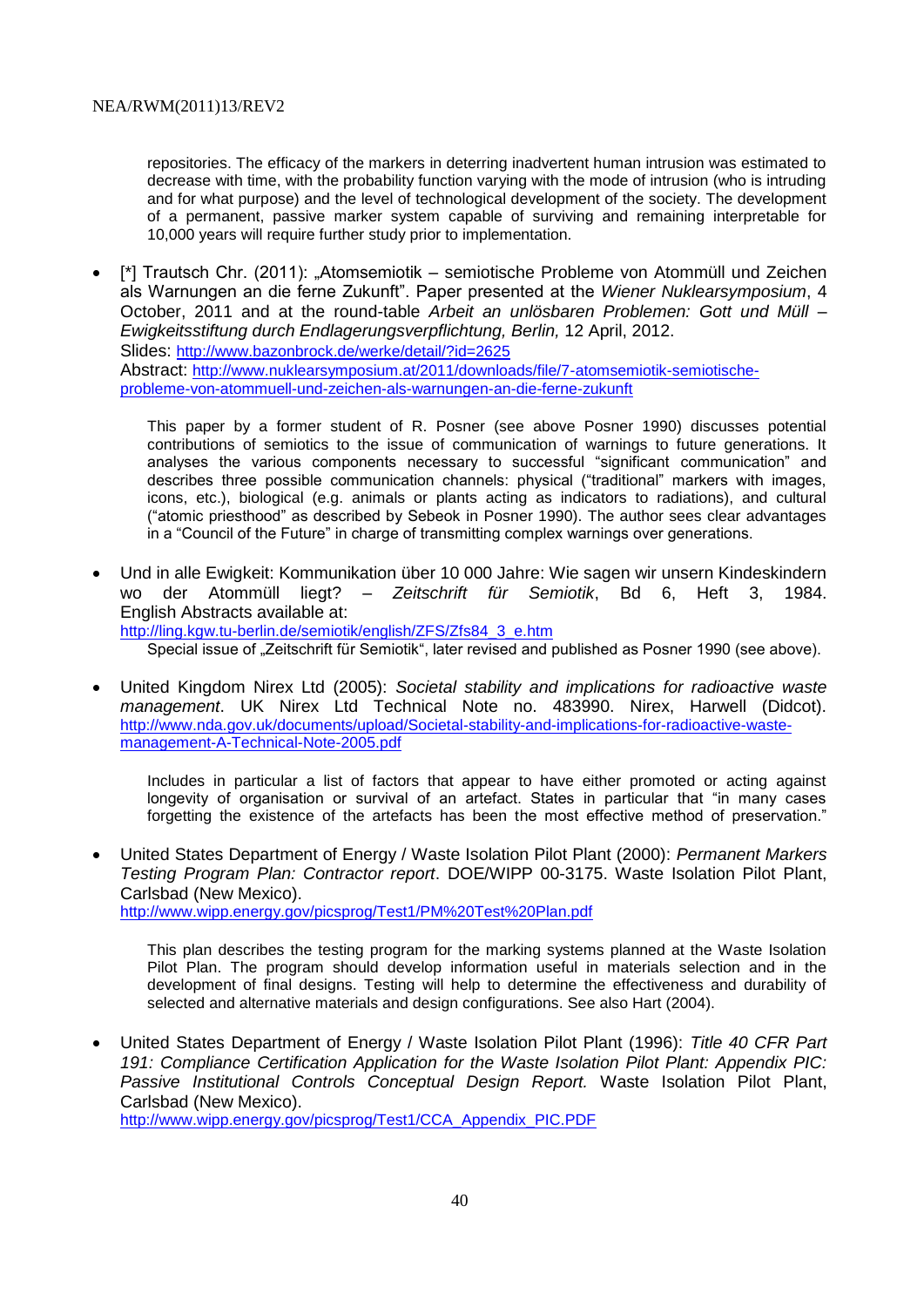repositories. The efficacy of the markers in deterring inadvertent human intrusion was estimated to decrease with time, with the probability function varying with the mode of intrusion (who is intruding and for what purpose) and the level of technological development of the society. The development of a permanent, passive marker system capable of surviving and remaining interpretable for 10,000 years will require further study prior to implementation.

• [\*] Trautsch Chr. (2011): "Atomsemiotik – semiotische Probleme von Atommüll und Zeichen als Warnungen an die ferne Zukunft". Paper presented at the *Wiener Nuklearsymposium*, 4 October, 2011 and at the round-table *Arbeit an unlösbaren Problemen: Gott und Müll – Ewigkeitsstiftung durch Endlagerungsverpflichtung, Berlin,* 12 April, 2012. Slides: <http://www.bazonbrock.de/werke/detail/?id=2625> Abstract: [http://www.nuklearsymposium.at/2011/downloads/file/7-atomsemiotik-semiotische](http://www.nuklearsymposium.at/2011/downloads/file/7-atomsemiotik-semiotische-probleme-von-atommuell-und-zeichen-als-warnungen-an-die-ferne-zukunft)[probleme-von-atommuell-und-zeichen-als-warnungen-an-die-ferne-zukunft](http://www.nuklearsymposium.at/2011/downloads/file/7-atomsemiotik-semiotische-probleme-von-atommuell-und-zeichen-als-warnungen-an-die-ferne-zukunft)

This paper by a former student of R. Posner (see above Posner 1990) discusses potential contributions of semiotics to the issue of communication of warnings to future generations. It analyses the various components necessary to successful "significant communication" and describes three possible communication channels: physical ("traditional" markers with images, icons, etc.), biological (e.g. animals or plants acting as indicators to radiations), and cultural ("atomic priesthood" as described by Sebeok in Posner 1990). The author sees clear advantages in a "Council of the Future" in charge of transmitting complex warnings over generations.

 Und in alle Ewigkeit: Kommunikation über 10 000 Jahre: Wie sagen wir unsern Kindeskindern wo der Atommüll liegt? – *Zeitschrift für Semiotik*, Bd 6, Heft 3, 1984. English Abstracts available at: [http://ling.kgw.tu-berlin.de/semiotik/english/ZFS/Zfs84\\_3\\_e.htm](http://ling.kgw.tu-berlin.de/semiotik/english/ZFS/Zfs84_3_e.htm)

Special issue of ...Zeitschrift für Semiotik", later revised and published as Posner 1990 (see above).

 United Kingdom Nirex Ltd (2005): *Societal stability and implications for radioactive waste management*. UK Nirex Ltd Technical Note no. 483990. Nirex, Harwell (Didcot). [http://www.nda.gov.uk/documents/upload/Societal-stability-and-implications-for-radioactive-waste](http://www.nda.gov.uk/documents/upload/Societal-stability-and-implications-for-radioactive-waste-management-A-Technical-Note-2005.pdf)[management-A-Technical-Note-2005.pdf](http://www.nda.gov.uk/documents/upload/Societal-stability-and-implications-for-radioactive-waste-management-A-Technical-Note-2005.pdf)

Includes in particular a list of factors that appear to have either promoted or acting against longevity of organisation or survival of an artefact. States in particular that "in many cases forgetting the existence of the artefacts has been the most effective method of preservation."

 United States Department of Energy / Waste Isolation Pilot Plant (2000): *Permanent Markers Testing Program Plan: Contractor report*. DOE/WIPP 00-3175. Waste Isolation Pilot Plant, Carlsbad (New Mexico). <http://www.wipp.energy.gov/picsprog/Test1/PM%20Test%20Plan.pdf>

This plan describes the testing program for the marking systems planned at the Waste Isolation Pilot Plan. The program should develop information useful in materials selection and in the development of final designs. Testing will help to determine the effectiveness and durability of selected and alternative materials and design configurations. See also Hart (2004).

 United States Department of Energy / Waste Isolation Pilot Plant (1996): *Title 40 CFR Part 191: Compliance Certification Application for the Waste Isolation Pilot Plant: Appendix PIC: Passive Institutional Controls Conceptual Design Report.* Waste Isolation Pilot Plant, Carlsbad (New Mexico).

[http://www.wipp.energy.gov/picsprog/Test1/CCA\\_Appendix\\_PIC.PDF](http://www.wipp.energy.gov/picsprog/Test1/CCA_Appendix_PIC.PDF)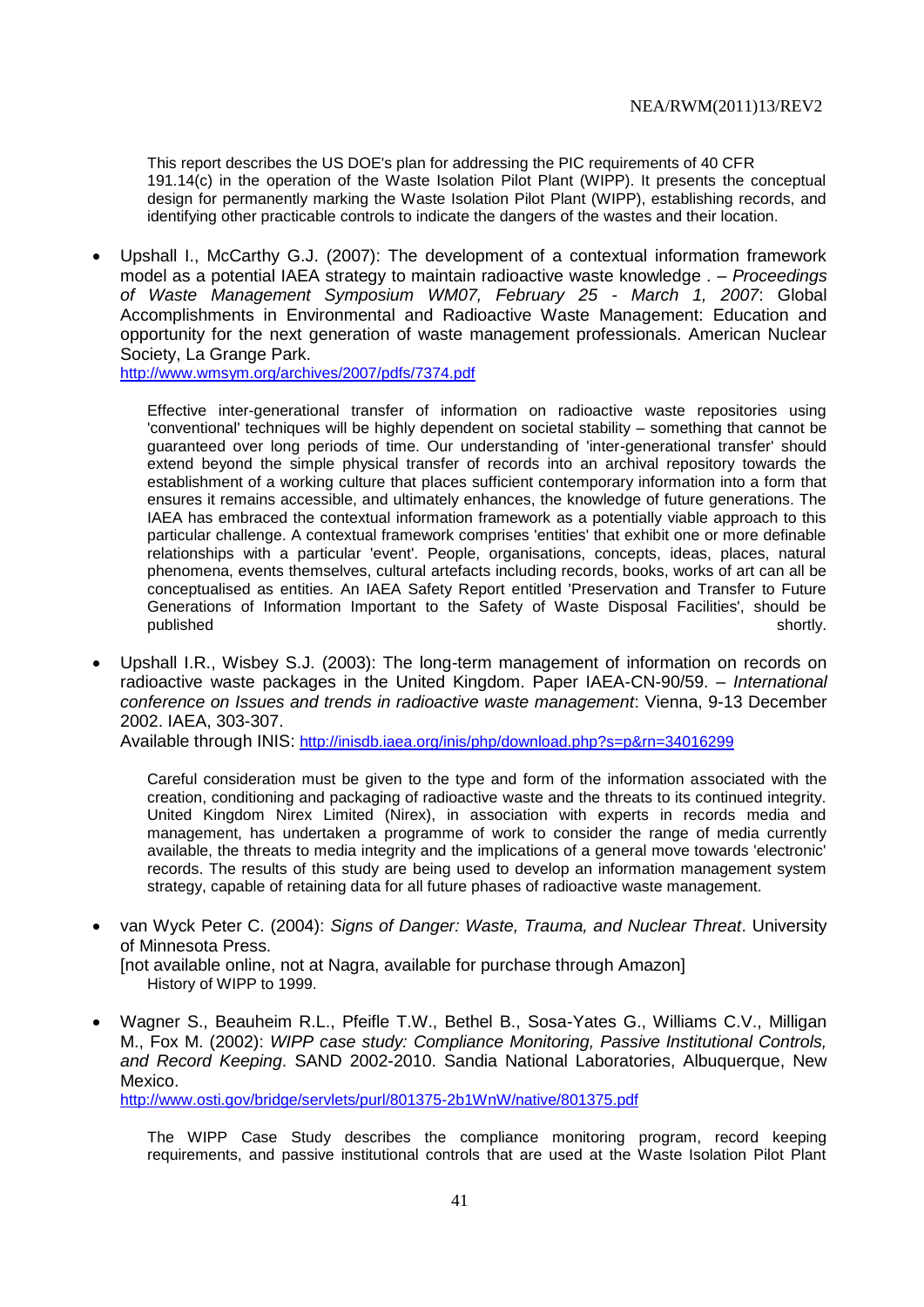This report describes the US DOE's plan for addressing the PIC requirements of 40 CFR 191.14(c) in the operation of the Waste Isolation Pilot Plant (WIPP). It presents the conceptual design for permanently marking the Waste Isolation Pilot Plant (WIPP), establishing records, and identifying other practicable controls to indicate the dangers of the wastes and their location.

 Upshall I., McCarthy G.J. (2007): The development of a contextual information framework model as a potential IAEA strategy to maintain radioactive waste knowledge . – *Proceedings of Waste Management Symposium WM07, February 25 - March 1, 2007*: Global Accomplishments in Environmental and Radioactive Waste Management: Education and opportunity for the next generation of waste management professionals. American Nuclear Society, La Grange Park.

<http://www.wmsym.org/archives/2007/pdfs/7374.pdf>

Effective inter-generational transfer of information on radioactive waste repositories using 'conventional' techniques will be highly dependent on societal stability – something that cannot be guaranteed over long periods of time. Our understanding of 'inter-generational transfer' should extend beyond the simple physical transfer of records into an archival repository towards the establishment of a working culture that places sufficient contemporary information into a form that ensures it remains accessible, and ultimately enhances, the knowledge of future generations. The IAEA has embraced the contextual information framework as a potentially viable approach to this particular challenge. A contextual framework comprises 'entities' that exhibit one or more definable relationships with a particular 'event'. People, organisations, concepts, ideas, places, natural phenomena, events themselves, cultural artefacts including records, books, works of art can all be conceptualised as entities. An IAEA Safety Report entitled 'Preservation and Transfer to Future Generations of Information Important to the Safety of Waste Disposal Facilities', should be published shortly.

 Upshall I.R., Wisbey S.J. (2003): The long-term management of information on records on radioactive waste packages in the United Kingdom. Paper IAEA-CN-90/59. – *International conference on Issues and trends in radioactive waste management*: Vienna, 9-13 December 2002. IAEA, 303-307.

Available through INIS: <http://inisdb.iaea.org/inis/php/download.php?s=p&rn=34016299>

Careful consideration must be given to the type and form of the information associated with the creation, conditioning and packaging of radioactive waste and the threats to its continued integrity. United Kingdom Nirex Limited (Nirex), in association with experts in records media and management, has undertaken a programme of work to consider the range of media currently available, the threats to media integrity and the implications of a general move towards 'electronic' records. The results of this study are being used to develop an information management system strategy, capable of retaining data for all future phases of radioactive waste management.

- van Wyck Peter C. (2004): *Signs of Danger: Waste, Trauma, and Nuclear Threat*. University of Minnesota Press. [not available online, not at Nagra, available for purchase through Amazon] History of WIPP to 1999.
- Wagner S., Beauheim R.L., Pfeifle T.W., Bethel B., Sosa-Yates G., Williams C.V., Milligan M., Fox M. (2002): *WIPP case study: Compliance Monitoring, Passive Institutional Controls, and Record Keeping*. SAND 2002-2010. Sandia National Laboratories, Albuquerque, New Mexico.

<http://www.osti.gov/bridge/servlets/purl/801375-2b1WnW/native/801375.pdf>

The WIPP Case Study describes the compliance monitoring program, record keeping requirements, and passive institutional controls that are used at the Waste Isolation Pilot Plant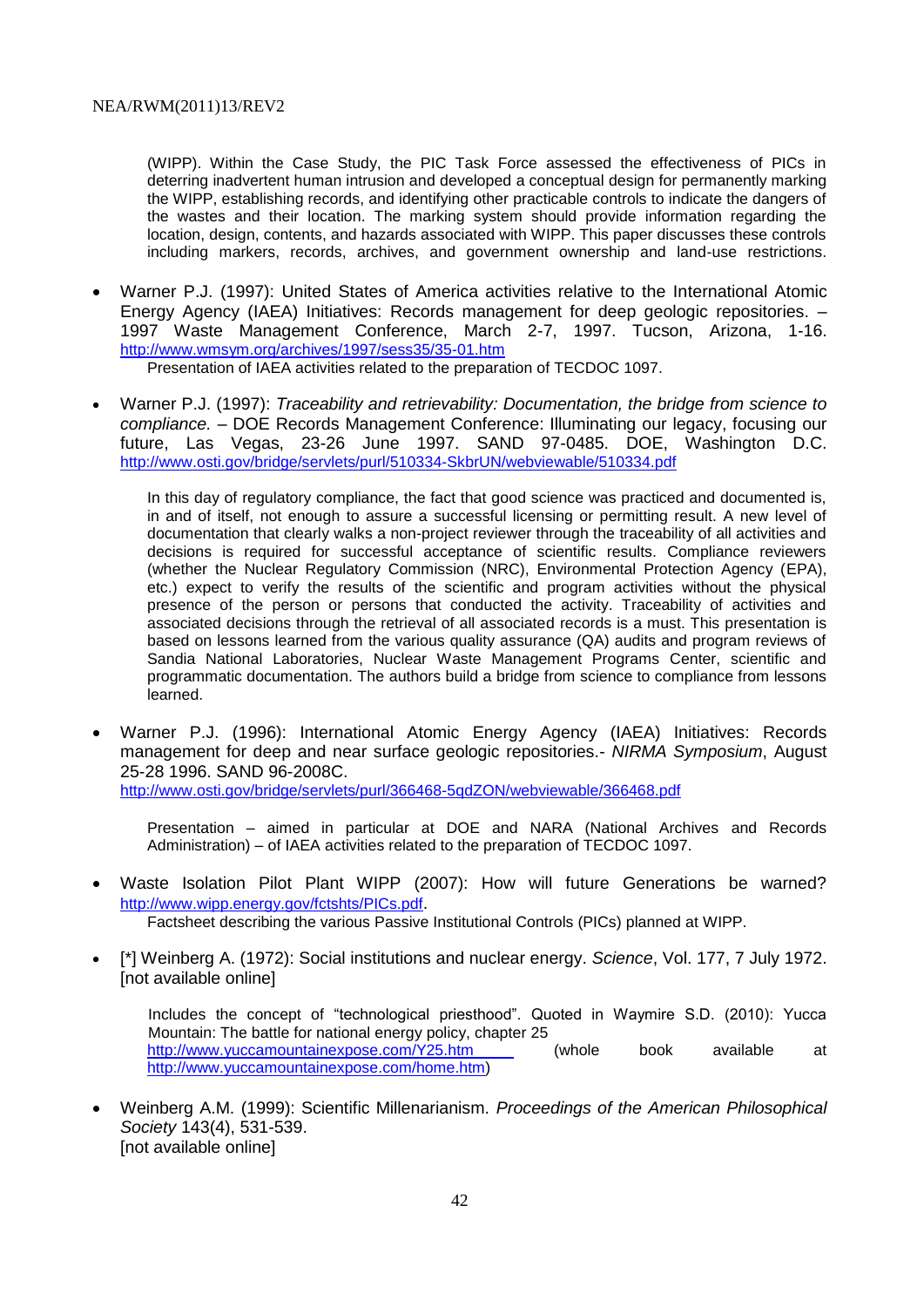(WIPP). Within the Case Study, the PIC Task Force assessed the effectiveness of PICs in deterring inadvertent human intrusion and developed a conceptual design for permanently marking the WIPP, establishing records, and identifying other practicable controls to indicate the dangers of the wastes and their location. The marking system should provide information regarding the location, design, contents, and hazards associated with WIPP. This paper discusses these controls including markers, records, archives, and government ownership and land-use restrictions.

 Warner P.J. (1997): United States of America activities relative to the International Atomic Energy Agency (IAEA) Initiatives: Records management for deep geologic repositories. – 1997 Waste Management Conference, March 2-7, 1997. Tucson, Arizona, 1-16. <http://www.wmsym.org/archives/1997/sess35/35-01.htm>

Presentation of IAEA activities related to the preparation of TECDOC 1097.

 Warner P.J. (1997): *Traceability and retrievability: Documentation, the bridge from science to compliance.* – DOE Records Management Conference: Illuminating our legacy, focusing our future, Las Vegas, 23-26 June 1997. SAND 97-0485. DOE, Washington D.C. <http://www.osti.gov/bridge/servlets/purl/510334-SkbrUN/webviewable/510334.pdf>

In this day of regulatory compliance, the fact that good science was practiced and documented is, in and of itself, not enough to assure a successful licensing or permitting result. A new level of documentation that clearly walks a non-project reviewer through the traceability of all activities and decisions is required for successful acceptance of scientific results. Compliance reviewers (whether the Nuclear Regulatory Commission (NRC), Environmental Protection Agency (EPA), etc.) expect to verify the results of the scientific and program activities without the physical presence of the person or persons that conducted the activity. Traceability of activities and associated decisions through the retrieval of all associated records is a must. This presentation is based on lessons learned from the various quality assurance (QA) audits and program reviews of Sandia National Laboratories, Nuclear Waste Management Programs Center, scientific and programmatic documentation. The authors build a bridge from science to compliance from lessons learned.

 Warner P.J. (1996): International Atomic Energy Agency (IAEA) Initiatives: Records management for deep and near surface geologic repositories.- *NIRMA Symposium*, August 25-28 1996. SAND 96-2008C.

<http://www.osti.gov/bridge/servlets/purl/366468-5qdZON/webviewable/366468.pdf>

Presentation – aimed in particular at DOE and NARA (National Archives and Records Administration) – of IAEA activities related to the preparation of TECDOC 1097.

 Waste Isolation Pilot Plant WIPP (2007): How will future Generations be warned? <http://www.wipp.energy.gov/fctshts/PICs.pdf>.

Factsheet describing the various Passive Institutional Controls (PICs) planned at WIPP.

 [\*] Weinberg A. (1972): Social institutions and nuclear energy. *Science*, Vol. 177, 7 July 1972. [not available online]

Includes the concept of "technological priesthood". Quoted in Waymire S.D. (2010): Yucca Mountain: The battle for national energy policy, chapter 25 <http://www.yuccamountainexpose.com/Y25.htm> (whole book available at http://www.yuccamountainexpose.com/home.htm)

 Weinberg A.M. (1999): Scientific Millenarianism. *Proceedings of the American Philosophical Society* 143(4), 531-539. [not available online]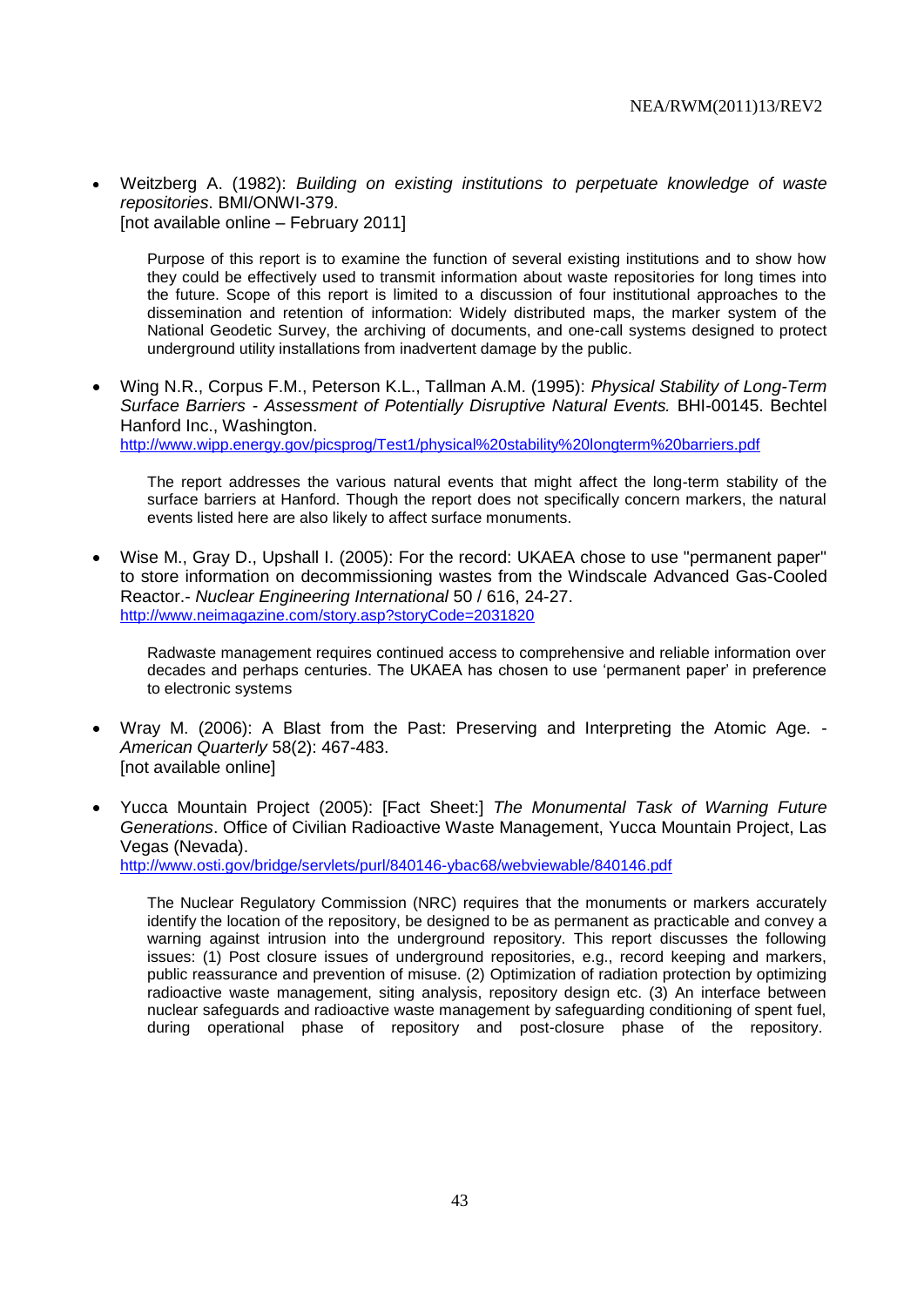Weitzberg A. (1982): *Building on existing institutions to perpetuate knowledge of waste repositories*. BMI/ONWI-379. [not available online – February 2011]

Purpose of this report is to examine the function of several existing institutions and to show how they could be effectively used to transmit information about waste repositories for long times into the future. Scope of this report is limited to a discussion of four institutional approaches to the dissemination and retention of information: Widely distributed maps, the marker system of the National Geodetic Survey, the archiving of documents, and one-call systems designed to protect underground utility installations from inadvertent damage by the public.

 Wing N.R., Corpus F.M., Peterson K.L., Tallman A.M. (1995): *Physical Stability of Long-Term Surface Barriers - Assessment of Potentially Disruptive Natural Events.* BHI-00145. Bechtel Hanford Inc., Washington. <http://www.wipp.energy.gov/picsprog/Test1/physical%20stability%20longterm%20barriers.pdf>

The report addresses the various natural events that might affect the long-term stability of the surface barriers at Hanford. Though the report does not specifically concern markers, the natural events listed here are also likely to affect surface monuments.

 Wise M., Gray D., Upshall I. (2005): For the record: UKAEA chose to use "permanent paper" to store information on decommissioning wastes from the Windscale Advanced Gas-Cooled Reactor.- *Nuclear Engineering International* 50 / 616, 24-27. <http://www.neimagazine.com/story.asp?storyCode=2031820>

Radwaste management requires continued access to comprehensive and reliable information over decades and perhaps centuries. The UKAEA has chosen to use 'permanent paper' in preference to electronic systems

- Wray M. (2006): A Blast from the Past: Preserving and Interpreting the Atomic Age. *American Quarterly* 58(2): 467-483. [not available online]
- Yucca Mountain Project (2005): [Fact Sheet:] *The Monumental Task of Warning Future Generations*. Office of Civilian Radioactive Waste Management, Yucca Mountain Project, Las Vegas (Nevada). <http://www.osti.gov/bridge/servlets/purl/840146-ybac68/webviewable/840146.pdf>

The Nuclear Regulatory Commission (NRC) requires that the monuments or markers accurately identify the location of the repository, be designed to be as permanent as practicable and convey a warning against intrusion into the underground repository. This report discusses the following issues: (1) Post closure issues of underground repositories, e.g., record keeping and markers, public reassurance and prevention of misuse. (2) Optimization of radiation protection by optimizing radioactive waste management, siting analysis, repository design etc. (3) An interface between nuclear safeguards and radioactive waste management by safeguarding conditioning of spent fuel, during operational phase of repository and post-closure phase of the repository.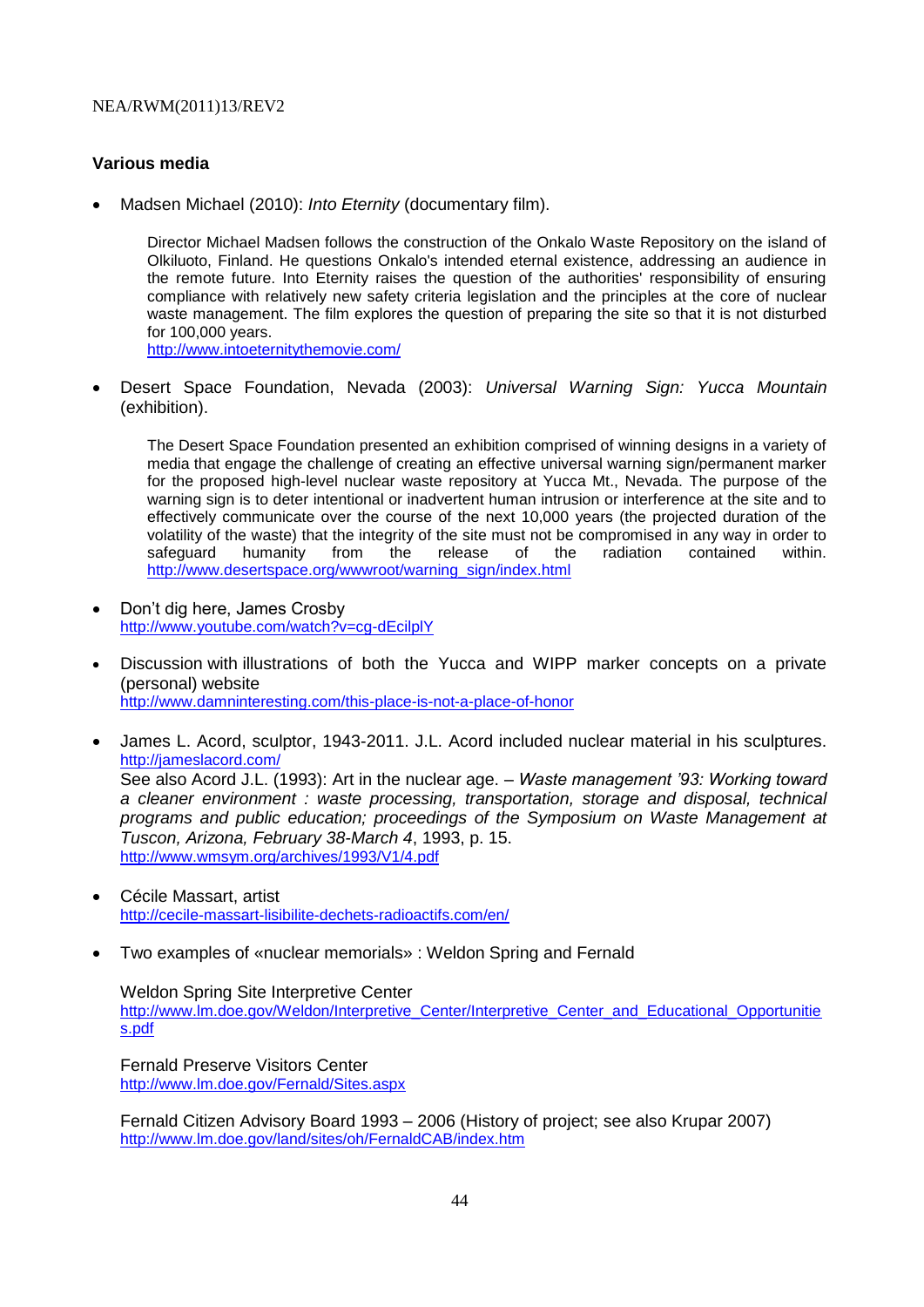# **Various media**

Madsen Michael (2010): *Into Eternity* (documentary film).

Director Michael Madsen follows the construction of the Onkalo Waste Repository on the island of Olkiluoto, [Finland.](http://en.wikipedia.org/wiki/Finland) He questions Onkalo's intended eternal existence, addressing an audience in the remote future. Into Eternity raises the question of the authorities' responsibility of ensuring compliance with relatively new safety criteria legislation and the principles at the core of [nuclear](http://en.wikipedia.org/wiki/Nuclear_waste_management)  [waste management.](http://en.wikipedia.org/wiki/Nuclear_waste_management) The film explores the question of preparing the site so that it is not disturbed for 100,000 years. <http://www.intoeternitythemovie.com/>

 Desert Space Foundation, Nevada (2003): *Universal Warning Sign: Yucca Mountain* (exhibition).

The Desert Space Foundation presented an exhibition comprised of winning designs in a variety of media that engage the challenge of creating an effective universal warning sign/permanent marker for the proposed high-level nuclear waste repository at Yucca Mt., Nevada. The purpose of the warning sign is to deter intentional or inadvertent human intrusion or interference at the site and to effectively communicate over the course of the next 10,000 years (the projected duration of the volatility of the waste) that the integrity of the site must not be compromised in any way in order to safeguard humanity from the release of the radiation contained within. [http://www.desertspace.org/wwwroot/warning\\_sign/index.html](http://www.desertspace.org/wwwroot/warning_sign/index.html)

- Don't dig here, James Crosby <http://www.youtube.com/watch?v=cg-dEcilplY>
- Discussion with illustrations of both the Yucca and WIPP marker concepts on a private (personal) website <http://www.damninteresting.com/this-place-is-not-a-place-of-honor>
- James L. Acord, sculptor, 1943-2011. J.L. Acord included nuclear material in his sculptures. <http://jameslacord.com/> See also Acord J.L. (1993): Art in the nuclear age. – *Waste management '93: Working toward a cleaner environment : waste processing, transportation, storage and disposal, technical programs and public education; proceedings of the Symposium on Waste Management at Tuscon, Arizona, February 38-March 4*, 1993, p. 15. <http://www.wmsym.org/archives/1993/V1/4.pdf>
- Cécile Massart, artist <http://cecile-massart-lisibilite-dechets-radioactifs.com/en/>
- Two examples of «nuclear memorials» : Weldon Spring and Fernald

### Weldon Spring Site Interpretive Center

[http://www.lm.doe.gov/Weldon/Interpretive\\_Center/Interpretive\\_Center\\_and\\_Educational\\_Opportunitie](http://www.lm.doe.gov/Weldon/Interpretive_Center/Interpretive_Center_and_Educational_Opportunities.pdf) [s.pdf](http://www.lm.doe.gov/Weldon/Interpretive_Center/Interpretive_Center_and_Educational_Opportunities.pdf)

Fernald Preserve Visitors Center <http://www.lm.doe.gov/Fernald/Sites.aspx>

Fernald Citizen Advisory Board 1993 – 2006 (History of project; see also Krupar 2007) <http://www.lm.doe.gov/land/sites/oh/FernaldCAB/index.htm>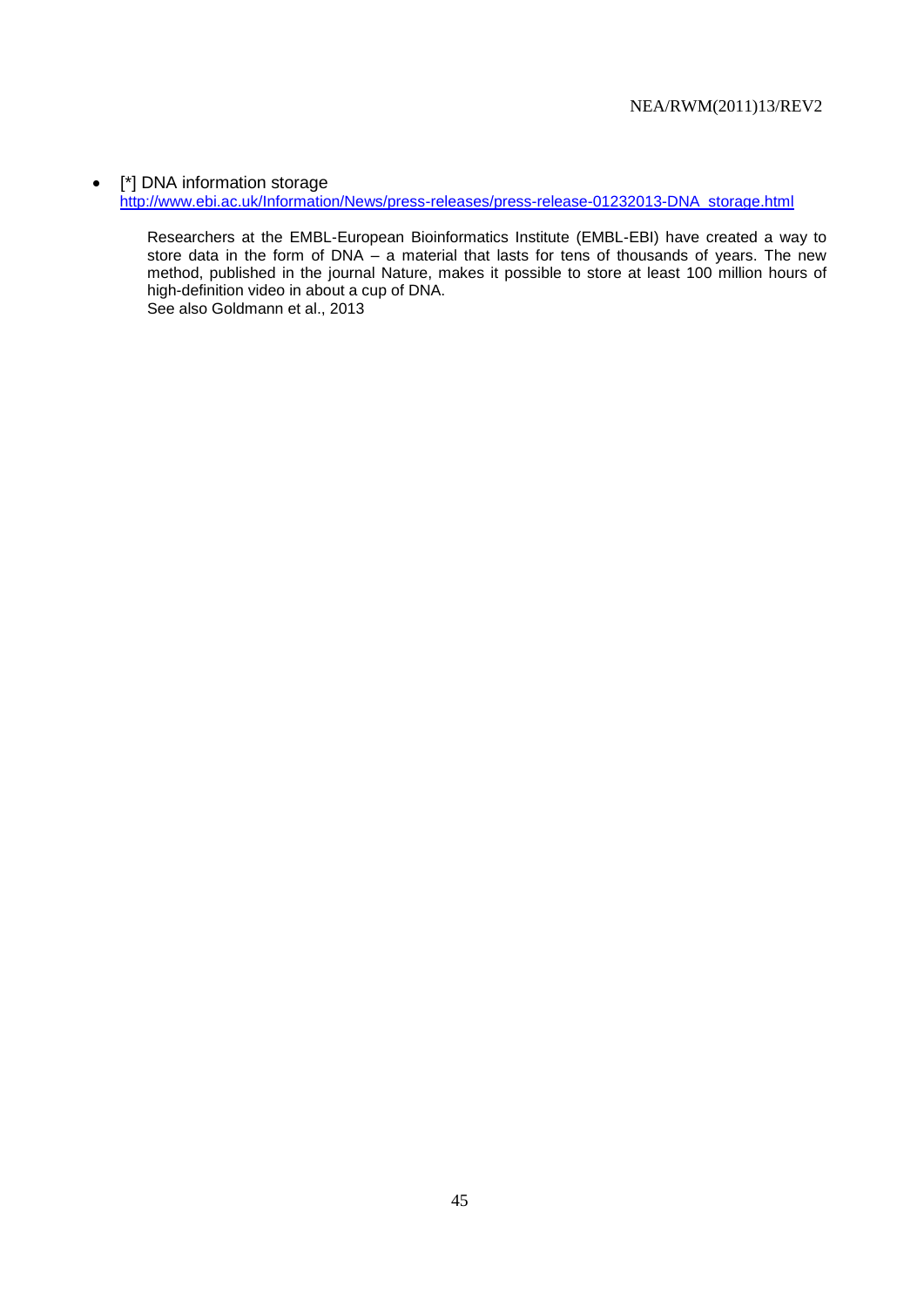• [\*] DNA information storage [http://www.ebi.ac.uk/Information/News/press-releases/press-release-01232013-DNA\\_storage.html](http://www.ebi.ac.uk/Information/News/press-releases/press-release-01232013-DNA_storage.html)

Researchers at the EMBL-European Bioinformatics Institute (EMBL-EBI) have created a way to store data in the form of DNA – a material that lasts for tens of thousands of years. The new method, published in the journal Nature, makes it possible to store at least 100 million hours of high-definition video in about a cup of DNA. See also Goldmann et al., 2013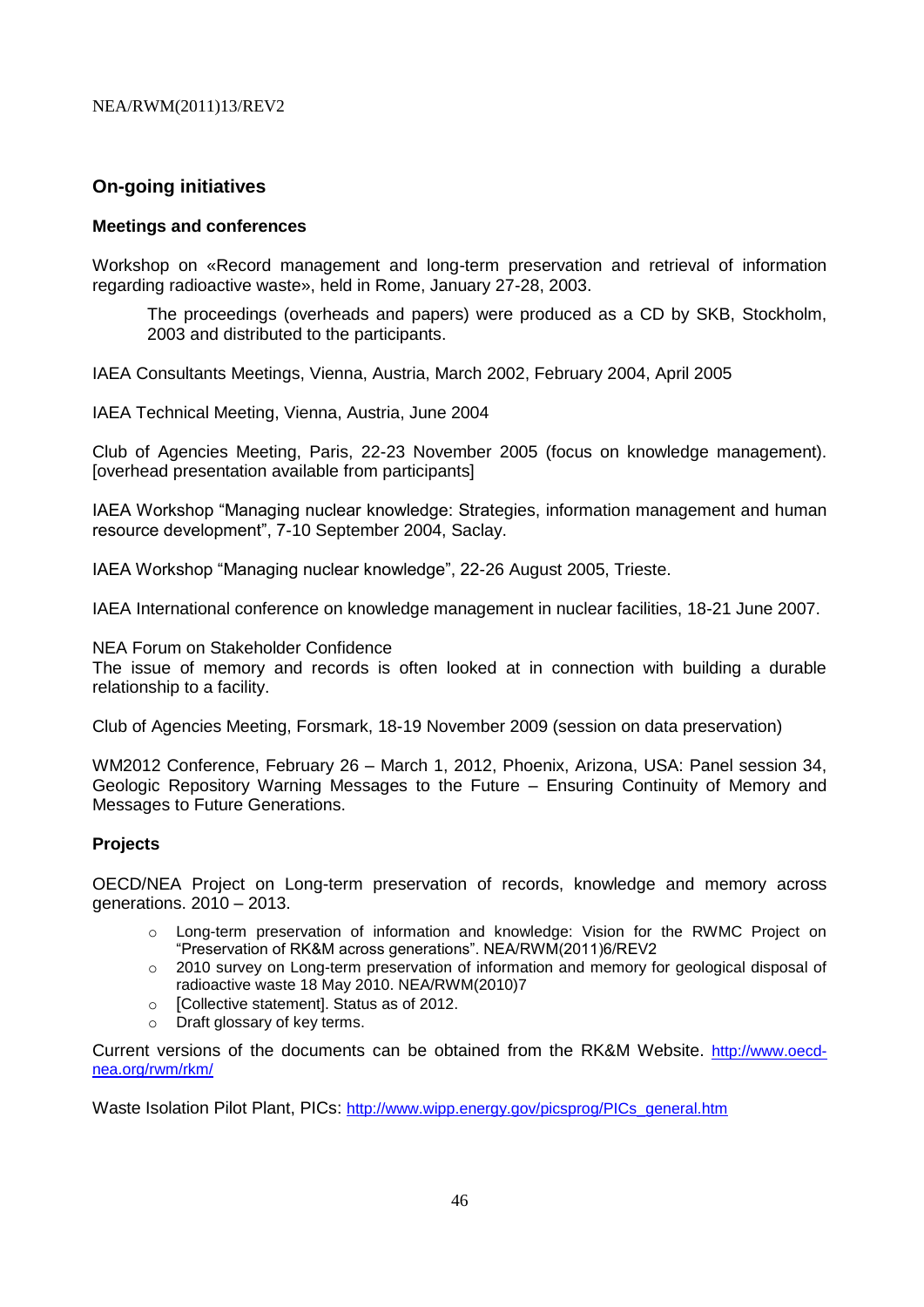# **On-going initiatives**

# **Meetings and conferences**

Workshop on «Record management and long-term preservation and retrieval of information regarding radioactive waste», held in Rome, January 27-28, 2003.

The proceedings (overheads and papers) were produced as a CD by SKB, Stockholm, 2003 and distributed to the participants.

IAEA Consultants Meetings, Vienna, Austria, March 2002, February 2004, April 2005

IAEA Technical Meeting, Vienna, Austria, June 2004

Club of Agencies Meeting, Paris, 22-23 November 2005 (focus on knowledge management). [overhead presentation available from participants]

IAEA Workshop "Managing nuclear knowledge: Strategies, information management and human resource development", 7-10 September 2004, Saclay.

IAEA Workshop "Managing nuclear knowledge", 22-26 August 2005, Trieste.

IAEA International conference on knowledge management in nuclear facilities, 18-21 June 2007.

NEA Forum on Stakeholder Confidence

The issue of memory and records is often looked at in connection with building a durable relationship to a facility.

Club of Agencies Meeting, Forsmark, 18-19 November 2009 (session on data preservation)

WM2012 Conference, February 26 – March 1, 2012, Phoenix, Arizona, USA: Panel session 34, Geologic Repository Warning Messages to the Future – Ensuring Continuity of Memory and Messages to Future Generations.

### **Projects**

OECD/NEA Project on Long-term preservation of records, knowledge and memory across generations. 2010 – 2013.

- o Long-term preservation of information and knowledge: Vision for the RWMC Project on "Preservation of RK&M across generations". NEA/RWM(2011)6/REV2
- o 2010 survey on Long-term preservation of information and memory for geological disposal of radioactive waste 18 May 2010. NEA/RWM(2010)7
- o [Collective statement]. Status as of 2012.
- o Draft glossary of key terms.

Current versions of the documents can be obtained from the RK&M Website. [http://www.oecd](http://www.oecd-nea.org/rwm/rkm/)[nea.org/rwm/rkm/](http://www.oecd-nea.org/rwm/rkm/)

Waste Isolation Pilot Plant, PICs: [http://www.wipp.energy.gov/picsprog/PICs\\_general.htm](http://www.wipp.energy.gov/picsprog/PICs_general.htm)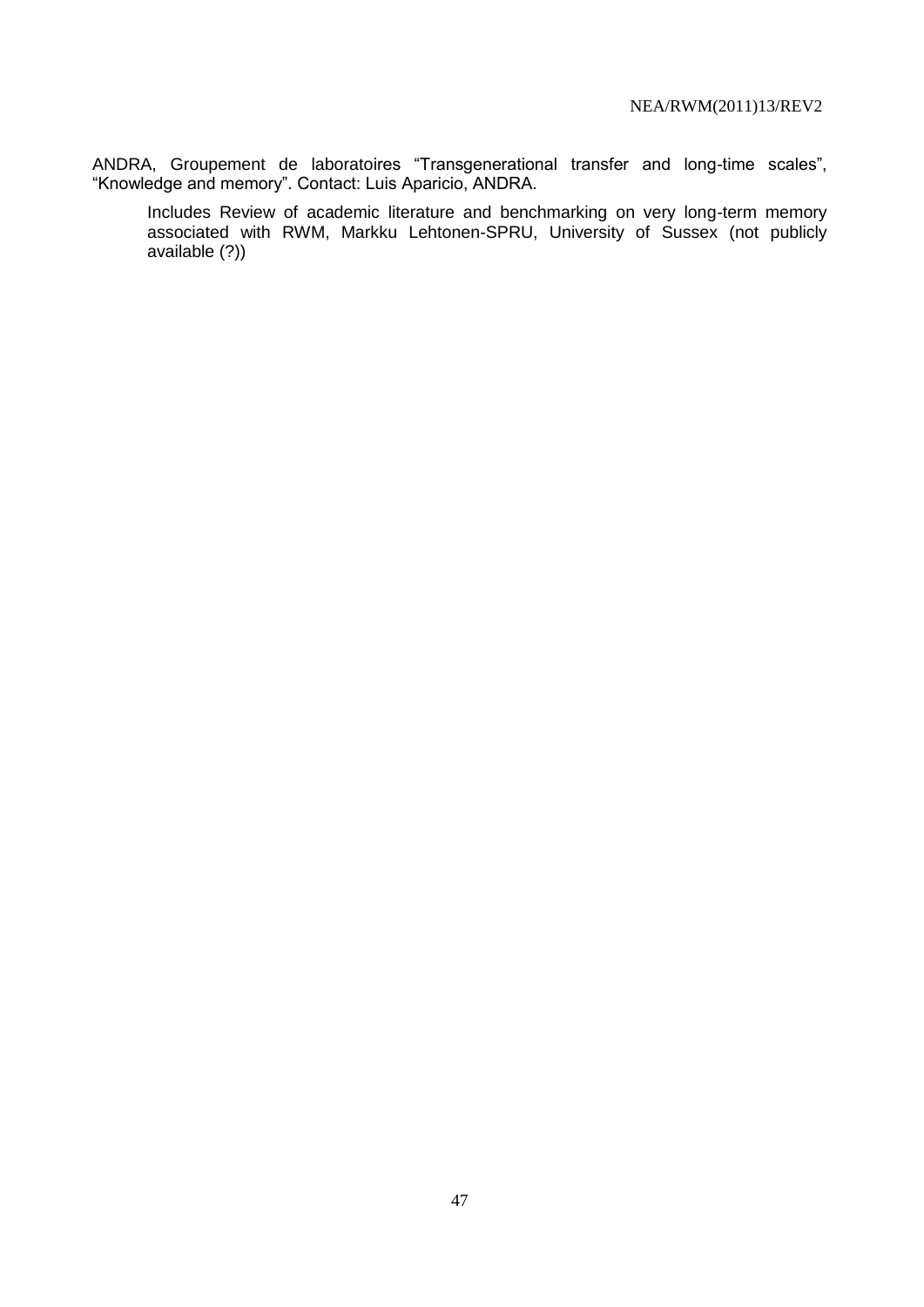ANDRA, Groupement de laboratoires "Transgenerational transfer and long-time scales", "Knowledge and memory". Contact: Luis Aparicio, ANDRA.

Includes Review of academic literature and benchmarking on very long-term memory associated with RWM, Markku Lehtonen-SPRU, University of Sussex (not publicly available (?))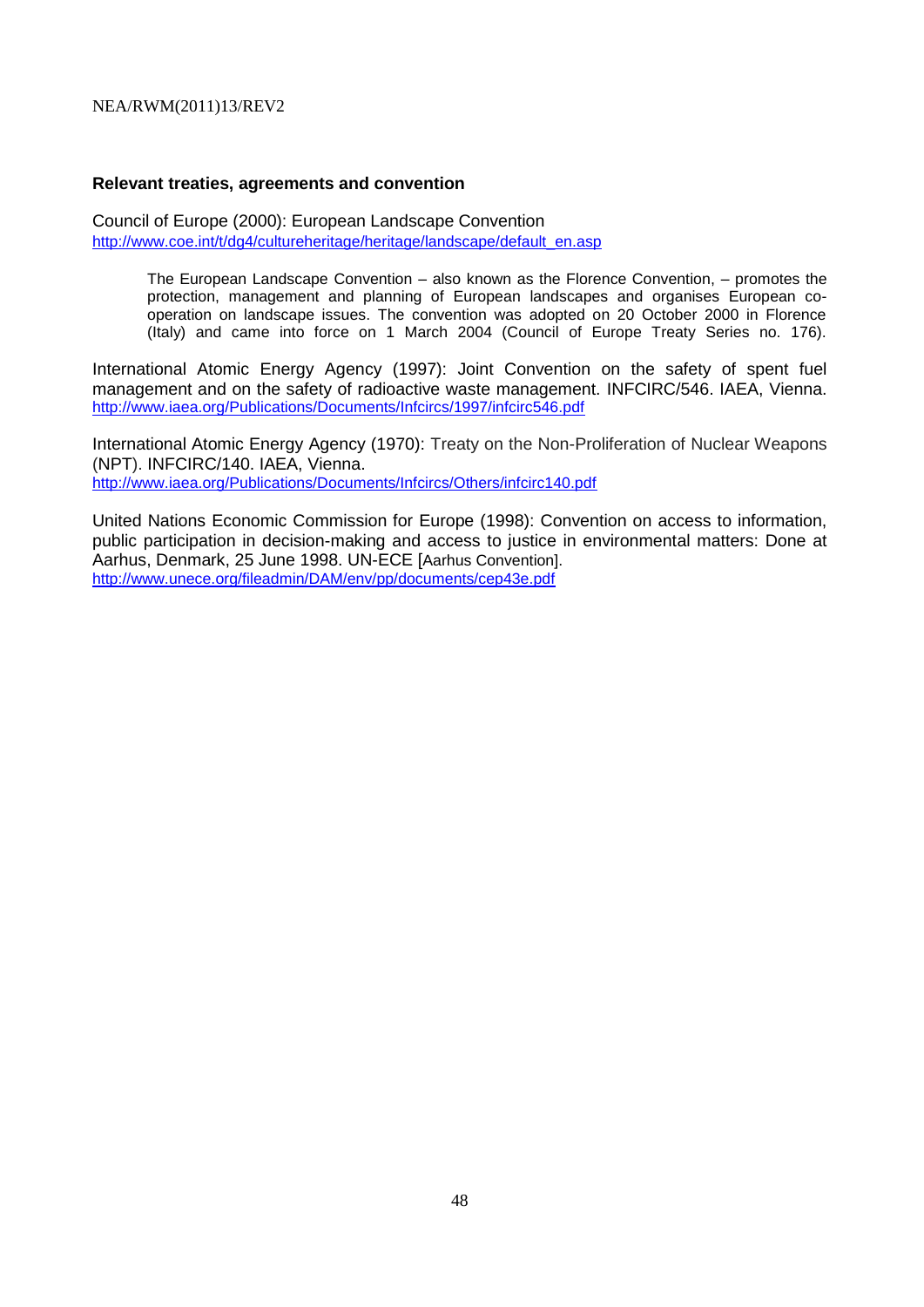#### **Relevant treaties, agreements and convention**

Council of Europe (2000): European Landscape Convention [http://www.coe.int/t/dg4/cultureheritage/heritage/landscape/default\\_en.asp](http://www.coe.int/t/dg4/cultureheritage/heritage/landscape/default_en.asp)

> The European Landscape Convention – also known as the Florence Convention, – promotes the protection, management and planning of European landscapes and organises European cooperation on landscape issues. The convention was adopted on 20 October 2000 in Florence (Italy) and came into force on 1 March 2004 (Council of Europe Treaty Series no. 176).

International Atomic Energy Agency (1997): Joint Convention on the safety of spent fuel management and on the safety of radioactive waste management. INFCIRC/546. IAEA, Vienna. <http://www.iaea.org/Publications/Documents/Infcircs/1997/infcirc546.pdf>

International Atomic Energy Agency (1970): Treaty on the Non-Proliferation of Nuclear Weapons (NPT). INFCIRC/140. IAEA, Vienna. <http://www.iaea.org/Publications/Documents/Infcircs/Others/infcirc140.pdf>

United Nations Economic Commission for Europe (1998): Convention on access to information, public participation in decision-making and access to justice in environmental matters: Done at Aarhus, Denmark, 25 June 1998. UN-ECE [Aarhus Convention]. <http://www.unece.org/fileadmin/DAM/env/pp/documents/cep43e.pdf>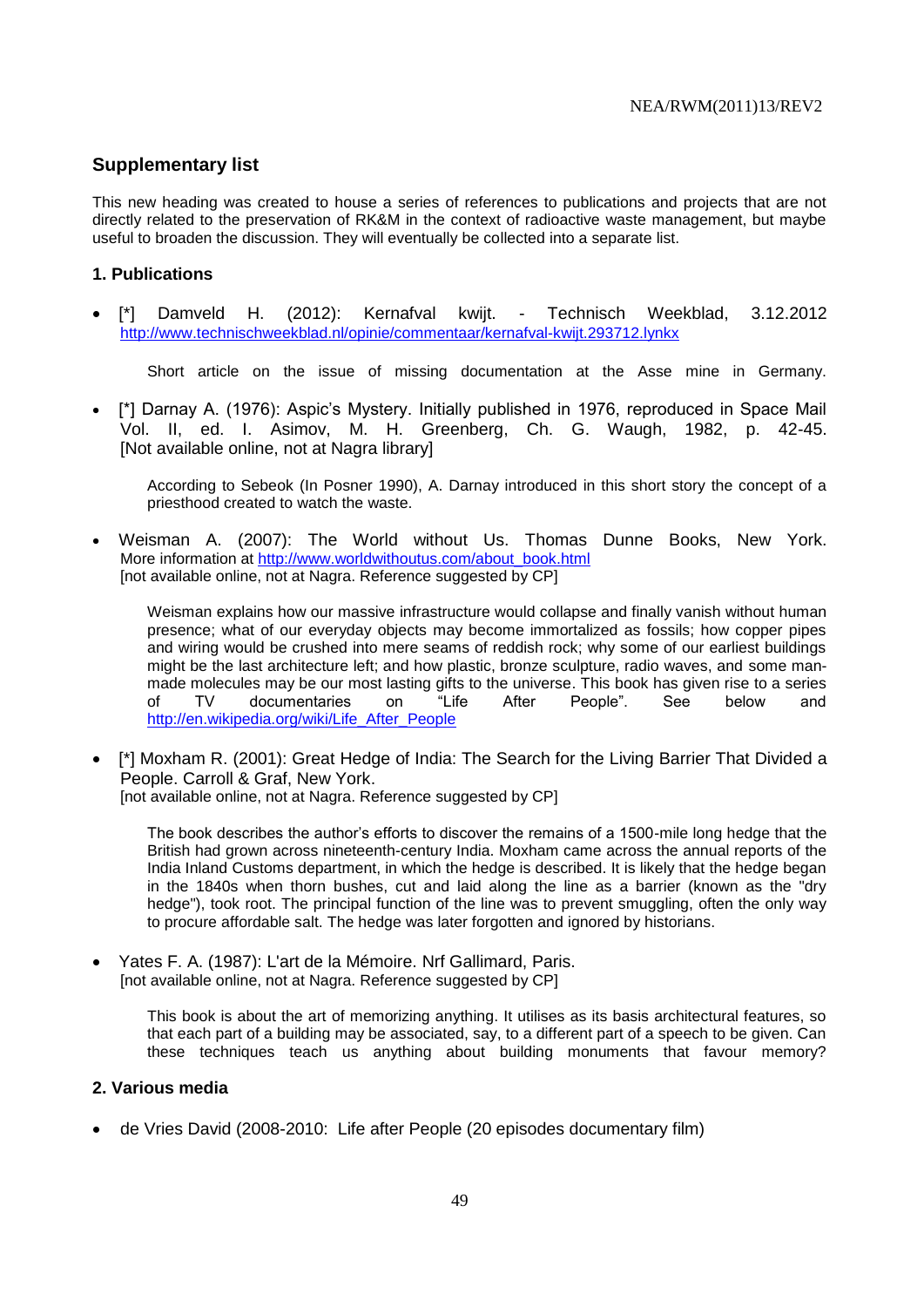# **Supplementary list**

This new heading was created to house a series of references to publications and projects that are not directly related to the preservation of RK&M in the context of radioactive waste management, but maybe useful to broaden the discussion. They will eventually be collected into a separate list.

# **1. Publications**

 [\*] Damveld H. (2012): Kernafval kwijt. - Technisch Weekblad, 3.12.2012 <http://www.technischweekblad.nl/opinie/commentaar/kernafval-kwijt.293712.lynkx>

Short article on the issue of missing documentation at the Asse mine in Germany.

 [\*] Darnay A. (1976): Aspic's Mystery. Initially published in 1976, reproduced in Space Mail Vol. II, ed. I. Asimov, M. H. Greenberg, Ch. G. Waugh, 1982, p. 42-45. [Not available online, not at Nagra library]

According to Sebeok (In Posner 1990), A. Darnay introduced in this short story the concept of a priesthood created to watch the waste.

 Weisman A. (2007): The World without Us. Thomas Dunne Books, New York. More information at [http://www.worldwithoutus.com/about\\_book.html](http://www.worldwithoutus.com/about_book.html) [not available online, not at Nagra. Reference suggested by CP]

Weisman explains how our massive infrastructure would collapse and finally vanish without human presence; what of our everyday objects may become immortalized as fossils; how copper pipes and wiring would be crushed into mere seams of reddish rock; why some of our earliest buildings might be the last architecture left; and how plastic, bronze sculpture, radio waves, and [some man](http://www.worldwithoutus.com/about_book.html)[made molecules may be our most lasting gifts to the universe.](http://www.worldwithoutus.com/about_book.html) This book has given rise to a series of TV documentaries on "Life After People". See below and [http://en.wikipedia.org/wiki/Life\\_After\\_People](http://en.wikipedia.org/wiki/Life_After_People)

• [\*] Moxham R. (2001): Great Hedge of India: The Search for the Living Barrier That Divided a People. Carroll & Graf, New York. [not available online, not at Nagra. Reference suggested by CP]

The book describes the author's efforts to discover the remains of a 1500-mile long hedge that the British had grown across nineteenth-century India. Moxham came across the annual reports of the India Inland Customs department, in which the hedge is described. It is likely that the hedge began in the 1840s when thorn bushes, cut and laid along the line as a barrier (known as the "dry hedge"), took root. The principal function of the line was to prevent smuggling, often the only way to procure affordable salt. The hedge was later forgotten and ignored by historians.

 Yates F. A. (1987): L'art de la Mémoire. Nrf Gallimard, Paris. [not available online, not at Nagra. Reference suggested by CP]

> This book is about the art of memorizing anything. It utilises as its basis architectural features, so that each part of a building may be associated, say, to a different part of a speech to be given. Can these techniques teach us anything about building monuments that favour memory?

# **2. Various media**

de Vries David (2008-2010: Life after People (20 episodes documentary film)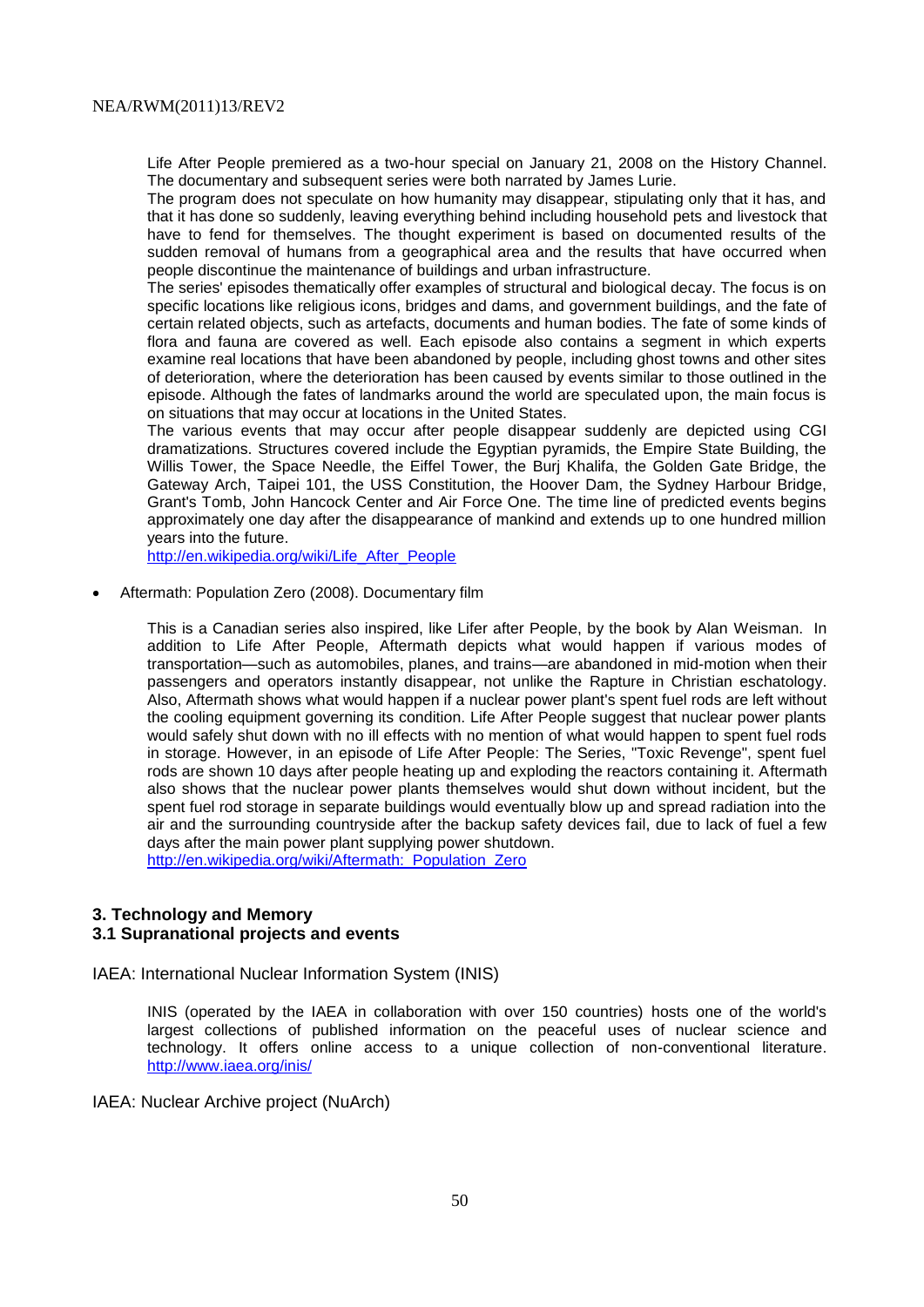Life After People premiered as a two-hour special on January 21, 2008 on the [History Channel.](http://en.wikipedia.org/wiki/History_(U.S._TV_channel)) The documentary and subsequent series were both narrated by [James Lurie.](http://en.wikipedia.org/w/index.php?title=James_Lurie&action=edit&redlink=1)

The program does not speculate on how humanity may disappear, stipulating only that it has, and that it has done so suddenly, leaving everything behind including household [pets](http://en.wikipedia.org/wiki/Pets) and [livestock](http://en.wikipedia.org/wiki/Livestock) that have to fend for themselves. The thought experiment is based on documented results of the sudden removal of humans from a geographical area and the results that have occurred when people discontinue the maintenance of buildings and urban infrastructure.

The series' episodes thematically offer examples of structural and biological decay. The focus is on specific locations like [religious icons,](http://en.wikipedia.org/wiki/Religious_icons) bridges and dams, and government buildings, and the fate of certain related objects, such as artefacts, documents and human bodies. The fate of some kinds of flora and fauna are covered as well. Each episode also contains a segment in which experts examine real locations that have been abandoned by people, including ghost towns and other sites of deterioration, where the deterioration has been caused by events similar to those outlined in the episode. Although the fates of landmarks around the world are speculated upon, the main focus is on situations that may occur at locations in the United States.

The various events that may occur after people disappear suddenly are depicted using CGI dramatizations. Structures covered include the Egyptian pyramids, the Empire State Building, the Willis Tower, the Space Needle, the Eiffel Tower, the Burj Khalifa, the Golden Gate Bridge, the Gateway Arch, Taipei 101, the USS Constitution, the Hoover Dam, the Sydney Harbour Bridge, Grant's Tomb, John Hancock Center and Air Force One. The time line of predicted events begins approximately one day after the disappearance of mankind and extends up to one hundred million years into the future.

[http://en.wikipedia.org/wiki/Life\\_After\\_People](http://en.wikipedia.org/wiki/Life_After_People)

Aftermath: Population Zero (2008). Documentary film

This is a Canadian series also inspired, like Lifer after People, by the book by Alan Weisman. In addition to Life After People, Aftermath depicts what would happen if various modes of transportation—such as automobiles, planes, and trains—are abandoned in mid-motion when their passengers and operators instantly disappear, not unlike the [Rapture](http://en.wikipedia.org/wiki/Rapture) in [Christian eschatology.](http://en.wikipedia.org/wiki/Christian_eschatology) Also, Aftermath shows what would happen if a [nuclear power plant's](http://en.wikipedia.org/wiki/Nuclear_power_plant) spent fuel rods are left without the cooling equipment governing its condition. Life After People suggest that nuclear power plants would safely shut down with no ill effects with no mention of what would happen to spent fuel rods in storage. However, in an episode of Life After People: The Series, "Toxic Revenge", spent fuel rods are shown 10 days after people heating up and exploding the reactors containing it. Aftermath also shows that the nuclear power plants themselves would shut down without incident, but the spent fuel rod storage in separate buildings would eventually blow up and spread radiation into the air and the surrounding countryside after the backup safety devices fail, due to lack of fuel a few days after the main power plant supplying power shutdown. http://en.wikipedia.org/wiki/Aftermath: Population Zero

**3. Technology and Memory 3.1 Supranational projects and events**

#### IAEA: International Nuclear Information System (INIS)

INIS (operated by the IAEA in collaboration with over 150 countries) hosts one of the world's largest collections of published information on the peaceful uses of nuclear science and technology. It offers online access to a unique collection of non-conventional literature. <http://www.iaea.org/inis/>

IAEA: Nuclear Archive project (NuArch)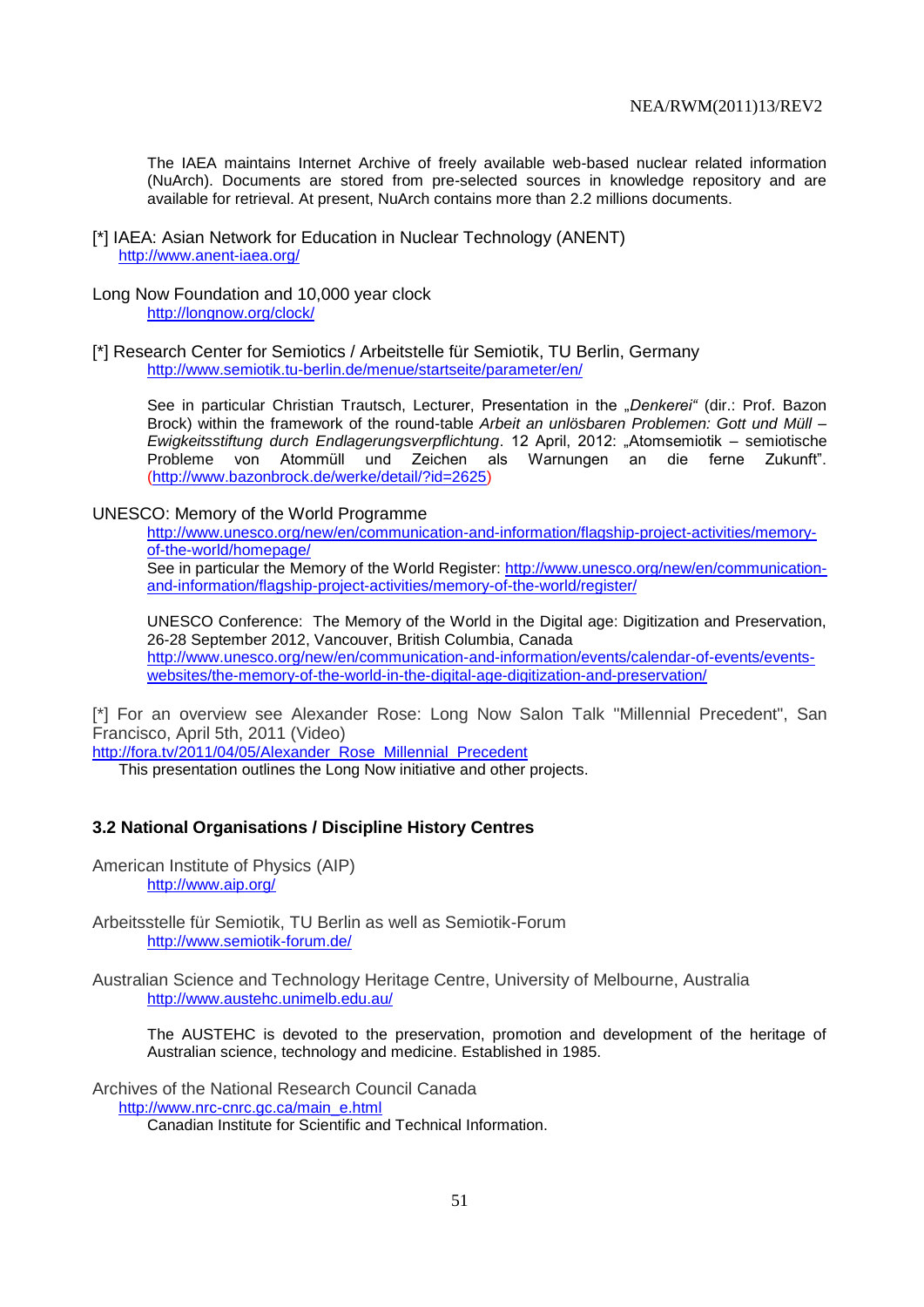The IAEA maintains Internet Archive of freely available web-based nuclear related information (NuArch). Documents are stored from pre-selected sources in knowledge repository and are available for retrieval. At present, NuArch contains more than 2.2 millions documents.

- [\*] IAEA: Asian Network for Education in Nuclear Technology (ANENT) <http://www.anent-iaea.org/>
- Long Now Foundation and 10,000 year clock <http://longnow.org/clock/>
- [\*] Research Center for Semiotics / Arbeitstelle für Semiotik, TU Berlin, Germany <http://www.semiotik.tu-berlin.de/menue/startseite/parameter/en/>

See in particular Christian Trautsch, Lecturer, Presentation in the *"Denkerei"* (dir.: Prof. Bazon Brock) within the framework of the round-table *Arbeit an unlösbaren Problemen: Gott und Müll – Ewigkeitsstiftung durch Endlagerungsverpflichtung*. 12 April, 2012: "Atomsemiotik – semiotische Probleme von Atommüll und Zeichen als Warnungen an die ferne Zukunft". [\(http://www.bazonbrock.de/werke/detail/?id=2625\)](http://www.bazonbrock.de/werke/detail/?id=2625)

#### UNESCO: Memory of the World Programme

[http://www.unesco.org/new/en/communication-and-information/flagship-project-activities/memory](http://www.unesco.org/new/en/communication-and-information/flagship-project-activities/memory-of-the-world/homepage/)[of-the-world/homepage/](http://www.unesco.org/new/en/communication-and-information/flagship-project-activities/memory-of-the-world/homepage/) See in particular the Memory of the World Register: [http://www.unesco.org/new/en/communication](http://www.unesco.org/new/en/communication-and-information/flagship-project-activities/memory-of-the-world/register/)[and-information/flagship-project-activities/memory-of-the-world/register/](http://www.unesco.org/new/en/communication-and-information/flagship-project-activities/memory-of-the-world/register/)

UNESCO Conference: The Memory of the World in the Digital age: Digitization and Preservation, 26-28 September 2012, Vancouver, British Columbia, Canada [http://www.unesco.org/new/en/communication-and-information/events/calendar-of-events/events](http://www.unesco.org/new/en/communication-and-information/events/calendar-of-events/events-websites/the-memory-of-the-world-in-the-digital-age-digitization-and-preservation/)[websites/the-memory-of-the-world-in-the-digital-age-digitization-and-preservation/](http://www.unesco.org/new/en/communication-and-information/events/calendar-of-events/events-websites/the-memory-of-the-world-in-the-digital-age-digitization-and-preservation/)

[\*] For an overview see Alexander Rose: Long Now Salon Talk ["Millennial Precedent",](http://fora.tv/2011/04/05/Alexander_Rose_Millennial_Precedent) San Francisco, April 5th, 2011 (Video)

[http://fora.tv/2011/04/05/Alexander\\_Rose\\_Millennial\\_Precedent](http://fora.tv/2011/04/05/Alexander_Rose_Millennial_Precedent)

This presentation outlines the Long Now initiative and other projects.

### **3.2 National Organisations / Discipline History Centres**

American Institute of Physics (AIP) http://www.aip.org/

Arbeitsstelle für Semiotik, TU Berlin as well as Semiotik-Forum http://www.semiotik-forum.de/

Australian Science and Technology Heritage Centre, University of Melbourne, Australia <http://www.austehc.unimelb.edu.au/>

The AUSTEHC is devoted to the preservation, promotion and development of the heritage of Australian science, technology and medicine. Established in 1985.

Archives of the National Research Council Canada [http://www.nrc-cnrc.gc.ca/main\\_e.html](http://www.nrc-cnrc.gc.ca/main_e.html) 

Canadian Institute for Scientific and Technical Information.